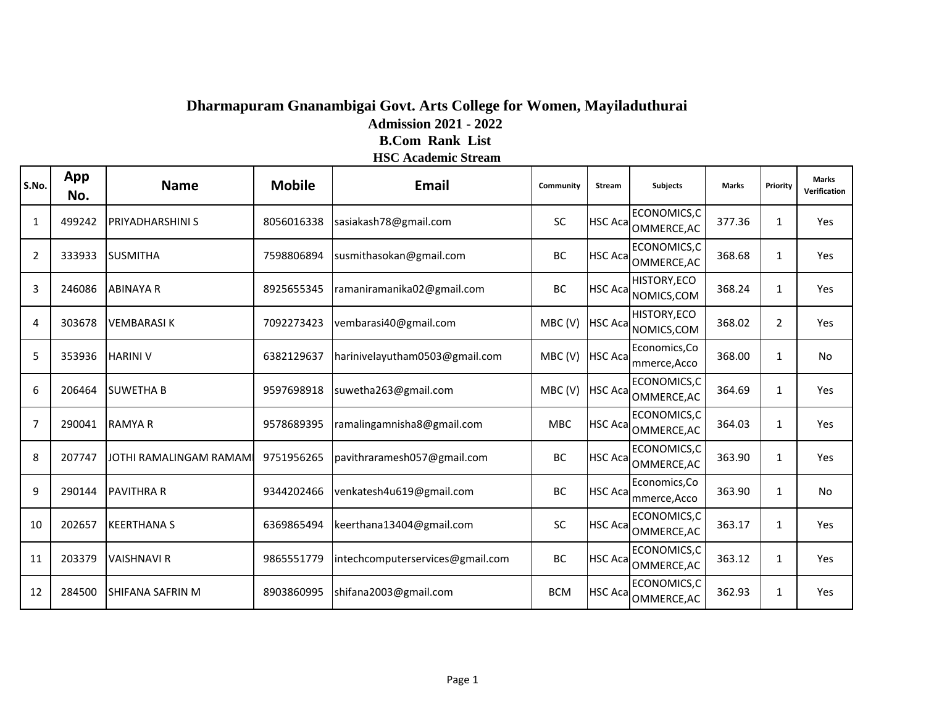### **Dharmapuram Gnanambigai Govt. Arts College for Women, Mayiladuthurai Admission 2021 - 2022 B.Com Rank List**

#### **HSC Academic Stream**

| S.No. | App<br>No. | <b>Name</b>             | <b>Mobile</b> | <b>Email</b>                     | Community  | Stream          | <b>Subjects</b>                     | <b>Marks</b> | Priority       | <b>Marks</b><br>Verification |
|-------|------------|-------------------------|---------------|----------------------------------|------------|-----------------|-------------------------------------|--------------|----------------|------------------------------|
| 1     | 499242     | <b>PRIYADHARSHINI S</b> | 8056016338    | sasiakash78@gmail.com            | SC         |                 | ECONOMICS,C<br>HSC Aca OMMERCE, AC  | 377.36       | 1              | Yes                          |
| 2     | 333933     | <b>SUSMITHA</b>         | 7598806894    | susmithasokan@gmail.com          | BC         |                 | ECONOMICS,C<br>HSC Aca OMMERCE, AC  | 368.68       | 1              | Yes                          |
| 3     | 246086     | <b>ABINAYA R</b>        | 8925655345    | ramaniramanika02@gmail.com       | BC         |                 | HISTORY, ECO<br>HSC Aca NOMICS, COM | 368.24       | 1              | <b>Yes</b>                   |
| 4     | 303678     | <b>VEMBARASIK</b>       | 7092273423    | vembarasi40@gmail.com            | MBC(V)     | <b>HSC Acal</b> | HISTORY, ECO<br>NOMICS, COM         | 368.02       | $\overline{2}$ | Yes                          |
| 5     | 353936     | <b>HARINI V</b>         | 6382129637    | harinivelayutham0503@gmail.com   | MBC(V)     | <b>HSC Acal</b> | Economics, Co<br>mmerce, Acco       | 368.00       | $\mathbf{1}$   | No.                          |
| 6     | 206464     | <b>SUWETHA B</b>        | 9597698918    | suwetha263@gmail.com             | MBC(V)     | <b>HSC Aca</b>  | ECONOMICS,C<br>OMMERCE, AC          | 364.69       | 1              | Yes                          |
| 7     | 290041     | <b>RAMYAR</b>           | 9578689395    | ramalingamnisha8@gmail.com       | <b>MBC</b> |                 | ECONOMICS,C<br>HSC Aca OMMERCE, AC  | 364.03       | 1              | Yes                          |
| 8     | 207747     | JOTHI RAMALINGAM RAMAMI | 9751956265    | pavithraramesh057@gmail.com      | BC         | <b>HSC Aca</b>  | ECONOMICS,C<br>OMMERCE, AC          | 363.90       | 1              | Yes                          |
| 9     | 290144     | <b>PAVITHRA R</b>       | 9344202466    | venkatesh4u619@gmail.com         | BC         | <b>HSC Acal</b> | Economics, Co<br>mmerce, Acco       | 363.90       | 1              | No                           |
| 10    | 202657     | <b>KEERTHANA S</b>      | 6369865494    | keerthana13404@gmail.com         | SC         |                 | ECONOMICS,C<br>HSC Aca OMMERCE, AC  | 363.17       | 1              | Yes                          |
| 11    | 203379     | <b>VAISHNAVI R</b>      | 9865551779    | intechcomputerservices@gmail.com | BC         |                 | ECONOMICS,C<br>HSC Aca OMMERCE, AC  | 363.12       | $\mathbf{1}$   | Yes                          |
| 12    | 284500     | <b>SHIFANA SAFRIN M</b> | 8903860995    | shifana2003@gmail.com            | <b>BCM</b> | <b>HSC Aca</b>  | ECONOMICS,C<br>OMMERCE, AC          | 362.93       | 1              | Yes                          |

COUNTANCY,C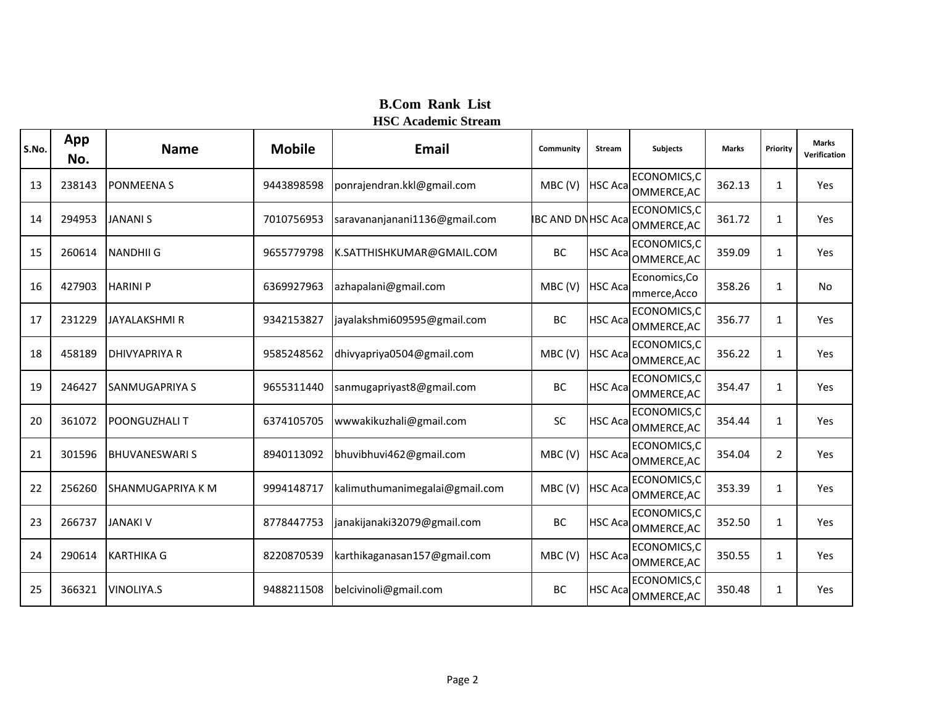| S.No. | App<br>No. | <b>Name</b>           | <b>Mobile</b> | <b>Email</b>                   | Community                | <b>Stream</b>   | <b>Subjects</b>                    | <b>Marks</b> | Priority       | <b>Marks</b><br>Verification |
|-------|------------|-----------------------|---------------|--------------------------------|--------------------------|-----------------|------------------------------------|--------------|----------------|------------------------------|
| 13    | 238143     | <b>PONMEENA S</b>     | 9443898598    | ponrajendran.kkl@gmail.com     | MBC(V)                   | <b>HSC Aca</b>  | ECONOMICS,C<br>OMMERCE, AC         | 362.13       | $\mathbf{1}$   | Yes                          |
| 14    | 294953     | <b>JANANI S</b>       | 7010756953    | saravananjanani1136@gmail.com  | <b>IBC AND DNHSC Aca</b> |                 | ECONOMICS, C<br>OMMERCE, AC        | 361.72       | $\mathbf{1}$   | Yes                          |
| 15    | 260614     | <b>NANDHII G</b>      | 9655779798    | K.SATTHISHKUMAR@GMAIL.COM      | BC                       | <b>HSC Acal</b> | ECONOMICS,C<br>OMMERCE, AC         | 359.09       | $\mathbf{1}$   | Yes                          |
| 16    | 427903     | <b>HARINIP</b>        | 6369927963    | azhapalani@gmail.com           | MBC(V)                   | <b>HSC Aca</b>  | Economics, Co<br>mmerce, Acco      | 358.26       | $\mathbf{1}$   | No                           |
| 17    | 231229     | <b>JAYALAKSHMI R</b>  | 9342153827    | jayalakshmi609595@gmail.com    | BC                       | <b>HSC Aca</b>  | ECONOMICS, C<br>OMMERCE, AC        | 356.77       | $\mathbf{1}$   | Yes                          |
| 18    | 458189     | <b>DHIVYAPRIYA R</b>  | 9585248562    | dhivyapriya0504@gmail.com      | MBC(V)                   | <b>HSC Aca</b>  | ECONOMICS,C<br>OMMERCE, AC         | 356.22       | $\mathbf{1}$   | Yes                          |
| 19    | 246427     | <b>SANMUGAPRIYA S</b> | 9655311440    | sanmugapriyast8@gmail.com      | <b>BC</b>                | <b>HSC Aca</b>  | ECONOMICS,C<br>OMMERCE, AC         | 354.47       | 1              | Yes                          |
| 20    | 361072     | <b>POONGUZHALIT</b>   | 6374105705    | wwwakikuzhali@gmail.com        | <b>SC</b>                | <b>HSC Aca</b>  | ECONOMICS,C<br>OMMERCE, AC         | 354.44       | $\mathbf{1}$   | Yes                          |
| 21    | 301596     | <b>BHUVANESWARIS</b>  | 8940113092    | bhuvibhuvi462@gmail.com        | MBC(V)                   | <b>HSC Aca</b>  | ECONOMICS,C<br>OMMERCE, AC         | 354.04       | $\overline{2}$ | Yes                          |
| 22    | 256260     | SHANMUGAPRIYA K M     | 9994148717    | kalimuthumanimegalai@gmail.com | MBC(V)                   |                 | ECONOMICS,C<br>HSC Aca OMMERCE, AC | 353.39       | $\mathbf{1}$   | Yes                          |
| 23    | 266737     | <b>JANAKI V</b>       | 8778447753    | janakijanaki32079@gmail.com    | BC                       | <b>HSC Acal</b> | ECONOMICS,C<br>OMMERCE, AC         | 352.50       | $\mathbf{1}$   | Yes                          |
| 24    | 290614     | <b>KARTHIKA G</b>     | 8220870539    | karthikaganasan157@gmail.com   | MBC(V)                   | <b>HSC Acal</b> | ECONOMICS, C<br>OMMERCE, AC        | 350.55       | 1              | Yes                          |
| 25    | 366321     | <b>VINOLIYA.S</b>     | 9488211508    | belcivinoli@gmail.com          | BC                       | HSC Aca         | ECONOMICS,C<br>OMMERCE, AC         | 350.48       | $\mathbf{1}$   | Yes                          |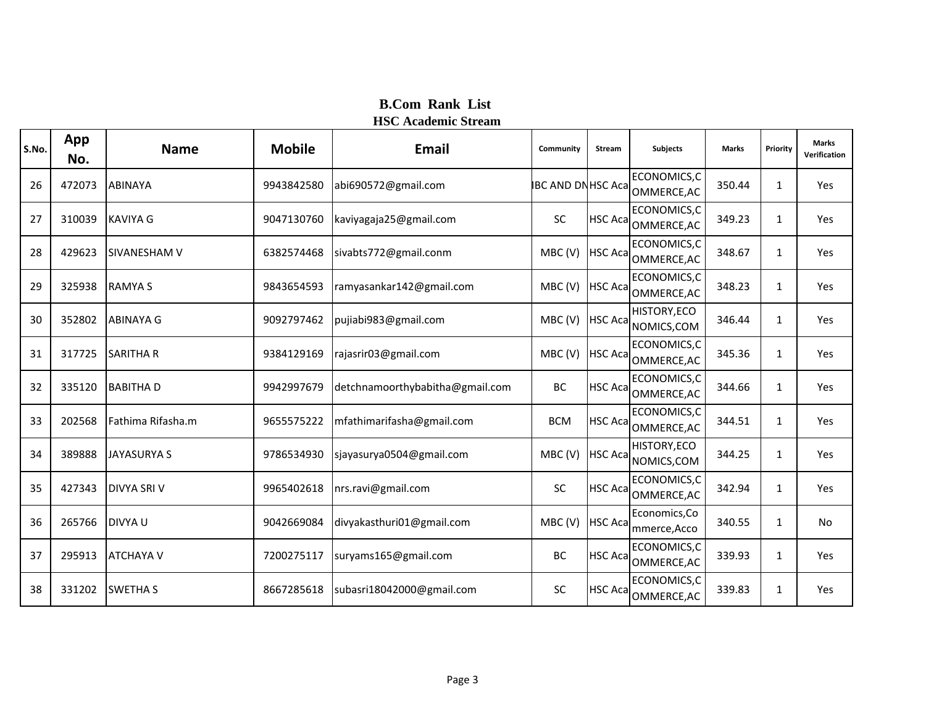| S.No. | App<br>No. | <b>Name</b>         | <b>Mobile</b> | Email                           | Community                | <b>Stream</b>   | <b>Subjects</b>                    | <b>Marks</b> | Priority     | <b>Marks</b><br>Verification |
|-------|------------|---------------------|---------------|---------------------------------|--------------------------|-----------------|------------------------------------|--------------|--------------|------------------------------|
| 26    | 472073     | <b>ABINAYA</b>      | 9943842580    | abi690572@gmail.com             | <b>IBC AND DNHSC Aca</b> |                 | ECONOMICS,C<br>OMMERCE, AC         | 350.44       | $\mathbf{1}$ | Yes                          |
| 27    | 310039     | <b>KAVIYA G</b>     | 9047130760    | kaviyagaja25@gmail.com          | SC                       | <b>HSC Acal</b> | ECONOMICS, C<br>OMMERCE, AC        | 349.23       | $\mathbf{1}$ | Yes                          |
| 28    | 429623     | <b>SIVANESHAM V</b> | 6382574468    | sivabts772@gmail.conm           | MBC(V)                   | <b>HSC Aca</b>  | ECONOMICS, C<br>OMMERCE, AC        | 348.67       | $\mathbf{1}$ | Yes                          |
| 29    | 325938     | <b>RAMYA S</b>      | 9843654593    | ramyasankar142@gmail.com        | MBC(V)                   | <b>HSC Aca</b>  | ECONOMICS,C<br>OMMERCE, AC         | 348.23       | $\mathbf{1}$ | Yes                          |
| 30    | 352802     | <b>ABINAYA G</b>    | 9092797462    | pujiabi983@gmail.com            | MBC(V)                   | <b>HSC Aca</b>  | HISTORY, ECO<br>NOMICS, COM        | 346.44       | $\mathbf{1}$ | Yes                          |
| 31    | 317725     | <b>SARITHA R</b>    | 9384129169    | rajasrir03@gmail.com            | MBC(V)                   | <b>HSC Aca</b>  | ECONOMICS, C<br>OMMERCE, AC        | 345.36       | $\mathbf{1}$ | Yes                          |
| 32    | 335120     | <b>BABITHAD</b>     | 9942997679    | detchnamoorthybabitha@gmail.com | BC                       | <b>HSC Acal</b> | ECONOMICS, C<br>OMMERCE, AC        | 344.66       | $\mathbf{1}$ | Yes                          |
| 33    | 202568     | Fathima Rifasha.m   | 9655575222    | mfathimarifasha@gmail.com       | <b>BCM</b>               | <b>HSC Acal</b> | ECONOMICS, C<br>OMMERCE, AC        | 344.51       | $\mathbf{1}$ | Yes                          |
| 34    | 389888     | <b>JAYASURYA S</b>  | 9786534930    | sjayasurya0504@gmail.com        | MBC(V)                   | <b>HSC Acal</b> | HISTORY, ECO<br>NOMICS, COM        | 344.25       | $\mathbf{1}$ | Yes                          |
| 35    | 427343     | <b>DIVYA SRIV</b>   | 9965402618    | nrs.ravi@gmail.com              | SC                       |                 | ECONOMICS,C<br>HSC Aca OMMERCE, AC | 342.94       | 1            | Yes                          |
| 36    | 265766     | <b>DIVYAU</b>       | 9042669084    | divyakasthuri01@gmail.com       | MBC(V)                   | <b>HSC Aca</b>  | Economics, Co<br>mmerce, Acco      | 340.55       | $\mathbf{1}$ | <b>No</b>                    |
| 37    | 295913     | <b>ATCHAYA V</b>    | 7200275117    | suryams165@gmail.com            | BC                       | <b>HSC Acal</b> | ECONOMICS, C<br>OMMERCE, AC        | 339.93       | $\mathbf{1}$ | Yes                          |
| 38    | 331202     | <b>SWETHA S</b>     | 8667285618    | subasri18042000@gmail.com       | <b>SC</b>                | <b>HSC Acal</b> | ECONOMICS,C<br>OMMERCE, AC         | 339.83       | $\mathbf{1}$ | Yes                          |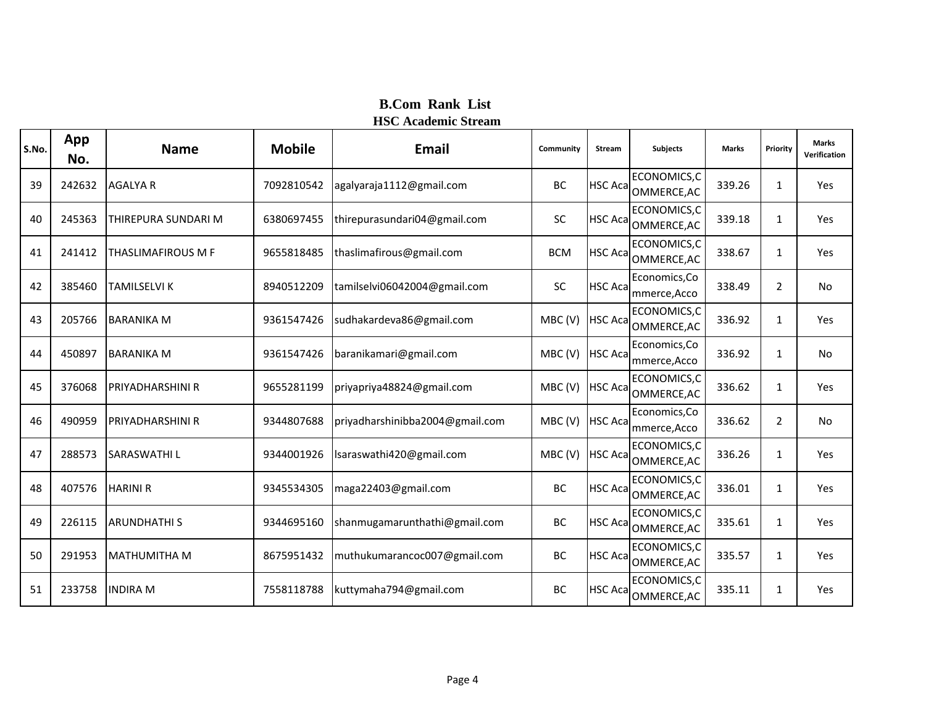| S.No. | App<br>No. | <b>Name</b>               | <b>Mobile</b> | Email                           | Community  | <b>Stream</b>   | Subjects                           | <b>Marks</b> | Priority       | <b>Marks</b><br>Verification |
|-------|------------|---------------------------|---------------|---------------------------------|------------|-----------------|------------------------------------|--------------|----------------|------------------------------|
| 39    | 242632     | <b>AGALYA R</b>           | 7092810542    | agalyaraja1112@gmail.com        | <b>BC</b>  | <b>HSC Acal</b> | ECONOMICS, C<br>OMMERCE, AC        | 339.26       | $\mathbf{1}$   | Yes                          |
| 40    | 245363     | THIREPURA SUNDARI M       | 6380697455    | thirepurasundari04@gmail.com    | <b>SC</b>  | <b>HSC Acal</b> | ECONOMICS, C<br>OMMERCE, AC        | 339.18       | $\mathbf{1}$   | Yes                          |
| 41    | 241412     | <b>THASLIMAFIROUS M F</b> | 9655818485    | thaslimafirous@gmail.com        | <b>BCM</b> | <b>HSC Aca</b>  | ECONOMICS,C<br>OMMERCE, AC         | 338.67       | $\mathbf{1}$   | Yes                          |
| 42    | 385460     | <b>TAMILSELVI K</b>       | 8940512209    | tamilselvi06042004@gmail.com    | SC         | <b>HSC Aca</b>  | Economics, Co<br>mmerce, Acco      | 338.49       | $\overline{2}$ | No                           |
| 43    | 205766     | <b>BARANIKA M</b>         | 9361547426    | sudhakardeva86@gmail.com        | MBC(V)     | <b>HSC Aca</b>  | ECONOMICS,C<br>OMMERCE, AC         | 336.92       | $\mathbf{1}$   | Yes                          |
| 44    | 450897     | <b>BARANIKA M</b>         | 9361547426    | baranikamari@gmail.com          | MBC(V)     | <b>HSC Aca</b>  | Economics, Co<br>mmerce, Acco      | 336.92       | $\mathbf{1}$   | <b>No</b>                    |
| 45    | 376068     | <b>PRIYADHARSHINI R</b>   | 9655281199    | priyapriya48824@gmail.com       | MBC(V)     | <b>HSC Aca</b>  | ECONOMICS,C<br>OMMERCE, AC         | 336.62       | $\mathbf{1}$   | Yes                          |
| 46    | 490959     | <b>PRIYADHARSHINI R</b>   | 9344807688    | priyadharshinibba2004@gmail.com | MBC(V)     | <b>HSC Aca</b>  | Economics, Co<br>mmerce, Acco      | 336.62       | $\overline{2}$ | <b>No</b>                    |
| 47    | 288573     | <b>SARASWATHIL</b>        | 9344001926    | lsaraswathi420@gmail.com        | MBC(V)     | <b>HSC Acal</b> | ECONOMICS,C<br>OMMERCE, AC         | 336.26       | $\mathbf{1}$   | Yes                          |
| 48    | 407576     | <b>HARINI R</b>           | 9345534305    | maga22403@gmail.com             | <b>BC</b>  |                 | ECONOMICS,C<br>HSC Aca OMMERCE, AC | 336.01       | 1              | Yes                          |
| 49    | 226115     | <b>ARUNDHATHIS</b>        | 9344695160    | shanmugamarunthathi@gmail.com   | <b>BC</b>  | <b>HSC Aca</b>  | ECONOMICS,C<br>OMMERCE, AC         | 335.61       | $\mathbf{1}$   | Yes                          |
| 50    | 291953     | <b>MATHUMITHA M</b>       | 8675951432    | muthukumarancoc007@gmail.com    | BC         | <b>HSC Acal</b> | ECONOMICS, C<br>OMMERCE, AC        | 335.57       | $\mathbf{1}$   | Yes                          |
| 51    | 233758     | <b>INDIRA M</b>           | 7558118788    | kuttymaha794@gmail.com          | BC         | <b>HSC Aca</b>  | ECONOMICS,C<br>OMMERCE, AC         | 335.11       | $\mathbf{1}$   | Yes                          |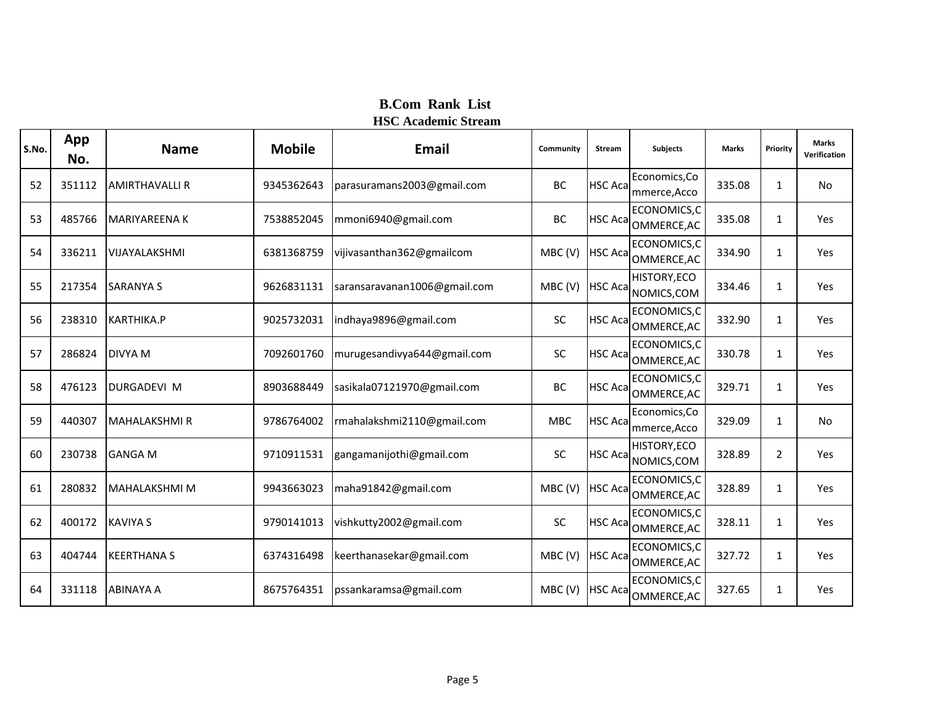| S.No. | App<br>No. | <b>Name</b>           | <b>Mobile</b> | <b>Email</b>                 | Community  | <b>Stream</b>   | <b>Subjects</b>                    | <b>Marks</b> | Priority       | <b>Marks</b><br>Verification |
|-------|------------|-----------------------|---------------|------------------------------|------------|-----------------|------------------------------------|--------------|----------------|------------------------------|
| 52    | 351112     | <b>AMIRTHAVALLI R</b> | 9345362643    | parasuramans2003@gmail.com   | BC         | <b>HSC Aca</b>  | Economics, Co<br>mmerce, Acco      | 335.08       | $\mathbf{1}$   | No                           |
| 53    | 485766     | <b>MARIYAREENA K</b>  | 7538852045    | mmoni6940@gmail.com          | BC         | <b>HSC Acal</b> | ECONOMICS,C<br>OMMERCE, AC         | 335.08       | $\mathbf{1}$   | Yes                          |
| 54    | 336211     | <b>VIJAYALAKSHMI</b>  | 6381368759    | vijivasanthan362@gmailcom    | MBC(V)     | <b>HSC Acal</b> | ECONOMICS,C<br>OMMERCE, AC         | 334.90       | $\mathbf{1}$   | Yes                          |
| 55    | 217354     | <b>SARANYA S</b>      | 9626831131    | saransaravanan1006@gmail.com | MBC(V)     | <b>HSC Aca</b>  | <b>HISTORY, ECO</b><br>NOMICS, COM | 334.46       | $\mathbf{1}$   | Yes                          |
| 56    | 238310     | <b>KARTHIKA.P</b>     | 9025732031    | indhaya9896@gmail.com        | SC         | <b>HSC Acal</b> | ECONOMICS,C<br>OMMERCE, AC         | 332.90       | $\mathbf{1}$   | Yes                          |
| 57    | 286824     | <b>DIVYA M</b>        | 7092601760    | murugesandivya644@gmail.com  | SC         | <b>HSC Acal</b> | ECONOMICS, C<br>OMMERCE, AC        | 330.78       | $\mathbf{1}$   | Yes                          |
| 58    | 476123     | <b>DURGADEVI M</b>    | 8903688449    | sasikala07121970@gmail.com   | BC         | <b>HSC Acal</b> | ECONOMICS,C<br>OMMERCE, AC         | 329.71       | $\mathbf{1}$   | Yes                          |
| 59    | 440307     | <b>MAHALAKSHMI R</b>  | 9786764002    | rmahalakshmi2110@gmail.com   | <b>MBC</b> | <b>HSC Aca</b>  | Economics, Co<br>mmerce, Acco      | 329.09       | $\mathbf{1}$   | <b>No</b>                    |
| 60    | 230738     | <b>GANGA M</b>        | 9710911531    | gangamanijothi@gmail.com     | SC         | <b>HSC Acal</b> | <b>HISTORY, ECO</b><br>NOMICS, COM | 328.89       | $\overline{2}$ | Yes                          |
| 61    | 280832     | <b>MAHALAKSHMI M</b>  | 9943663023    | maha91842@gmail.com          | MBC(V)     |                 | ECONOMICS,C<br>HSC Aca OMMERCE, AC | 328.89       | $\mathbf{1}$   | Yes                          |
| 62    | 400172     | <b>KAVIYA S</b>       | 9790141013    | vishkutty2002@gmail.com      | <b>SC</b>  | <b>HSC Aca</b>  | ECONOMICS,C<br>OMMERCE, AC         | 328.11       | $\mathbf{1}$   | Yes                          |
| 63    | 404744     | <b>KEERTHANA S</b>    | 6374316498    | keerthanasekar@gmail.com     | MBC(V)     | <b>HSC Aca</b>  | ECONOMICS,C<br>OMMERCE, AC         | 327.72       | $\mathbf{1}$   | Yes                          |
| 64    | 331118     | <b>ABINAYA A</b>      | 8675764351    | pssankaramsa@gmail.com       | MBC(V)     | <b>HSC Acal</b> | ECONOMICS,C<br>OMMERCE, AC         | 327.65       | $\mathbf{1}$   | Yes                          |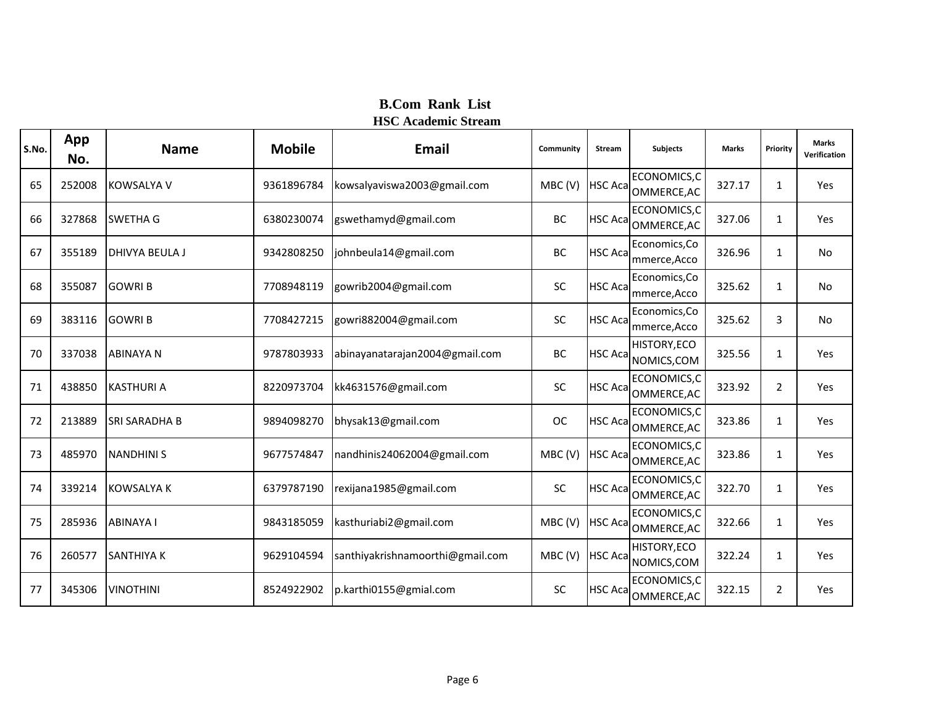| S.No. | App<br>No. | <b>Name</b>          | <b>Mobile</b> | <b>Email</b>                     | Community | <b>Stream</b>   | <b>Subjects</b>               | <b>Marks</b> | Priority       | <b>Marks</b><br>Verification |
|-------|------------|----------------------|---------------|----------------------------------|-----------|-----------------|-------------------------------|--------------|----------------|------------------------------|
| 65    | 252008     | <b>KOWSALYA V</b>    | 9361896784    | kowsalyaviswa2003@gmail.com      | MBC(V)    | <b>HSC Aca</b>  | ECONOMICS,C<br>OMMERCE, AC    | 327.17       | 1              | Yes                          |
| 66    | 327868     | <b>SWETHA G</b>      | 6380230074    | gswethamyd@gmail.com             | BC        | <b>HSC Aca</b>  | ECONOMICS,C<br>OMMERCE, AC    | 327.06       | 1              | Yes                          |
| 67    | 355189     | DHIVYA BEULA J       | 9342808250    | johnbeula14@gmail.com            | BC        | <b>HSC Acal</b> | Economics, Co<br>mmerce, Acco | 326.96       | 1              | No                           |
| 68    | 355087     | <b>GOWRIB</b>        | 7708948119    | gowrib2004@gmail.com             | SC        | <b>HSC Aca</b>  | Economics, Co<br>mmerce, Acco | 325.62       | 1              | No                           |
| 69    | 383116     | <b>GOWRIB</b>        | 7708427215    | gowri882004@gmail.com            | <b>SC</b> | <b>HSC Aca</b>  | Economics, Co<br>mmerce, Acco | 325.62       | 3              | No                           |
| 70    | 337038     | <b>ABINAYA N</b>     | 9787803933    | abinayanatarajan2004@gmail.com   | BC        | <b>HSC Acal</b> | HISTORY, ECO<br>NOMICS, COM   | 325.56       | 1              | Yes                          |
| 71    | 438850     | <b>KASTHURI A</b>    | 8220973704    | kk4631576@gmail.com              | SC        | <b>HSC Aca</b>  | ECONOMICS,C<br>OMMERCE, AC    | 323.92       | $\overline{2}$ | Yes                          |
| 72    | 213889     | <b>SRI SARADHA B</b> | 9894098270    | bhysak13@gmail.com               | <b>OC</b> | <b>HSC Aca</b>  | ECONOMICS,C<br>OMMERCE, AC    | 323.86       | 1              | Yes                          |
| 73    | 485970     | <b>NANDHINIS</b>     | 9677574847    | nandhinis24062004@gmail.com      | MBC(V)    | <b>HSC Aca</b>  | ECONOMICS,C<br>OMMERCE, AC    | 323.86       | $\mathbf{1}$   | Yes                          |
| 74    | 339214     | <b>KOWSALYA K</b>    | 6379787190    | rexijana1985@gmail.com           | SC        | <b>HSC Aca</b>  | ECONOMICS,C<br>OMMERCE, AC    | 322.70       | 1              | Yes                          |
| 75    | 285936     | <b>ABINAYA I</b>     | 9843185059    | kasthuriabi2@gmail.com           | MBC(V)    | <b>HSC Aca</b>  | ECONOMICS,C<br>OMMERCE, AC    | 322.66       | 1              | Yes                          |
| 76    | 260577     | <b>SANTHIYA K</b>    | 9629104594    | santhiyakrishnamoorthi@gmail.com | MBC(V)    | <b>HSC Aca</b>  | HISTORY, ECO<br>NOMICS, COM   | 322.24       | 1              | Yes                          |
| 77    | 345306     | <b>VINOTHINI</b>     | 8524922902    | p.karthi0155@gmial.com           | <b>SC</b> | <b>HSC Acal</b> | ECONOMICS,C<br>OMMERCE, AC    | 322.15       | $\overline{2}$ | Yes                          |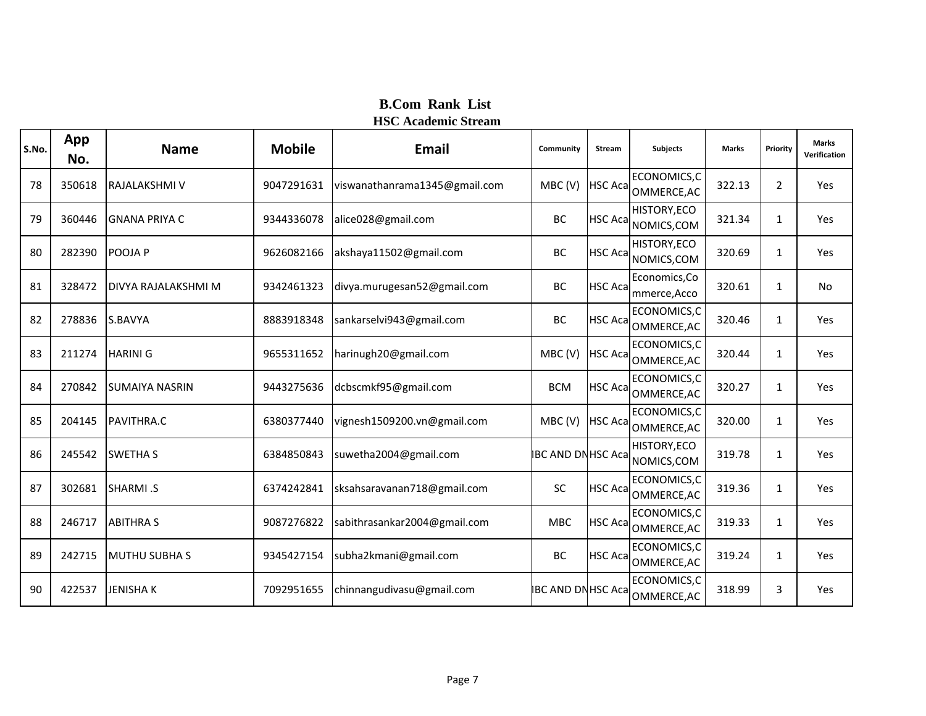| S.No. | App<br>No. | <b>Name</b>                | <b>Mobile</b> | <b>Email</b>                  | Community                | <b>Stream</b>   | <b>Subjects</b>               | <b>Marks</b> | Priority       | <b>Marks</b><br>Verification |
|-------|------------|----------------------------|---------------|-------------------------------|--------------------------|-----------------|-------------------------------|--------------|----------------|------------------------------|
| 78    | 350618     | RAJALAKSHMI V              | 9047291631    | viswanathanrama1345@gmail.com | MBC(V)                   | <b>HSC Aca</b>  | ECONOMICS,C<br>OMMERCE, AC    | 322.13       | $\overline{2}$ | Yes                          |
| 79    | 360446     | IGNANA PRIYA C             | 9344336078    | alice028@gmail.com            | BC                       | <b>HSC Acal</b> | HISTORY, ECO<br>NOMICS, COM   | 321.34       | 1              | Yes                          |
| 80    | 282390     | POOJA P                    | 9626082166    | akshaya11502@gmail.com        | BC                       | <b>HSC Acal</b> | HISTORY, ECO<br>NOMICS, COM   | 320.69       | 1              | Yes                          |
| 81    | 328472     | <b>DIVYA RAJALAKSHMI M</b> | 9342461323    | divya.murugesan52@gmail.com   | BC                       | <b>HSC Acal</b> | Economics, Co<br>mmerce, Acco | 320.61       | $\mathbf{1}$   | No                           |
| 82    | 278836     | S.BAVYA                    | 8883918348    | sankarselvi943@gmail.com      | BC                       | <b>HSC Aca</b>  | ECONOMICS,C<br>OMMERCE, AC    | 320.46       | 1              | Yes                          |
| 83    | 211274     | <b>HARINI G</b>            | 9655311652    | harinugh20@gmail.com          | MBC(V)                   | <b>HSC Aca</b>  | ECONOMICS,C<br>OMMERCE, AC    | 320.44       | 1              | Yes                          |
| 84    | 270842     | <b>SUMAIYA NASRIN</b>      | 9443275636    | dcbscmkf95@gmail.com          | <b>BCM</b>               | <b>HSC Aca</b>  | ECONOMICS,C<br>OMMERCE, AC    | 320.27       | 1              | Yes                          |
| 85    | 204145     | PAVITHRA.C                 | 6380377440    | vignesh1509200.vn@gmail.com   | MBC(V)                   | <b>HSC Aca</b>  | ECONOMICS, C<br>OMMERCE, AC   | 320.00       | 1              | Yes                          |
| 86    | 245542     | <b>SWETHA S</b>            | 6384850843    | suwetha2004@gmail.com         | <b>IBC AND DNHSC Aca</b> |                 | HISTORY, ECO<br>NOMICS, COM   | 319.78       | 1              | Yes                          |
| 87    | 302681     | SHARMI .S                  | 6374242841    | sksahsaravanan718@gmail.com   | SC                       | <b>HSC Aca</b>  | ECONOMICS, C<br>OMMERCE, AC   | 319.36       | 1              | Yes                          |
| 88    | 246717     | <b>ABITHRA S</b>           | 9087276822    | sabithrasankar2004@gmail.com  | <b>MBC</b>               | <b>HSC Aca</b>  | ECONOMICS, C<br>OMMERCE, AC   | 319.33       | 1              | Yes                          |
| 89    | 242715     | <b>MUTHU SUBHA S</b>       | 9345427154    | subha2kmani@gmail.com         | BC                       | <b>HSC Acal</b> | ECONOMICS, C<br>OMMERCE, AC   | 319.24       | $\mathbf{1}$   | Yes                          |
| 90    | 422537     | <b>JENISHAK</b>            | 7092951655    | chinnangudivasu@gmail.com     | <b>IBC AND DNHSC Aca</b> |                 | ECONOMICS,C<br>OMMERCE, AC    | 318.99       | 3              | Yes                          |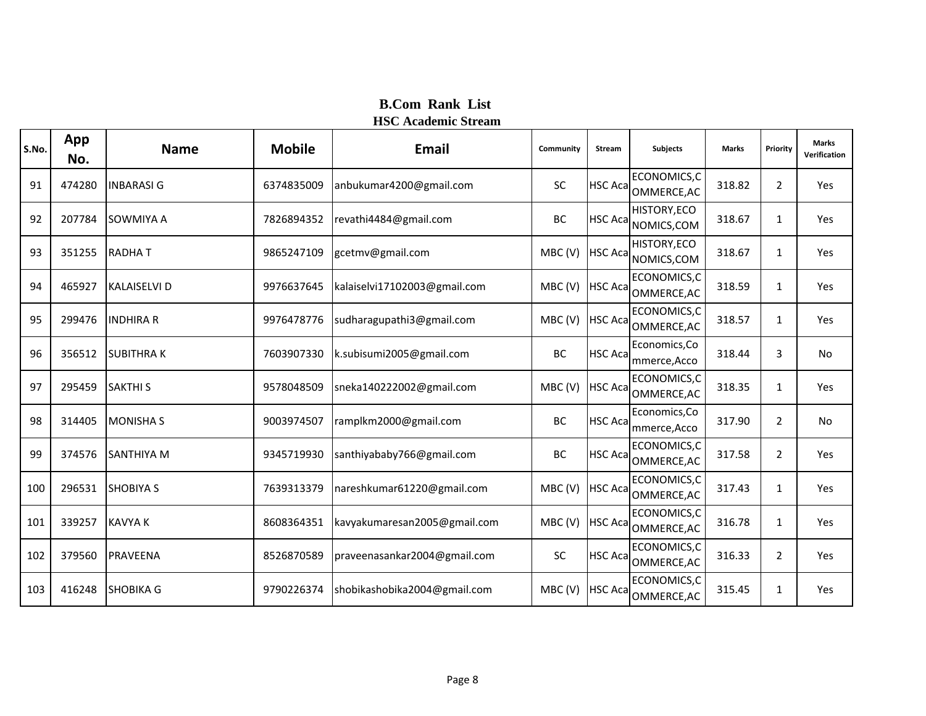| S.No. | App<br>No. | <b>Name</b>         | <b>Mobile</b> | <b>Email</b>                 | Community | <b>Stream</b>   | <b>Subjects</b>               | <b>Marks</b> | Priority       | <b>Marks</b><br>Verification |
|-------|------------|---------------------|---------------|------------------------------|-----------|-----------------|-------------------------------|--------------|----------------|------------------------------|
| 91    | 474280     | <b>INBARASIG</b>    | 6374835009    | anbukumar4200@gmail.com      | SC        | <b>HSC Aca</b>  | ECONOMICS,C<br>OMMERCE, AC    | 318.82       | $\overline{2}$ | Yes                          |
| 92    | 207784     | SOWMIYA A           | 7826894352    | revathi4484@gmail.com        | BC        | <b>HSC Acal</b> | HISTORY, ECO<br>NOMICS, COM   | 318.67       | 1              | Yes                          |
| 93    | 351255     | <b>RADHAT</b>       | 9865247109    | gcetmv@gmail.com             | MBC(V)    | <b>HSC Aca</b>  | HISTORY, ECO<br>NOMICS, COM   | 318.67       | 1              | Yes                          |
| 94    | 465927     | <b>KALAISELVI D</b> | 9976637645    | kalaiselvi17102003@gmail.com | MBC(V)    | <b>HSC Aca</b>  | ECONOMICS,C<br>OMMERCE, AC    | 318.59       | 1              | Yes                          |
| 95    | 299476     | <b>INDHIRA R</b>    | 9976478776    | sudharagupathi3@gmail.com    | MBC(V)    | <b>HSC Aca</b>  | ECONOMICS, C<br>OMMERCE, AC   | 318.57       | 1              | Yes                          |
| 96    | 356512     | <b>SUBITHRAK</b>    | 7603907330    | k.subisumi2005@gmail.com     | BC        | <b>HSC Acal</b> | Economics, Co<br>mmerce, Acco | 318.44       | 3              | No                           |
| 97    | 295459     | <b>SAKTHI S</b>     | 9578048509    | sneka140222002@gmail.com     | MBC(V)    | <b>HSC Aca</b>  | ECONOMICS,C<br>OMMERCE, AC    | 318.35       | 1              | Yes                          |
| 98    | 314405     | <b>MONISHA S</b>    | 9003974507    | ramplkm2000@gmail.com        | BC        | <b>HSC Aca</b>  | Economics, Co<br>mmerce, Acco | 317.90       | $\overline{2}$ | No                           |
| 99    | 374576     | <b>SANTHIYA M</b>   | 9345719930    | santhiyababy766@gmail.com    | BC        | <b>HSC Aca</b>  | ECONOMICS, C<br>OMMERCE, AC   | 317.58       | $\overline{2}$ | Yes                          |
| 100   | 296531     | <b>SHOBIYA S</b>    | 7639313379    | nareshkumar61220@gmail.com   | MBC(V)    | <b>HSC Aca</b>  | ECONOMICS,C<br>OMMERCE, AC    | 317.43       | 1              | Yes                          |
| 101   | 339257     | <b>KAVYA K</b>      | 8608364351    | kavyakumaresan2005@gmail.com | MBC(V)    | <b>HSC Aca</b>  | ECONOMICS, C<br>OMMERCE, AC   | 316.78       | 1              | Yes                          |
| 102   | 379560     | PRAVEENA            | 8526870589    | praveenasankar2004@gmail.com | <b>SC</b> | <b>HSC Acal</b> | ECONOMICS, C<br>OMMERCE, AC   | 316.33       | $\overline{2}$ | Yes                          |
| 103   | 416248     | <b>SHOBIKA G</b>    | 9790226374    | shobikashobika2004@gmail.com | MBC(V)    | <b>HSC Aca</b>  | ECONOMICS, C<br>OMMERCE, AC   | 315.45       | 1              | Yes                          |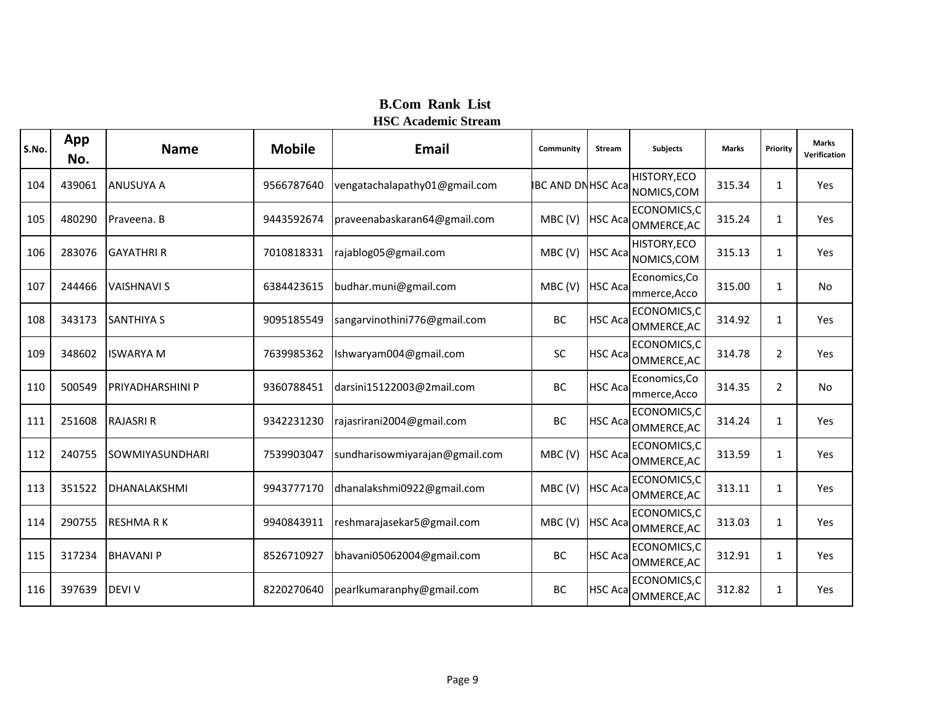| S.No. | App<br>No. | <b>Name</b>             | <b>Mobile</b> | Email                          | Community                | <b>Stream</b>   | <b>Subjects</b>                    | <b>Marks</b> | Priority       | <b>Marks</b><br>Verification |
|-------|------------|-------------------------|---------------|--------------------------------|--------------------------|-----------------|------------------------------------|--------------|----------------|------------------------------|
| 104   | 439061     | <b>ANUSUYA A</b>        | 9566787640    | vengatachalapathy01@gmail.com  | <b>IBC AND DNHSC Aca</b> |                 | <b>HISTORY, ECO</b><br>NOMICS, COM | 315.34       | $\mathbf{1}$   | Yes                          |
| 105   | 480290     | Praveena. B             | 9443592674    | praveenabaskaran64@gmail.com   | MBC(V)                   | <b>HSC Acal</b> | ECONOMICS,C<br>OMMERCE, AC         | 315.24       | 1              | Yes                          |
| 106   | 283076     | <b>GAYATHRI R</b>       | 7010818331    | rajablog05@gmail.com           | MBC(V)                   | <b>HSC Aca</b>  | HISTORY, ECO<br>NOMICS, COM        | 315.13       | $\mathbf{1}$   | Yes                          |
| 107   | 244466     | <b>VAISHNAVI S</b>      | 6384423615    | budhar.muni@gmail.com          | MBC(V)                   | <b>HSC Acal</b> | Economics, Co<br>mmerce, Acco      | 315.00       | $\mathbf{1}$   | <b>No</b>                    |
| 108   | 343173     | <b>SANTHIYA S</b>       | 9095185549    | sangarvinothini776@gmail.com   | BC                       | <b>HSC Aca</b>  | ECONOMICS,C<br>OMMERCE, AC         | 314.92       | $\mathbf{1}$   | Yes                          |
| 109   | 348602     | <b>ISWARYA M</b>        | 7639985362    | Ishwaryam004@gmail.com         | SC                       | <b>HSC Aca</b>  | ECONOMICS,C<br>OMMERCE, AC         | 314.78       | $\overline{2}$ | Yes                          |
| 110   | 500549     | <b>PRIYADHARSHINI P</b> | 9360788451    | darsini15122003@2mail.com      | BC                       | <b>HSC Aca</b>  | Economics, Co<br>mmerce, Acco      | 314.35       | $\overline{2}$ | No                           |
| 111   | 251608     | <b>RAJASRI R</b>        | 9342231230    | rajasrirani2004@gmail.com      | BC                       | <b>HSC Aca</b>  | ECONOMICS, C<br>OMMERCE, AC        | 314.24       | $\mathbf{1}$   | Yes                          |
| 112   | 240755     | SOWMIYASUNDHARI         | 7539903047    | sundharisowmiyarajan@gmail.com | MBC(V)                   | <b>HSC Acal</b> | ECONOMICS,C<br>OMMERCE, AC         | 313.59       | $\mathbf{1}$   | Yes                          |
| 113   | 351522     | <b>DHANALAKSHMI</b>     | 9943777170    | dhanalakshmi0922@gmail.com     | MBC(V)                   |                 | ECONOMICS,C<br>HSC Aca OMMERCE, AC | 313.11       | $\mathbf{1}$   | Yes                          |
| 114   | 290755     | <b>RESHMARK</b>         | 9940843911    | reshmarajasekar5@gmail.com     | MBC(V)                   | <b>HSC Acal</b> | ECONOMICS,C<br>OMMERCE, AC         | 313.03       | $\mathbf{1}$   | Yes                          |
| 115   | 317234     | <b>BHAVANIP</b>         | 8526710927    | bhavani05062004@gmail.com      | BC                       | <b>HSC Acal</b> | ECONOMICS, C<br>OMMERCE, AC        | 312.91       | $\mathbf{1}$   | Yes                          |
| 116   | 397639     | <b>DEVI V</b>           | 8220270640    | pearlkumaranphy@gmail.com      | BC                       | <b>HSC Aca</b>  | ECONOMICS,C<br>OMMERCE, AC         | 312.82       | 1              | Yes                          |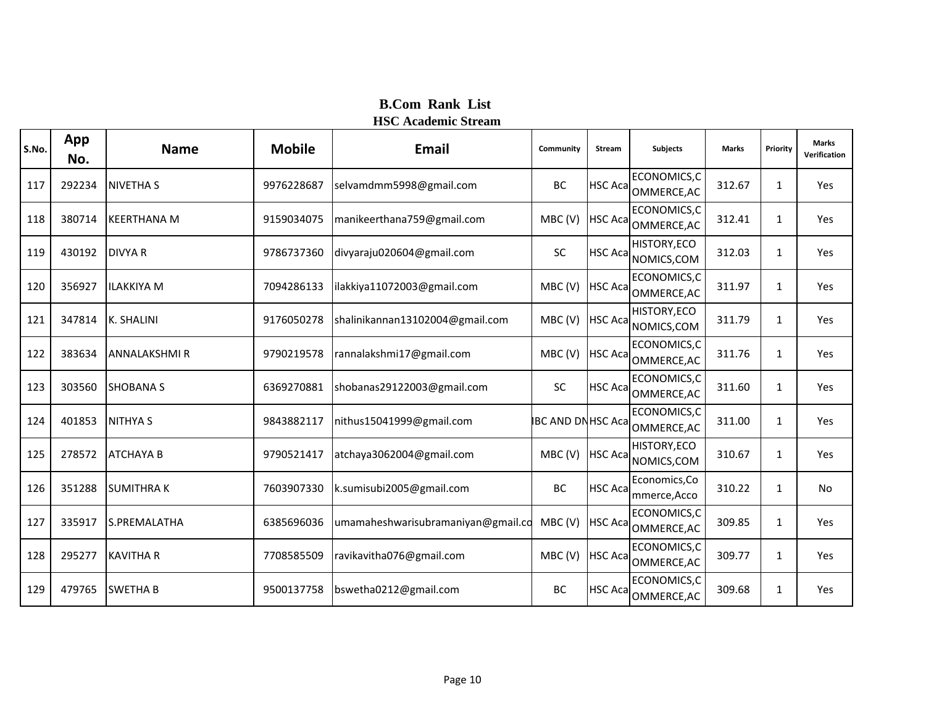| S.No. | App<br>No. | <b>Name</b>         | <b>Mobile</b> | <b>Email</b>                       | Community                | <b>Stream</b>   | <b>Subjects</b>               | <b>Marks</b> | Priority     | <b>Marks</b><br>Verification |
|-------|------------|---------------------|---------------|------------------------------------|--------------------------|-----------------|-------------------------------|--------------|--------------|------------------------------|
| 117   | 292234     | <b>NIVETHA S</b>    | 9976228687    | selvamdmm5998@gmail.com            | <b>BC</b>                | <b>HSC Acal</b> | ECONOMICS,C<br>OMMERCE, AC    | 312.67       | $\mathbf{1}$ | Yes                          |
| 118   | 380714     | <b>KEERTHANA M</b>  | 9159034075    | manikeerthana759@gmail.com         | MBC(V)                   | <b>HSC Aca</b>  | ECONOMICS,C<br>OMMERCE, AC    | 312.41       | 1            | Yes                          |
| 119   | 430192     | <b>DIVYA R</b>      | 9786737360    | divyaraju020604@gmail.com          | <b>SC</b>                | <b>HSC Acal</b> | HISTORY, ECO<br>NOMICS, COM   | 312.03       | $\mathbf{1}$ | Yes                          |
| 120   | 356927     | <b>ILAKKIYA M</b>   | 7094286133    | ilakkiya11072003@gmail.com         | MBC(V)                   | <b>HSC Aca</b>  | ECONOMICS,C<br>OMMERCE, AC    | 311.97       | $\mathbf{1}$ | Yes                          |
| 121   | 347814     | <b>K. SHALINI</b>   | 9176050278    | shalinikannan13102004@gmail.com    | MBC(V)                   | <b>HSC Acal</b> | HISTORY, ECO<br>NOMICS, COM   | 311.79       | $\mathbf{1}$ | Yes                          |
| 122   | 383634     | <b>ANNALAKSHMIR</b> | 9790219578    | rannalakshmi17@gmail.com           | MBC(V)                   | <b>HSC Aca</b>  | ECONOMICS,C<br>OMMERCE, AC    | 311.76       | $\mathbf{1}$ | Yes                          |
| 123   | 303560     | <b>SHOBANA S</b>    | 6369270881    | shobanas29122003@gmail.com         | SC                       | <b>HSC Acal</b> | ECONOMICS, C<br>OMMERCE, AC   | 311.60       | 1            | Yes                          |
| 124   | 401853     | <b>NITHYA S</b>     | 9843882117    | nithus15041999@gmail.com           | <b>IBC AND DNHSC Aca</b> |                 | ECONOMICS, C<br>OMMERCE, AC   | 311.00       | $\mathbf{1}$ | Yes                          |
| 125   | 278572     | <b>ATCHAYA B</b>    | 9790521417    | atchaya3062004@gmail.com           | MBC(V)                   | <b>HSC Aca</b>  | HISTORY, ECO<br>NOMICS, COM   | 310.67       | $\mathbf{1}$ | Yes                          |
| 126   | 351288     | <b>SUMITHRAK</b>    | 7603907330    | k.sumisubi2005@gmail.com           | BC                       | <b>HSC Aca</b>  | Economics, Co<br>mmerce, Acco | 310.22       | $\mathbf{1}$ | No                           |
| 127   | 335917     | S.PREMALATHA        | 6385696036    | umamaheshwarisubramaniyan@gmail.co | MBC(V)                   | <b>HSC Aca</b>  | ECONOMICS, C<br>OMMERCE, AC   | 309.85       | $\mathbf{1}$ | Yes                          |
| 128   | 295277     | <b>KAVITHA R</b>    | 7708585509    | ravikavitha076@gmail.com           | MBC(V)                   | <b>HSC Aca</b>  | ECONOMICS, C<br>OMMERCE, AC   | 309.77       | $\mathbf{1}$ | Yes                          |
| 129   | 479765     | <b>SWETHA B</b>     | 9500137758    | bswetha0212@gmail.com              | BC                       | <b>HSC Aca</b>  | ECONOMICS, C<br>OMMERCE, AC   | 309.68       | $\mathbf{1}$ | Yes                          |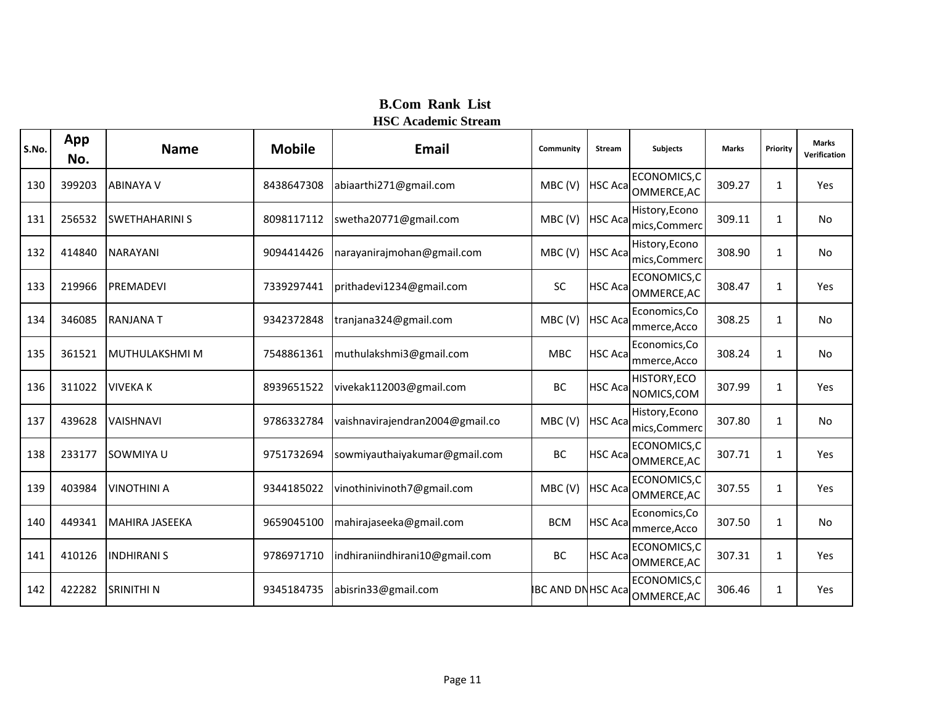| S.No. | App<br>No. | <b>Name</b>           | <b>Mobile</b> | Email                           | Community                | Stream         | <b>Subjects</b>                    | <b>Marks</b> | Priority     | <b>Marks</b><br>Verification |
|-------|------------|-----------------------|---------------|---------------------------------|--------------------------|----------------|------------------------------------|--------------|--------------|------------------------------|
| 130   | 399203     | <b>ABINAYA V</b>      | 8438647308    | abiaarthi271@gmail.com          | MBC(V)                   | <b>HSC Aca</b> | ECONOMICS,C<br>OMMERCE, AC         | 309.27       | 1            | Yes                          |
| 131   | 256532     | <b>SWETHAHARINI S</b> | 8098117112    | swetha20771@gmail.com           | MBC(V)                   | <b>HSC Aca</b> | History, Econo<br>mics, Commerc    | 309.11       | $\mathbf{1}$ | <b>No</b>                    |
| 132   | 414840     | <b>NARAYANI</b>       | 9094414426    | narayanirajmohan@gmail.com      | MBC(V)                   | <b>HSC Aca</b> | History, Econo<br>mics, Commerc    | 308.90       | $\mathbf{1}$ | <b>No</b>                    |
| 133   | 219966     | <b>PREMADEVI</b>      | 7339297441    | prithadevi1234@gmail.com        | SC                       | <b>HSC Aca</b> | ECONOMICS,C<br>OMMERCE, AC         | 308.47       | 1            | Yes                          |
| 134   | 346085     | <b>RANJANAT</b>       | 9342372848    | tranjana324@gmail.com           | MBC(V)                   | <b>HSC Aca</b> | Economics, Co<br>mmerce, Acco      | 308.25       | 1            | No.                          |
| 135   | 361521     | MUTHULAKSHMI M        | 7548861361    | muthulakshmi3@gmail.com         | <b>MBC</b>               | <b>HSC Aca</b> | Economics, Co<br>mmerce, Acco      | 308.24       | 1            | No                           |
| 136   | 311022     | <b>VIVEKA K</b>       | 8939651522    | vivekak112003@gmail.com         | BC                       | <b>HSC Aca</b> | HISTORY, ECO<br>NOMICS, COM        | 307.99       | 1            | Yes                          |
| 137   | 439628     | <b>VAISHNAVI</b>      | 9786332784    | vaishnavirajendran2004@gmail.co | MBC(V)                   | <b>HSC Aca</b> | History, Econo<br>mics, Commerc    | 307.80       | 1            | <b>No</b>                    |
| 138   | 233177     | SOWMIYA U             | 9751732694    | sowmiyauthaiyakumar@gmail.com   | BC                       | <b>HSC Aca</b> | ECONOMICS,C<br>OMMERCE, AC         | 307.71       | 1            | Yes                          |
| 139   | 403984     | <b>VINOTHINI A</b>    | 9344185022    | vinothinivinoth7@gmail.com      | MBC(V)                   |                | ECONOMICS,C<br>HSC Aca OMMERCE, AC | 307.55       | 1            | Yes                          |
| 140   | 449341     | <b>MAHIRA JASEEKA</b> | 9659045100    | mahirajaseeka@gmail.com         | <b>BCM</b>               | <b>HSC Aca</b> | Economics, Co<br>mmerce, Acco      | 307.50       | 1            | No.                          |
| 141   | 410126     | <b>INDHIRANI S</b>    | 9786971710    | indhiraniindhirani10@gmail.com  | BC                       | <b>HSC Aca</b> | ECONOMICS,C<br>OMMERCE, AC         | 307.31       | 1            | Yes                          |
| 142   | 422282     | <b>SRINITHI N</b>     | 9345184735    | abisrin33@gmail.com             | <b>IBC AND DNHSC Aca</b> |                | ECONOMICS,C<br>OMMERCE, AC         | 306.46       | $\mathbf{1}$ | Yes                          |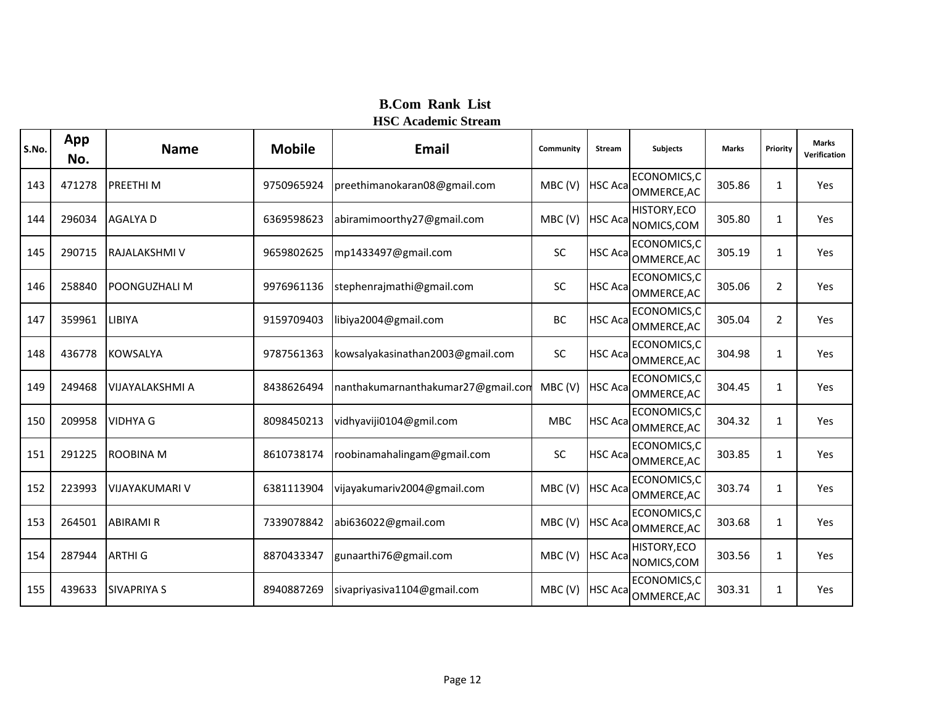| S.No. | App<br>No. | <b>Name</b>            | <b>Mobile</b> | <b>Email</b>                       | Community | <b>Stream</b>   | <b>Subjects</b>                     | <b>Marks</b> | Priority       | <b>Marks</b><br>Verification |
|-------|------------|------------------------|---------------|------------------------------------|-----------|-----------------|-------------------------------------|--------------|----------------|------------------------------|
| 143   | 471278     | <b>PREETHIM</b>        | 9750965924    | preethimanokaran08@gmail.com       | MBC(V)    | <b>HSC Aca</b>  | ECONOMICS,C<br>OMMERCE, AC          | 305.86       | 1              | Yes                          |
| 144   | 296034     | <b>AGALYA D</b>        | 6369598623    | abiramimoorthy27@gmail.com         | MBC(V)    | <b>HSC Aca</b>  | HISTORY, ECO<br>NOMICS, COM         | 305.80       | 1              | Yes                          |
| 145   | 290715     | RAJALAKSHMI V          | 9659802625    | mp1433497@gmail.com                | <b>SC</b> | <b>HSC Acal</b> | ECONOMICS,C<br>OMMERCE, AC          | 305.19       | 1              | Yes                          |
| 146   | 258840     | <b>POONGUZHALI M</b>   | 9976961136    | stephenrajmathi@gmail.com          | <b>SC</b> | <b>HSC Aca</b>  | ECONOMICS,C<br>OMMERCE, AC          | 305.06       | $\overline{2}$ | Yes                          |
| 147   | 359961     | LIBIYA                 | 9159709403    | libiya2004@gmail.com               | BC        | <b>HSC Aca</b>  | ECONOMICS,C<br>OMMERCE, AC          | 305.04       | $\overline{2}$ | Yes                          |
| 148   | 436778     | <b>KOWSALYA</b>        | 9787561363    | kowsalyakasinathan2003@gmail.com   | <b>SC</b> | <b>HSC Aca</b>  | ECONOMICS,C<br>OMMERCE, AC          | 304.98       | 1              | Yes                          |
| 149   | 249468     | <b>VIJAYALAKSHMI A</b> | 8438626494    | nanthakumarnanthakumar27@gmail.con | MBC(V)    | <b>HSC Acal</b> | ECONOMICS,C<br>OMMERCE, AC          | 304.45       | 1              | Yes                          |
| 150   | 209958     | <b>VIDHYA G</b>        | 8098450213    | vidhyaviji0104@gmil.com            | MBC       | <b>HSC Aca</b>  | ECONOMICS,C<br>OMMERCE, AC          | 304.32       | 1              | Yes                          |
| 151   | 291225     | <b>ROOBINA M</b>       | 8610738174    | roobinamahalingam@gmail.com        | <b>SC</b> | <b>HSC Aca</b>  | ECONOMICS,C<br>OMMERCE, AC          | 303.85       | 1              | Yes                          |
| 152   | 223993     | <b>VIJAYAKUMARI V</b>  | 6381113904    | vijayakumariv2004@gmail.com        | MBC(V)    | <b>HSC Aca</b>  | ECONOMICS, C<br>OMMERCE, AC         | 303.74       | 1              | Yes                          |
| 153   | 264501     | <b>ABIRAMI R</b>       | 7339078842    | abi636022@gmail.com                | MBC(V)    | <b>HSC Aca</b>  | ECONOMICS,C<br>OMMERCE, AC          | 303.68       | 1              | Yes                          |
| 154   | 287944     | <b>ARTHIG</b>          | 8870433347    | gunaarthi76@gmail.com              | MBC(V)    |                 | HISTORY, ECO<br>HSC Aca NOMICS, COM | 303.56       | 1              | Yes                          |
| 155   | 439633     | <b>SIVAPRIYA S</b>     | 8940887269    | sivapriyasiva1104@gmail.com        | MBC(V)    | <b>HSC Aca</b>  | ECONOMICS,C<br>OMMERCE, AC          | 303.31       | 1              | Yes                          |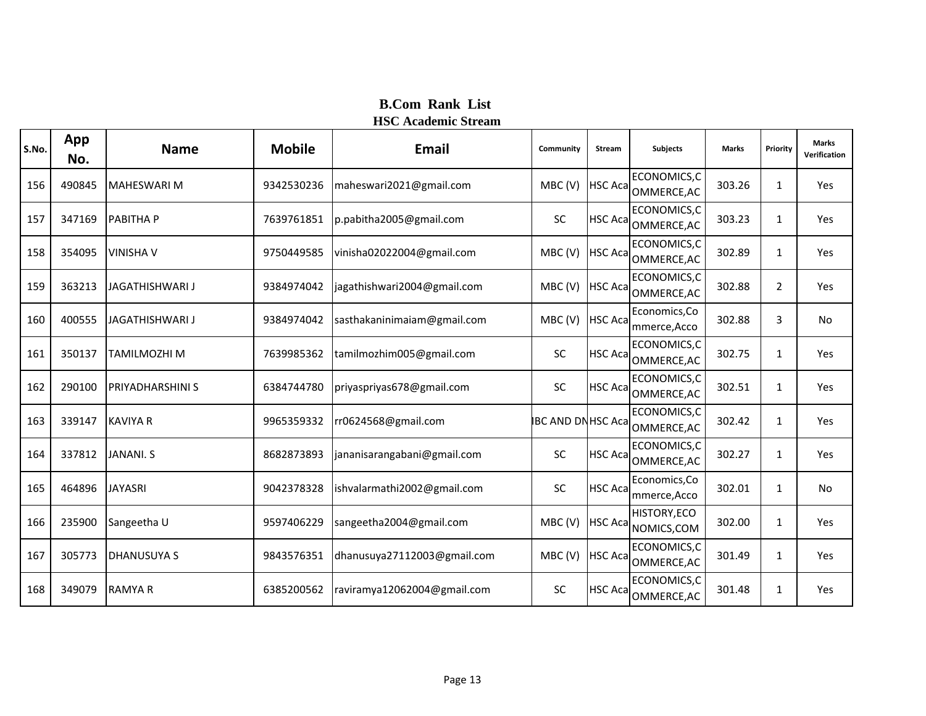| S.No. | App<br>No. | <b>Name</b>             | <b>Mobile</b> | <b>Email</b>                | Community                | <b>Stream</b>   | <b>Subjects</b>               | <b>Marks</b> | Priority     | <b>Marks</b><br>Verification |
|-------|------------|-------------------------|---------------|-----------------------------|--------------------------|-----------------|-------------------------------|--------------|--------------|------------------------------|
| 156   | 490845     | <b>MAHESWARI M</b>      | 9342530236    | maheswari2021@gmail.com     | MBC(V)                   | <b>HSC Aca</b>  | ECONOMICS, C<br>OMMERCE, AC   | 303.26       | 1            | Yes                          |
| 157   | 347169     | <b>PABITHA P</b>        | 7639761851    | p.pabitha2005@gmail.com     | <b>SC</b>                | <b>HSC Aca</b>  | ECONOMICS, C<br>OMMERCE, AC   | 303.23       | $\mathbf{1}$ | Yes                          |
| 158   | 354095     | <b>VINISHA V</b>        | 9750449585    | vinisha02022004@gmail.com   | MBC(V)                   | <b>HSC Aca</b>  | ECONOMICS,C<br>OMMERCE, AC    | 302.89       | $\mathbf{1}$ | Yes                          |
| 159   | 363213     | JAGATHISHWARI J         | 9384974042    | jagathishwari2004@gmail.com | MBC(V)                   | <b>HSC Acal</b> | ECONOMICS, C<br>OMMERCE, AC   | 302.88       | 2            | Yes                          |
| 160   | 400555     | <b>JAGATHISHWARI J</b>  | 9384974042    | sasthakaninimaiam@gmail.com | MBC(V)                   | <b>HSC Aca</b>  | Economics, Co<br>mmerce, Acco | 302.88       | 3            | No                           |
| 161   | 350137     | TAMILMOZHI M            | 7639985362    | tamilmozhim005@gmail.com    | SC                       | <b>HSC Aca</b>  | ECONOMICS, C<br>OMMERCE, AC   | 302.75       | 1            | Yes                          |
| 162   | 290100     | <b>PRIYADHARSHINI S</b> | 6384744780    | priyaspriyas678@gmail.com   | SC                       | <b>HSC Acal</b> | ECONOMICS, C<br>OMMERCE, AC   | 302.51       | 1            | Yes                          |
| 163   | 339147     | <b>KAVIYA R</b>         | 9965359332    | rr0624568@gmail.com         | <b>IBC AND DNHSC Aca</b> |                 | ECONOMICS,C<br>OMMERCE, AC    | 302.42       | $\mathbf{1}$ | Yes                          |
| 164   | 337812     | <b>JANANI, S</b>        | 8682873893    | jananisarangabani@gmail.com | SC                       | <b>HSC Aca</b>  | ECONOMICS,C<br>OMMERCE, AC    | 302.27       | $\mathbf{1}$ | Yes                          |
| 165   | 464896     | <b>JAYASRI</b>          | 9042378328    | ishvalarmathi2002@gmail.com | SC                       | <b>HSC Aca</b>  | Economics, Co<br>mmerce, Acco | 302.01       | 1            | <b>No</b>                    |
| 166   | 235900     | Sangeetha U             | 9597406229    | sangeetha2004@gmail.com     | MBC(V)                   | <b>HSC Aca</b>  | HISTORY, ECO<br>NOMICS, COM   | 302.00       | $\mathbf{1}$ | Yes                          |
| 167   | 305773     | <b>DHANUSUYA S</b>      | 9843576351    | dhanusuya27112003@gmail.com | MBC(V)                   | <b>HSC Aca</b>  | ECONOMICS, C<br>OMMERCE, AC   | 301.49       | $\mathbf{1}$ | Yes                          |
| 168   | 349079     | <b>RAMYAR</b>           | 6385200562    | raviramya12062004@gmail.com | <b>SC</b>                | <b>HSC Aca</b>  | ECONOMICS,C<br>OMMERCE, AC    | 301.48       | $\mathbf{1}$ | Yes                          |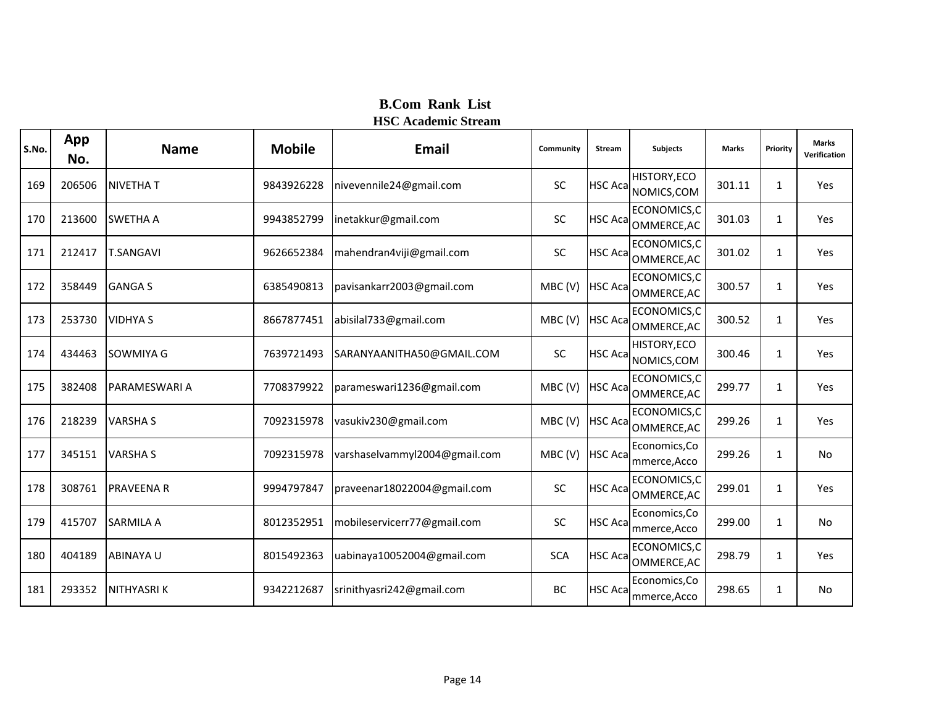| S.No. | App<br>No. | <b>Name</b>          | <b>Mobile</b> | <b>Email</b>                  | Community  | <b>Stream</b>   | <b>Subjects</b>               | <b>Marks</b> | Priority     | <b>Marks</b><br>Verification |
|-------|------------|----------------------|---------------|-------------------------------|------------|-----------------|-------------------------------|--------------|--------------|------------------------------|
| 169   | 206506     | <b>NIVETHAT</b>      | 9843926228    | nivevennile24@gmail.com       | <b>SC</b>  | <b>HSC Acal</b> | HISTORY, ECO<br>NOMICS, COM   | 301.11       | $\mathbf{1}$ | Yes                          |
| 170   | 213600     | <b>SWETHA A</b>      | 9943852799    | inetakkur@gmail.com           | <b>SC</b>  | <b>HSC Aca</b>  | ECONOMICS, C<br>OMMERCE, AC   | 301.03       | 1            | Yes                          |
| 171   | 212417     | <b>T.SANGAVI</b>     | 9626652384    | mahendran4viji@gmail.com      | <b>SC</b>  | <b>HSC Acal</b> | ECONOMICS, C<br>OMMERCE, AC   | 301.02       | $\mathbf{1}$ | Yes                          |
| 172   | 358449     | <b>GANGA S</b>       | 6385490813    | pavisankarr2003@gmail.com     | MBC(V)     | <b>HSC Aca</b>  | ECONOMICS, C<br>OMMERCE, AC   | 300.57       | $\mathbf{1}$ | Yes                          |
| 173   | 253730     | <b>VIDHYA S</b>      | 8667877451    | abisilal733@gmail.com         | MBC(V)     | <b>HSC Aca</b>  | ECONOMICS, C<br>OMMERCE, AC   | 300.52       | $\mathbf{1}$ | Yes                          |
| 174   | 434463     | SOWMIYA G            | 7639721493    | SARANYAANITHA50@GMAIL.COM     | <b>SC</b>  | <b>HSC Acal</b> | HISTORY, ECO<br>NOMICS, COM   | 300.46       | $\mathbf{1}$ | Yes                          |
| 175   | 382408     | <b>PARAMESWARI A</b> | 7708379922    | parameswari1236@gmail.com     | MBC(V)     | <b>HSC Aca</b>  | ECONOMICS,C<br>OMMERCE, AC    | 299.77       | 1            | Yes                          |
| 176   | 218239     | <b>VARSHA S</b>      | 7092315978    | vasukiv230@gmail.com          | MBC(V)     | <b>HSC Aca</b>  | ECONOMICS,C<br>OMMERCE, AC    | 299.26       | $\mathbf{1}$ | Yes                          |
| 177   | 345151     | <b>VARSHA S</b>      | 7092315978    | varshaselvammyl2004@gmail.com | MBC(V)     | <b>HSC Aca</b>  | Economics, Co<br>mmerce, Acco | 299.26       | $\mathbf{1}$ | <b>No</b>                    |
| 178   | 308761     | <b>PRAVEENA R</b>    | 9994797847    | praveenar18022004@gmail.com   | SC         | <b>HSC Acal</b> | ECONOMICS,C<br>OMMERCE, AC    | 299.01       | 1            | Yes                          |
| 179   | 415707     | <b>SARMILA A</b>     | 8012352951    | mobileservicerr77@gmail.com   | <b>SC</b>  | <b>HSC Aca</b>  | Economics, Co<br>mmerce, Acco | 299.00       | $\mathbf{1}$ | <b>No</b>                    |
| 180   | 404189     | <b>ABINAYA U</b>     | 8015492363    | uabinaya10052004@gmail.com    | <b>SCA</b> | <b>HSC Aca</b>  | ECONOMICS, C<br>OMMERCE, AC   | 298.79       | $\mathbf{1}$ | Yes                          |
| 181   | 293352     | <b>NITHYASRIK</b>    | 9342212687    | srinithyasri242@gmail.com     | BC         | <b>HSC Aca</b>  | Economics, Co<br>mmerce, Acco | 298.65       | $\mathbf{1}$ | No                           |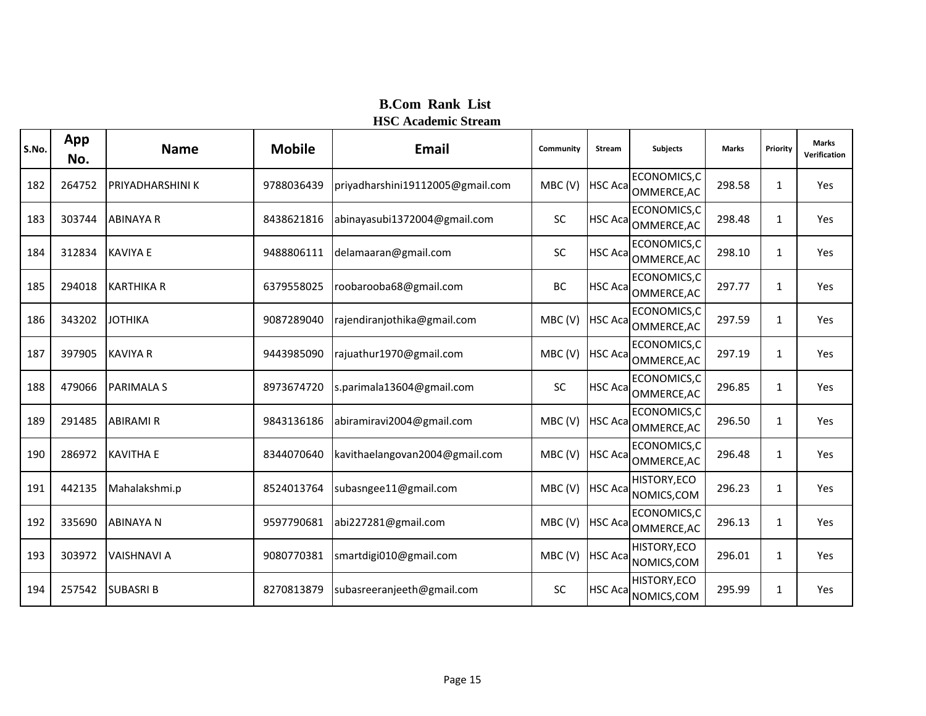| S.No. | App<br>No. | <b>Name</b>        | <b>Mobile</b> | <b>Email</b>                     | Community | <b>Stream</b>   | <b>Subjects</b>                    | <b>Marks</b> | Priority     | <b>Marks</b><br>Verification |
|-------|------------|--------------------|---------------|----------------------------------|-----------|-----------------|------------------------------------|--------------|--------------|------------------------------|
| 182   | 264752     | PRIYADHARSHINI K   | 9788036439    | priyadharshini19112005@gmail.com | MBC(V)    | <b>HSC Aca</b>  | ECONOMICS,C<br>OMMERCE, AC         | 298.58       | $\mathbf{1}$ | Yes                          |
| 183   | 303744     | <b>ABINAYA R</b>   | 8438621816    | abinayasubi1372004@gmail.com     | SC        | <b>HSC Aca</b>  | ECONOMICS,C<br>OMMERCE, AC         | 298.48       | $\mathbf{1}$ | Yes                          |
| 184   | 312834     | <b>KAVIYA E</b>    | 9488806111    | delamaaran@gmail.com             | SC        | <b>HSC Aca</b>  | ECONOMICS,C<br>OMMERCE, AC         | 298.10       | $\mathbf{1}$ | Yes                          |
| 185   | 294018     | <b>KARTHIKA R</b>  | 6379558025    | roobarooba68@gmail.com           | BC        | <b>HSC Aca</b>  | ECONOMICS, C<br>OMMERCE, AC        | 297.77       | $\mathbf{1}$ | Yes                          |
| 186   | 343202     | <b>JOTHIKA</b>     | 9087289040    | rajendiranjothika@gmail.com      | MBC(V)    | <b>HSC Acal</b> | ECONOMICS, C<br>OMMERCE, AC        | 297.59       | $\mathbf{1}$ | Yes                          |
| 187   | 397905     | <b>KAVIYA R</b>    | 9443985090    | rajuathur1970@gmail.com          | MBC(V)    | <b>HSC Aca</b>  | ECONOMICS, C<br>OMMERCE, AC        | 297.19       | $\mathbf{1}$ | Yes                          |
| 188   | 479066     | <b>PARIMALA S</b>  | 8973674720    | s.parimala13604@gmail.com        | SC        | <b>HSC Aca</b>  | ECONOMICS,C<br>OMMERCE, AC         | 296.85       | 1            | Yes                          |
| 189   | 291485     | <b>ABIRAMI R</b>   | 9843136186    | abiramiravi2004@gmail.com        | MBC(V)    | <b>HSC Aca</b>  | ECONOMICS,C<br>OMMERCE, AC         | 296.50       | $\mathbf{1}$ | Yes                          |
| 190   | 286972     | <b>KAVITHA E</b>   | 8344070640    | kavithaelangovan2004@gmail.com   | MBC(V)    | <b>HSC Aca</b>  | ECONOMICS,C<br>OMMERCE, AC         | 296.48       | $\mathbf{1}$ | Yes                          |
| 191   | 442135     | Mahalakshmi.p      | 8524013764    | subasngee11@gmail.com            | MBC(V)    | <b>HSC Aca</b>  | <b>HISTORY, ECO</b><br>NOMICS, COM | 296.23       | 1            | Yes                          |
| 192   | 335690     | <b>ABINAYA N</b>   | 9597790681    | abi227281@gmail.com              | MBC(V)    | <b>HSC Acal</b> | ECONOMICS,C<br>OMMERCE, AC         | 296.13       | $\mathbf{1}$ | Yes                          |
| 193   | 303972     | <b>VAISHNAVI A</b> | 9080770381    | smartdigi010@gmail.com           | MBC(V)    | <b>HSC Acal</b> | <b>HISTORY, ECO</b><br>NOMICS, COM | 296.01       | $\mathbf{1}$ | Yes                          |
| 194   | 257542     | <b>SUBASRIB</b>    | 8270813879    | subasreeranjeeth@gmail.com       | SC        | <b>HSC Aca</b>  | HISTORY, ECO<br>NOMICS, COM        | 295.99       | $\mathbf{1}$ | Yes                          |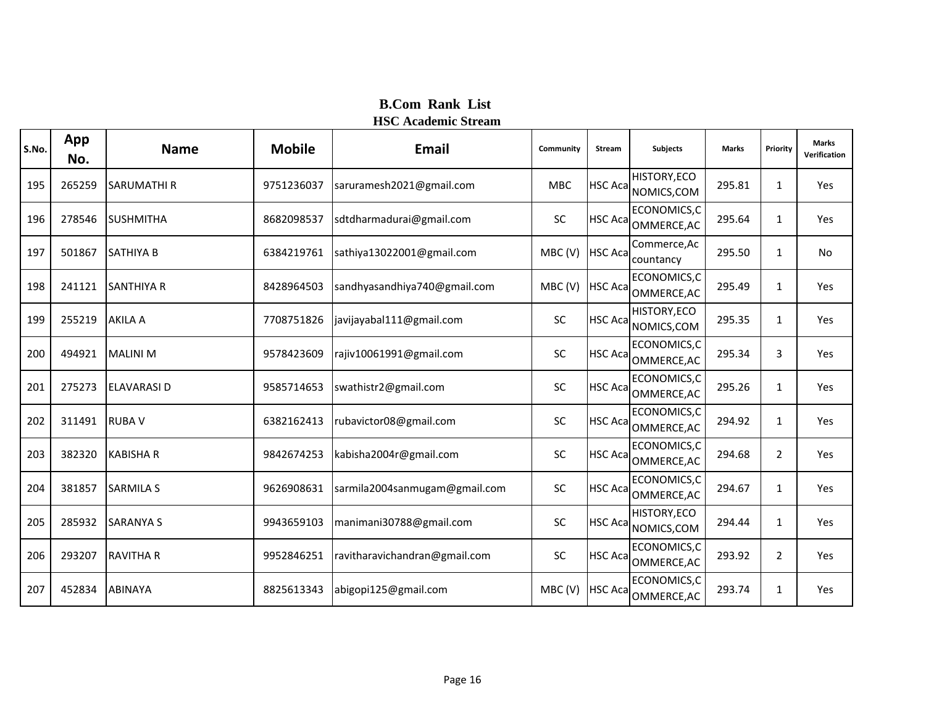| S.No. | App<br>No. | <b>Name</b>        | <b>Mobile</b> | Email                         | Community  | Stream          | Subjects                            | <b>Marks</b> | Priority       | <b>Marks</b><br>Verification |
|-------|------------|--------------------|---------------|-------------------------------|------------|-----------------|-------------------------------------|--------------|----------------|------------------------------|
| 195   | 265259     | <b>SARUMATHIR</b>  | 9751236037    | saruramesh2021@gmail.com      | <b>MBC</b> | <b>HSC Acal</b> | <b>HISTORY, ECO</b><br>NOMICS, COM  | 295.81       | $\mathbf{1}$   | Yes                          |
| 196   | 278546     | <b>SUSHMITHA</b>   | 8682098537    | sdtdharmadurai@gmail.com      | SC         | <b>HSC Acal</b> | ECONOMICS,C<br>OMMERCE, AC          | 295.64       | $\mathbf{1}$   | Yes                          |
| 197   | 501867     | <b>SATHIYA B</b>   | 6384219761    | sathiya13022001@gmail.com     | MBC(V)     | <b>HSC Aca</b>  | Commerce, Ac<br>countancy           | 295.50       | $\mathbf{1}$   | <b>No</b>                    |
| 198   | 241121     | <b>SANTHIYA R</b>  | 8428964503    | sandhyasandhiya740@gmail.com  | MBC(V)     | <b>HSC Aca</b>  | ECONOMICS,C<br>OMMERCE, AC          | 295.49       | $\mathbf{1}$   | Yes                          |
| 199   | 255219     | <b>AKILA A</b>     | 7708751826    | javijayabal111@gmail.com      | SC         | <b>HSC Aca</b>  | HISTORY, ECO<br>NOMICS, COM         | 295.35       | $\mathbf{1}$   | Yes                          |
| 200   | 494921     | <b>MALINI M</b>    | 9578423609    | rajiv10061991@gmail.com       | SC         | <b>HSC Aca</b>  | ECONOMICS,C<br>OMMERCE, AC          | 295.34       | 3              | Yes                          |
| 201   | 275273     | <b>ELAVARASI D</b> | 9585714653    | swathistr2@gmail.com          | <b>SC</b>  | <b>HSC Aca</b>  | ECONOMICS,C<br>OMMERCE, AC          | 295.26       | $\mathbf{1}$   | Yes                          |
| 202   | 311491     | <b>RUBAV</b>       | 6382162413    | rubavictor08@gmail.com        | SC         | <b>HSC Aca</b>  | ECONOMICS,C<br>OMMERCE, AC          | 294.92       | $\mathbf{1}$   | Yes                          |
| 203   | 382320     | <b>KABISHA R</b>   | 9842674253    | kabisha2004r@gmail.com        | SC         | <b>HSC Acal</b> | ECONOMICS,C<br>OMMERCE, AC          | 294.68       | $\overline{2}$ | Yes                          |
| 204   | 381857     | <b>SARMILA S</b>   | 9626908631    | sarmila2004sanmugam@gmail.com | SC         |                 | ECONOMICS, C<br>HSC Aca OMMERCE, AC | 294.67       | 1              | Yes                          |
| 205   | 285932     | <b>SARANYA S</b>   | 9943659103    | manimani30788@gmail.com       | <b>SC</b>  | <b>HSC Acal</b> | <b>HISTORY, ECO</b><br>NOMICS, COM  | 294.44       | $\mathbf{1}$   | Yes                          |
| 206   | 293207     | <b>RAVITHA R</b>   | 9952846251    | ravitharavichandran@gmail.com | SC         | <b>HSC Acal</b> | ECONOMICS, C<br>OMMERCE, AC         | 293.92       | $\overline{2}$ | Yes                          |
| 207   | 452834     | <b>ABINAYA</b>     | 8825613343    | abigopi125@gmail.com          | MBC(V)     | <b>HSC Acal</b> | ECONOMICS,C<br>OMMERCE, AC          | 293.74       | $\mathbf{1}$   | Yes                          |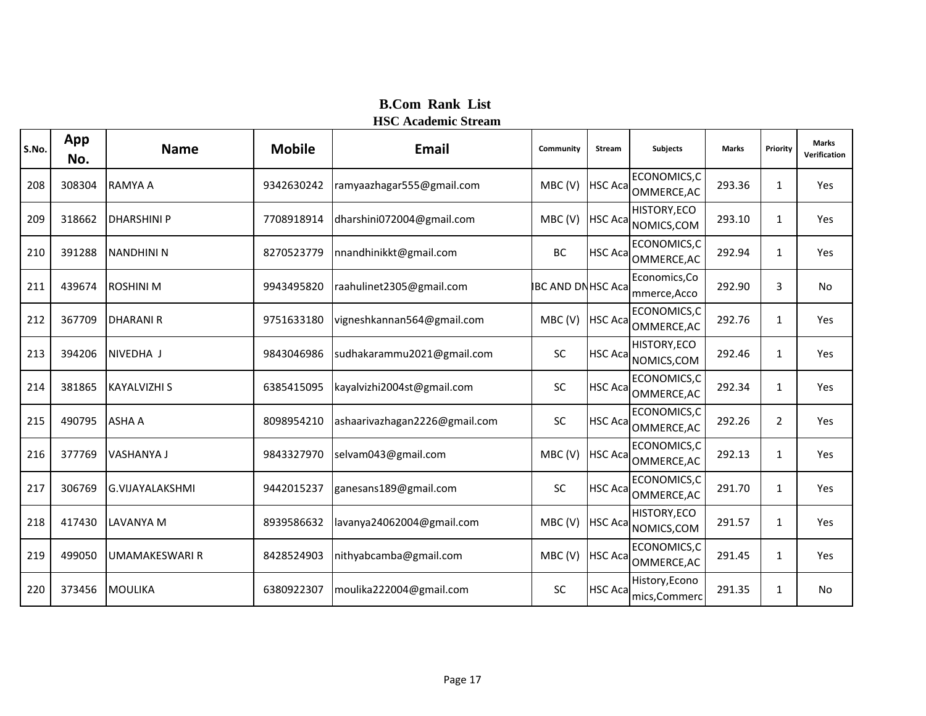| S.No. | App<br>No. | <b>Name</b>            | <b>Mobile</b> | <b>Email</b>                  | Community                | <b>Stream</b>   | <b>Subjects</b>                 | <b>Marks</b> | Priority       | <b>Marks</b><br>Verification |
|-------|------------|------------------------|---------------|-------------------------------|--------------------------|-----------------|---------------------------------|--------------|----------------|------------------------------|
| 208   | 308304     | <b>RAMYA A</b>         | 9342630242    | ramyaazhagar555@gmail.com     | MBC(V)                   | <b>HSC Aca</b>  | ECONOMICS, C<br>OMMERCE, AC     | 293.36       | $\mathbf{1}$   | Yes                          |
| 209   | 318662     | <b>DHARSHINI P</b>     | 7708918914    | dharshini072004@gmail.com     | MBC(V)                   | <b>HSC Aca</b>  | HISTORY, ECO<br>NOMICS, COM     | 293.10       | $\mathbf{1}$   | Yes                          |
| 210   | 391288     | <b>NANDHINI N</b>      | 8270523779    | nnandhinikkt@gmail.com        | <b>BC</b>                | <b>HSC Acal</b> | ECONOMICS, C<br>OMMERCE, AC     | 292.94       | $\mathbf{1}$   | Yes                          |
| 211   | 439674     | <b>ROSHINI M</b>       | 9943495820    | raahulinet2305@gmail.com      | <b>IBC AND DNHSC Aca</b> |                 | Economics, Co<br>mmerce, Acco   | 292.90       | 3              | <b>No</b>                    |
| 212   | 367709     | <b>DHARANI R</b>       | 9751633180    | vigneshkannan564@gmail.com    | MBC(V)                   | <b>HSC Aca</b>  | ECONOMICS, C<br>OMMERCE, AC     | 292.76       | $\mathbf{1}$   | Yes                          |
| 213   | 394206     | NIVEDHA J              | 9843046986    | sudhakarammu2021@gmail.com    | SC                       | <b>HSC Aca</b>  | HISTORY, ECO<br>NOMICS, COM     | 292.46       | $\mathbf{1}$   | Yes                          |
| 214   | 381865     | <b>KAYALVIZHI S</b>    | 6385415095    | kayalvizhi2004st@gmail.com    | SC                       | <b>HSC Acal</b> | ECONOMICS, C<br>OMMERCE, AC     | 292.34       | 1              | Yes                          |
| 215   | 490795     | <b>ASHA A</b>          | 8098954210    | ashaarivazhagan2226@gmail.com | <b>SC</b>                | <b>HSC Aca</b>  | ECONOMICS, C<br>OMMERCE, AC     | 292.26       | $\overline{2}$ | Yes                          |
| 216   | 377769     | VASHANYA J             | 9843327970    | selvam043@gmail.com           | MBC(V)                   | <b>HSC Aca</b>  | ECONOMICS,C<br>OMMERCE, AC      | 292.13       | $\mathbf{1}$   | Yes                          |
| 217   | 306769     | <b>G.VIJAYALAKSHMI</b> | 9442015237    | ganesans189@gmail.com         | SC                       | <b>HSC Aca</b>  | ECONOMICS,C<br>OMMERCE, AC      | 291.70       | 1              | Yes                          |
| 218   | 417430     | <b>LAVANYA M</b>       | 8939586632    | lavanya24062004@gmail.com     | MBC(V)                   | <b>HSC Aca</b>  | HISTORY, ECO<br>NOMICS, COM     | 291.57       | $\mathbf{1}$   | Yes                          |
| 219   | 499050     | <b>UMAMAKESWARI R</b>  | 8428524903    | nithyabcamba@gmail.com        | MBC(V)                   | <b>HSC</b> Aca  | ECONOMICS,C<br>OMMERCE, AC      | 291.45       | 1              | Yes                          |
| 220   | 373456     | <b>MOULIKA</b>         | 6380922307    | moulika222004@gmail.com       | <b>SC</b>                | <b>HSC Aca</b>  | History, Econo<br>mics, Commerc | 291.35       | $\mathbf{1}$   | No                           |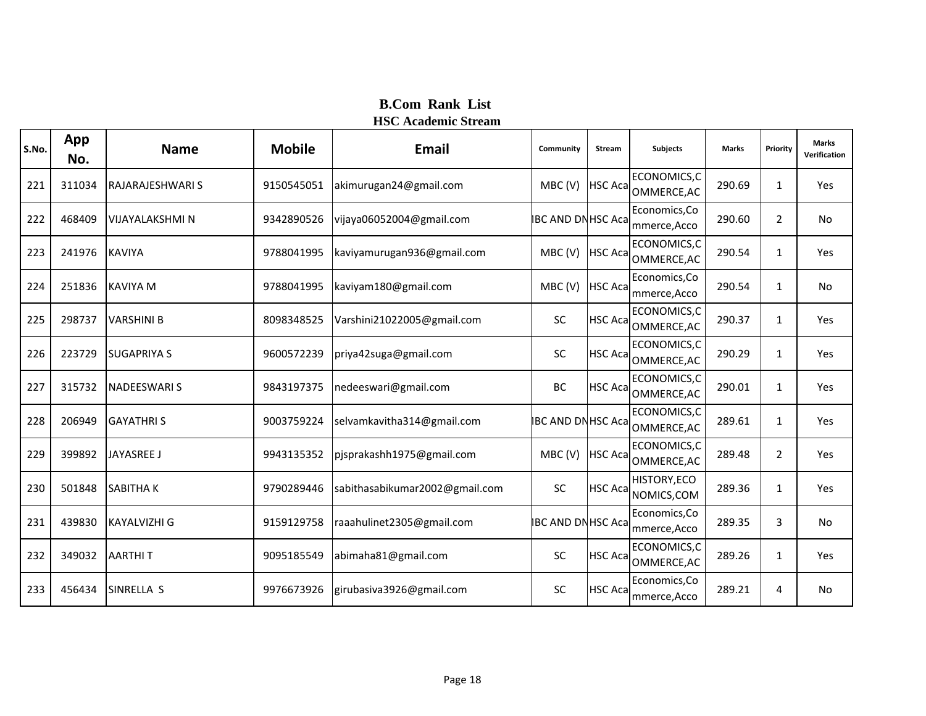| S.No. | App<br>No. | <b>Name</b>            | <b>Mobile</b> | <b>Email</b>                   | Community                | <b>Stream</b>   | <b>Subjects</b>                     | <b>Marks</b> | Priority       | <b>Marks</b><br>Verification |
|-------|------------|------------------------|---------------|--------------------------------|--------------------------|-----------------|-------------------------------------|--------------|----------------|------------------------------|
| 221   | 311034     | RAJARAJESHWARI S       | 9150545051    | akimurugan24@gmail.com         | MBC(V)                   | <b>HSC Acal</b> | ECONOMICS,C<br>OMMERCE, AC          | 290.69       | 1              | Yes                          |
| 222   | 468409     | <b>VIJAYALAKSHMI N</b> | 9342890526    | vijaya06052004@gmail.com       | <b>IBC AND DNHSC Aca</b> |                 | Economics, Co<br>mmerce, Acco       | 290.60       | $\overline{2}$ | <b>No</b>                    |
| 223   | 241976     | <b>KAVIYA</b>          | 9788041995    | kaviyamurugan936@gmail.com     | MBC(V)                   | <b>HSC Aca</b>  | ECONOMICS,C<br>OMMERCE, AC          | 290.54       | $\mathbf{1}$   | Yes                          |
| 224   | 251836     | <b>KAVIYA M</b>        | 9788041995    | kaviyam180@gmail.com           | MBC(V)                   | <b>HSC Aca</b>  | Economics, Co<br>mmerce, Acco       | 290.54       | 1              | <b>No</b>                    |
| 225   | 298737     | <b>VARSHINI B</b>      | 8098348525    | Varshini21022005@gmail.com     | SC                       |                 | ECONOMICS, C<br>HSC Aca OMMERCE, AC | 290.37       | 1              | Yes                          |
| 226   | 223729     | <b>SUGAPRIYA S</b>     | 9600572239    | priya42suga@gmail.com          | SC                       | <b>HSC Aca</b>  | ECONOMICS,C<br>OMMERCE, AC          | 290.29       | 1              | Yes                          |
| 227   | 315732     | <b>NADEESWARI S</b>    | 9843197375    | nedeeswari@gmail.com           | <b>BC</b>                |                 | ECONOMICS,C<br>HSC Aca OMMERCE, AC  | 290.01       | $\mathbf{1}$   | Yes                          |
| 228   | 206949     | <b>GAYATHRIS</b>       | 9003759224    | selvamkavitha314@gmail.com     | <b>IBC AND DNHSC Aca</b> |                 | ECONOMICS, C<br>OMMERCE, AC         | 289.61       | $\mathbf{1}$   | Yes                          |
| 229   | 399892     | <b>JAYASREE J</b>      | 9943135352    | pjsprakashh1975@gmail.com      | MBC(V)                   | <b>HSC Acal</b> | ECONOMICS,C<br>OMMERCE, AC          | 289.48       | $\overline{2}$ | Yes                          |
| 230   | 501848     | <b>SABITHAK</b>        | 9790289446    | sabithasabikumar2002@gmail.com | SC                       |                 | HISTORY, ECO<br>HSC Aca NOMICS, COM | 289.36       | $\mathbf{1}$   | Yes                          |
| 231   | 439830     | <b>KAYALVIZHI G</b>    | 9159129758    | raaahulinet2305@gmail.com      | <b>IBC AND DNHSC Aca</b> |                 | Economics, Co<br>mmerce, Acco       | 289.35       | 3              | No.                          |
| 232   | 349032     | <b>AARTHIT</b>         | 9095185549    | abimaha81@gmail.com            | SC                       | <b>HSC Aca</b>  | ECONOMICS,C<br>OMMERCE, AC          | 289.26       | 1              | Yes                          |
| 233   | 456434     | SINRELLA <sub>S</sub>  | 9976673926    | girubasiva3926@gmail.com       | SC                       | <b>HSC Aca</b>  | Economics, Co<br>mmerce, Acco       | 289.21       | 4              | No                           |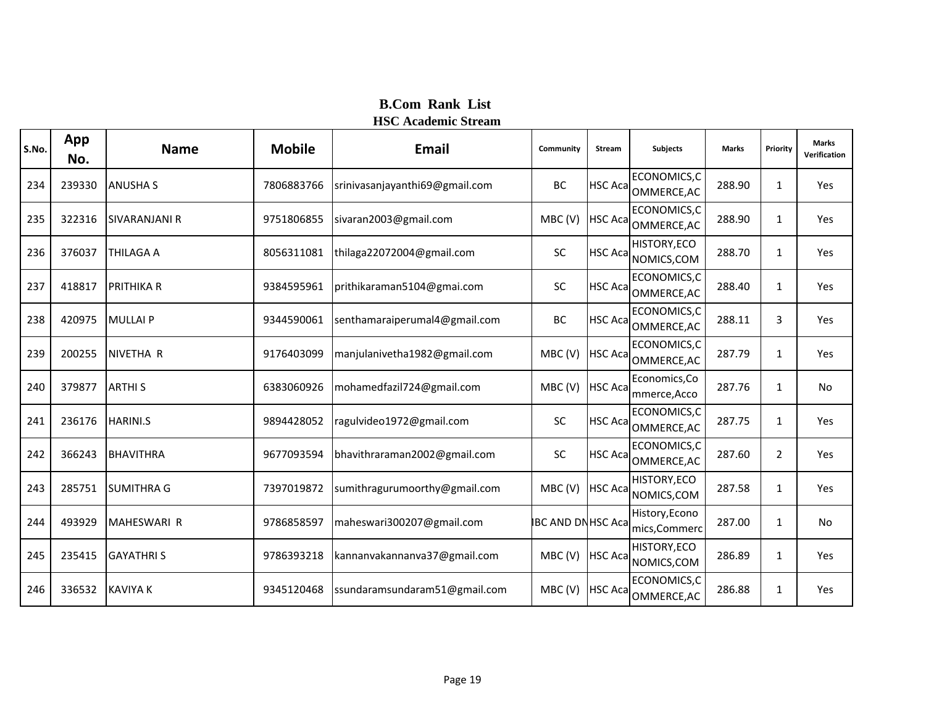| S.No. | App<br>No. | <b>Name</b>          | <b>Mobile</b> | <b>Email</b>                   | Community                | <b>Stream</b>   | <b>Subjects</b>                 | <b>Marks</b> | Priority       | <b>Marks</b><br>Verification |
|-------|------------|----------------------|---------------|--------------------------------|--------------------------|-----------------|---------------------------------|--------------|----------------|------------------------------|
| 234   | 239330     | <b>ANUSHA S</b>      | 7806883766    | srinivasanjayanthi69@gmail.com | BC                       | <b>HSC Acal</b> | ECONOMICS,C<br>OMMERCE, AC      | 288.90       | 1              | Yes                          |
| 235   | 322316     | <b>SIVARANJANI R</b> | 9751806855    | sivaran2003@gmail.com          | MBC(V)                   | <b>HSC Aca</b>  | ECONOMICS,C<br>OMMERCE, AC      | 288.90       | 1              | Yes                          |
| 236   | 376037     | <b>THILAGA A</b>     | 8056311081    | thilaga22072004@gmail.com      | SC                       | <b>HSC Aca</b>  | HISTORY, ECO<br>NOMICS, COM     | 288.70       | 1              | Yes                          |
| 237   | 418817     | <b>PRITHIKA R</b>    | 9384595961    | prithikaraman5104@gmai.com     | SC                       | <b>HSC Acal</b> | ECONOMICS,C<br>OMMERCE, AC      | 288.40       | 1              | Yes                          |
| 238   | 420975     | <b>MULLAIP</b>       | 9344590061    | senthamaraiperumal4@gmail.com  | BC                       | <b>HSC Aca</b>  | ECONOMICS, C<br>OMMERCE, AC     | 288.11       | 3              | Yes                          |
| 239   | 200255     | NIVETHA R            | 9176403099    | manjulanivetha1982@gmail.com   | MBC(V)                   | <b>HSC Aca</b>  | ECONOMICS,C<br>OMMERCE, AC      | 287.79       | 1              | Yes                          |
| 240   | 379877     | <b>ARTHIS</b>        | 6383060926    | mohamedfazil724@gmail.com      | MBC(V)                   | <b>HSC Aca</b>  | Economics, Co<br>mmerce, Acco   | 287.76       | 1              | No                           |
| 241   | 236176     | <b>HARINI.S</b>      | 9894428052    | ragulvideo1972@gmail.com       | <b>SC</b>                | <b>HSC Aca</b>  | ECONOMICS,C<br>OMMERCE, AC      | 287.75       | 1              | Yes                          |
| 242   | 366243     | <b>BHAVITHRA</b>     | 9677093594    | bhavithraraman2002@gmail.com   | <b>SC</b>                | <b>HSC Acal</b> | ECONOMICS,C<br>OMMERCE, AC      | 287.60       | $\overline{2}$ | Yes                          |
| 243   | 285751     | <b>SUMITHRA G</b>    | 7397019872    | sumithragurumoorthy@gmail.com  | MBC(V)                   | <b>HSC Aca</b>  | HISTORY, ECO<br>NOMICS, COM     | 287.58       | 1              | Yes                          |
| 244   | 493929     | <b>MAHESWARI R</b>   | 9786858597    | maheswari300207@gmail.com      | <b>IBC AND DNHSC Aca</b> |                 | History, Econo<br>mics, Commerc | 287.00       | 1              | No                           |
| 245   | 235415     | <b>GAYATHRIS</b>     | 9786393218    | kannanvakannanva37@gmail.com   | MBC(V)                   | <b>HSC Aca</b>  | HISTORY, ECO<br>NOMICS, COM     | 286.89       | 1              | Yes                          |
| 246   | 336532     | <b>KAVIYA K</b>      | 9345120468    | ssundaramsundaram51@gmail.com  | MBC(V)                   | <b>HSC Aca</b>  | ECONOMICS,C<br>OMMERCE, AC      | 286.88       | 1              | Yes                          |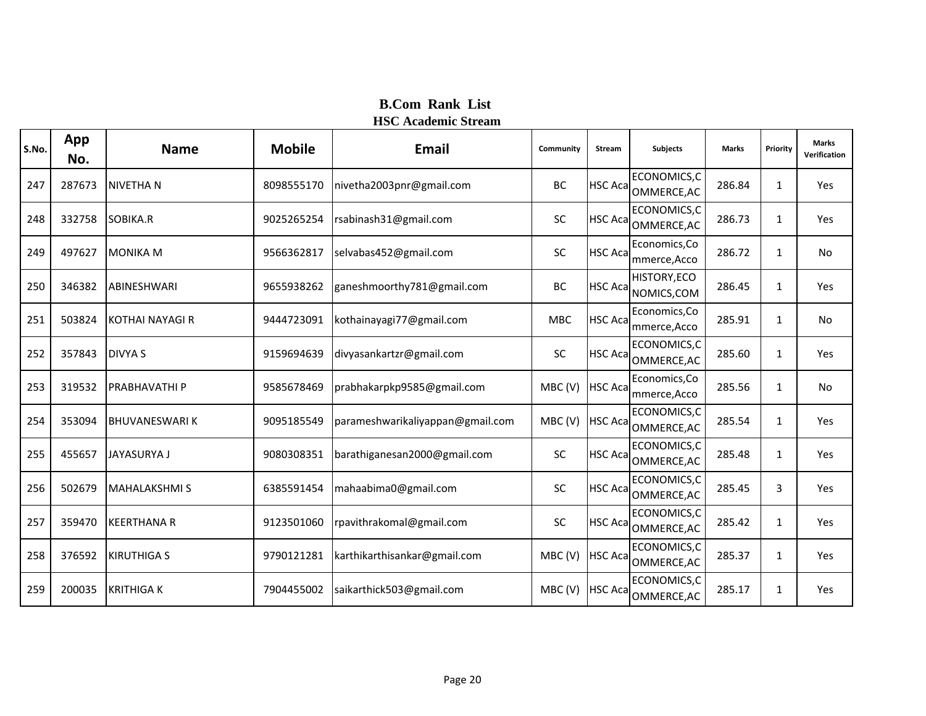| S.No. | App<br>No. | <b>Name</b>          | <b>Mobile</b> | Email                            | Community  | <b>Stream</b>   | <b>Subjects</b>               | <b>Marks</b> | Priority | <b>Marks</b><br>Verification |
|-------|------------|----------------------|---------------|----------------------------------|------------|-----------------|-------------------------------|--------------|----------|------------------------------|
| 247   | 287673     | <b>NIVETHAN</b>      | 8098555170    | nivetha2003pnr@gmail.com         | BC         | <b>HSC Aca</b>  | ECONOMICS,C<br>OMMERCE, AC    | 286.84       | 1        | Yes                          |
| 248   | 332758     | SOBIKA.R             | 9025265254    | rsabinash31@gmail.com            | SC         | <b>HSC Aca</b>  | ECONOMICS,C<br>OMMERCE, AC    | 286.73       | 1        | Yes                          |
| 249   | 497627     | <b>MONIKA M</b>      | 9566362817    | selvabas452@gmail.com            | SC         | <b>HSC Acal</b> | Economics, Co<br>mmerce, Acco | 286.72       | 1        | No                           |
| 250   | 346382     | <b>ABINESHWARI</b>   | 9655938262    | ganeshmoorthy781@gmail.com       | BC         | <b>HSC Aca</b>  | HISTORY, ECO<br>NOMICS, COM   | 286.45       | 1        | Yes                          |
| 251   | 503824     | KOTHAI NAYAGI R      | 9444723091    | kothainayagi77@gmail.com         | <b>MBC</b> | <b>HSC Aca</b>  | Economics, Co<br>mmerce, Acco | 285.91       | 1        | No                           |
| 252   | 357843     | <b>DIVYA S</b>       | 9159694639    | divyasankartzr@gmail.com         | SC         | <b>HSC Aca</b>  | ECONOMICS, C<br>OMMERCE, AC   | 285.60       | 1        | Yes                          |
| 253   | 319532     | <b>PRABHAVATHIP</b>  | 9585678469    | prabhakarpkp9585@gmail.com       | MBC(V)     | <b>HSC Aca</b>  | Economics, Co<br>mmerce, Acco | 285.56       | 1        | No                           |
| 254   | 353094     | <b>BHUVANESWARIK</b> | 9095185549    | parameshwarikaliyappan@gmail.com | MBC(V)     | <b>HSC Aca</b>  | ECONOMICS,C<br>OMMERCE, AC    | 285.54       | 1        | Yes                          |
| 255   | 455657     | <b>JAYASURYA J</b>   | 9080308351    | barathiganesan2000@gmail.com     | SC         | <b>HSC Aca</b>  | ECONOMICS,C<br>OMMERCE, AC    | 285.48       | 1        | Yes                          |
| 256   | 502679     | <b>MAHALAKSHMIS</b>  | 6385591454    | mahaabima0@gmail.com             | SC         | <b>HSC Aca</b>  | ECONOMICS,C<br>OMMERCE, AC    | 285.45       | 3        | Yes                          |
| 257   | 359470     | <b>KEERTHANA R</b>   | 9123501060    | rpavithrakomal@gmail.com         | <b>SC</b>  | <b>HSC Acal</b> | ECONOMICS,C<br>OMMERCE, AC    | 285.42       | 1        | Yes                          |
| 258   | 376592     | <b>KIRUTHIGA S</b>   | 9790121281    | karthikarthisankar@gmail.com     | MBC(V)     | <b>HSC Acal</b> | ECONOMICS,C<br>OMMERCE, AC    | 285.37       | 1        | Yes                          |
| 259   | 200035     | <b>KRITHIGAK</b>     | 7904455002    | saikarthick503@gmail.com         | MBC(V)     | <b>HSC Acal</b> | ECONOMICS, C<br>OMMERCE, AC   | 285.17       | 1        | Yes                          |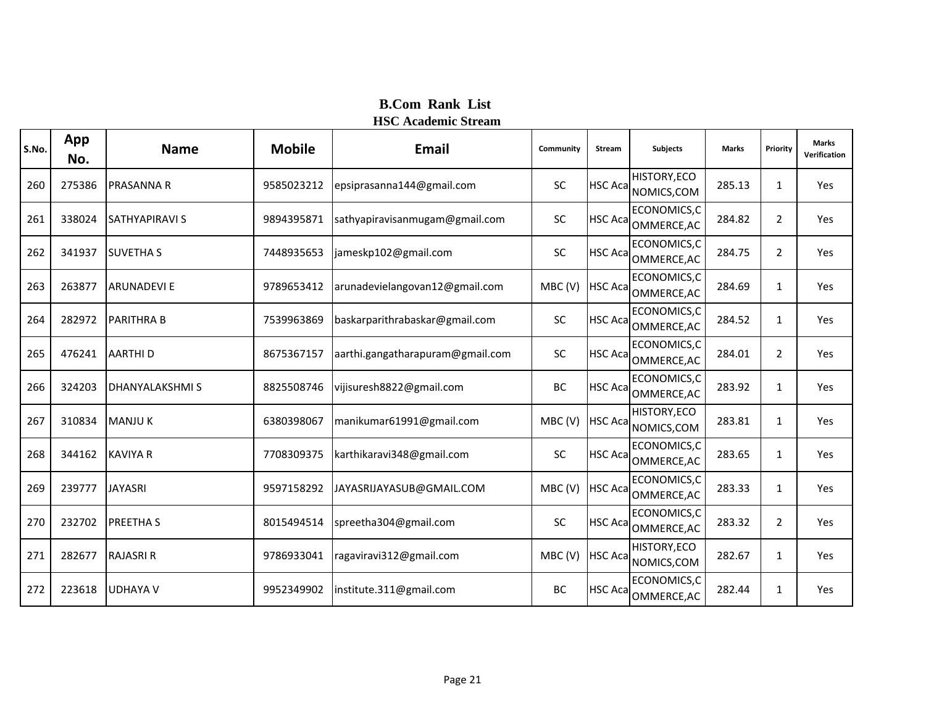| S.No. | App<br>No. | <b>Name</b>           | <b>Mobile</b> | Email                            | Community | <b>Stream</b>   | <b>Subjects</b>             | <b>Marks</b> | Priority       | <b>Marks</b><br>Verification |
|-------|------------|-----------------------|---------------|----------------------------------|-----------|-----------------|-----------------------------|--------------|----------------|------------------------------|
| 260   | 275386     | <b>PRASANNA R</b>     | 9585023212    | epsiprasanna144@gmail.com        | <b>SC</b> | <b>HSC Aca</b>  | HISTORY, ECO<br>NOMICS, COM | 285.13       | 1              | Yes                          |
| 261   | 338024     | <b>SATHYAPIRAVI S</b> | 9894395871    | sathyapiravisanmugam@gmail.com   | SC        | <b>HSC Aca</b>  | ECONOMICS,C<br>OMMERCE, AC  | 284.82       | $\overline{2}$ | Yes                          |
| 262   | 341937     | <b>SUVETHA S</b>      | 7448935653    | jameskp102@gmail.com             | SC        | <b>HSC Aca</b>  | ECONOMICS,C<br>OMMERCE, AC  | 284.75       | $\overline{a}$ | Yes                          |
| 263   | 263877     | <b>ARUNADEVIE</b>     | 9789653412    | arunadevielangovan12@gmail.com   | MBC(V)    | <b>HSC Aca</b>  | ECONOMICS, C<br>OMMERCE, AC | 284.69       | 1              | Yes                          |
| 264   | 282972     | <b>PARITHRA B</b>     | 7539963869    | baskarparithrabaskar@gmail.com   | <b>SC</b> | <b>HSC Aca</b>  | ECONOMICS,C<br>OMMERCE, AC  | 284.52       | $\mathbf{1}$   | Yes                          |
| 265   | 476241     | <b>AARTHID</b>        | 8675367157    | aarthi.gangatharapuram@gmail.com | <b>SC</b> | <b>HSC Aca</b>  | ECONOMICS, C<br>OMMERCE, AC | 284.01       | $\overline{2}$ | Yes                          |
| 266   | 324203     | <b>DHANYALAKSHMIS</b> | 8825508746    | vijisuresh8822@gmail.com         | BC        | <b>HSC Acal</b> | ECONOMICS,C<br>OMMERCE, AC  | 283.92       | 1              | Yes                          |
| 267   | 310834     | <b>MANJUK</b>         | 6380398067    | manikumar61991@gmail.com         | MBC(V)    | <b>HSC Aca</b>  | HISTORY, ECO<br>NOMICS, COM | 283.81       | 1              | Yes                          |
| 268   | 344162     | <b>KAVIYA R</b>       | 7708309375    | karthikaravi348@gmail.com        | SC        | <b>HSC Acal</b> | ECONOMICS,C<br>OMMERCE, AC  | 283.65       | $\mathbf{1}$   | Yes                          |
| 269   | 239777     | <b>JAYASRI</b>        | 9597158292    | JAYASRIJAYASUB@GMAIL.COM         | MBC(V)    | <b>HSC Aca</b>  | ECONOMICS,C<br>OMMERCE, AC  | 283.33       | 1              | Yes                          |
| 270   | 232702     | <b>PREETHAS</b>       | 8015494514    | spreetha304@gmail.com            | <b>SC</b> | <b>HSC Acal</b> | ECONOMICS,C<br>OMMERCE, AC  | 283.32       | $\overline{2}$ | Yes                          |
| 271   | 282677     | <b>RAJASRI R</b>      | 9786933041    | ragaviravi312@gmail.com          | MBC(V)    | <b>HSC Aca</b>  | HISTORY, ECO<br>NOMICS, COM | 282.67       | 1              | Yes                          |
| 272   | 223618     | <b>UDHAYA V</b>       | 9952349902    | institute.311@gmail.com          | BC        | <b>HSC Acal</b> | ECONOMICS,C<br>OMMERCE, AC  | 282.44       | 1              | Yes                          |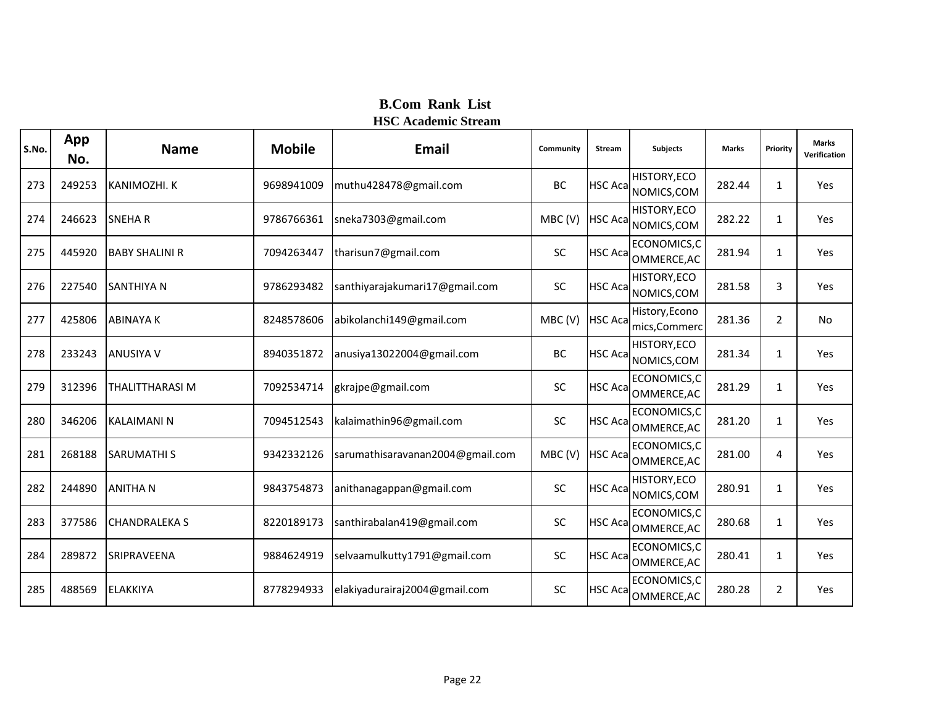| S.No. | App<br>No. | <b>Name</b>            | <b>Mobile</b> | Email                            | Community | <b>Stream</b>   | <b>Subjects</b>                     | <b>Marks</b> | Priority       | <b>Marks</b><br>Verification |
|-------|------------|------------------------|---------------|----------------------------------|-----------|-----------------|-------------------------------------|--------------|----------------|------------------------------|
| 273   | 249253     | KANIMOZHI. K           | 9698941009    | muthu428478@gmail.com            | <b>BC</b> | <b>HSC Acal</b> | HISTORY, ECO<br>NOMICS, COM         | 282.44       | $\mathbf{1}$   | Yes                          |
| 274   | 246623     | <b>SNEHAR</b>          | 9786766361    | sneka7303@gmail.com              | MBC(V)    | <b>HSC Aca</b>  | <b>HISTORY, ECO</b><br>NOMICS, COM  | 282.22       | $\mathbf{1}$   | Yes                          |
| 275   | 445920     | <b>BABY SHALINI R</b>  | 7094263447    | tharisun7@gmail.com              | SC        | <b>HSC Acal</b> | ECONOMICS,C<br>OMMERCE, AC          | 281.94       | $\mathbf{1}$   | Yes                          |
| 276   | 227540     | <b>SANTHIYA N</b>      | 9786293482    | santhiyarajakumari17@gmail.com   | SC        | <b>HSC Aca</b>  | HISTORY, ECO<br>NOMICS, COM         | 281.58       | 3              | Yes                          |
| 277   | 425806     | <b>ABINAYAK</b>        | 8248578606    | abikolanchi149@gmail.com         | MBC(V)    | <b>HSC Aca</b>  | History, Econo<br>mics, Commerc     | 281.36       | $\overline{2}$ | <b>No</b>                    |
| 278   | 233243     | <b>ANUSIYA V</b>       | 8940351872    | anusiya13022004@gmail.com        | <b>BC</b> | <b>HSC Acal</b> | HISTORY, ECO<br>NOMICS, COM         | 281.34       | $\mathbf{1}$   | Yes                          |
| 279   | 312396     | <b>THALITTHARASI M</b> | 7092534714    | gkrajpe@gmail.com                | SC        | <b>HSC Acal</b> | ECONOMICS,C<br>OMMERCE, AC          | 281.29       | $\mathbf{1}$   | Yes                          |
| 280   | 346206     | <b>KALAIMANI N</b>     | 7094512543    | kalaimathin96@gmail.com          | <b>SC</b> | <b>HSC Acal</b> | ECONOMICS,C<br>OMMERCE, AC          | 281.20       | $\mathbf{1}$   | Yes                          |
| 281   | 268188     | <b>SARUMATHI S</b>     | 9342332126    | sarumathisaravanan2004@gmail.com | MBC(V)    | <b>HSC Aca</b>  | ECONOMICS,C<br>OMMERCE, AC          | 281.00       | 4              | Yes                          |
| 282   | 244890     | <b>ANITHAN</b>         | 9843754873    | anithanagappan@gmail.com         | SC        |                 | HISTORY, ECO<br>HSC Aca NOMICS, COM | 280.91       | $\mathbf{1}$   | Yes                          |
| 283   | 377586     | <b>CHANDRALEKA S</b>   | 8220189173    | santhirabalan419@gmail.com       | SC        | <b>HSC Acal</b> | ECONOMICS,C<br>OMMERCE, AC          | 280.68       | $\mathbf{1}$   | Yes                          |
| 284   | 289872     | SRIPRAVEENA            | 9884624919    | selvaamulkutty1791@gmail.com     | SC        | <b>HSC Aca</b>  | ECONOMICS,C<br>OMMERCE, AC          | 280.41       | $\mathbf{1}$   | Yes                          |
| 285   | 488569     | <b>ELAKKIYA</b>        | 8778294933    | elakiyadurairaj2004@gmail.com    | <b>SC</b> | <b>HSC Acal</b> | ECONOMICS,C<br>OMMERCE, AC          | 280.28       | $\overline{2}$ | Yes                          |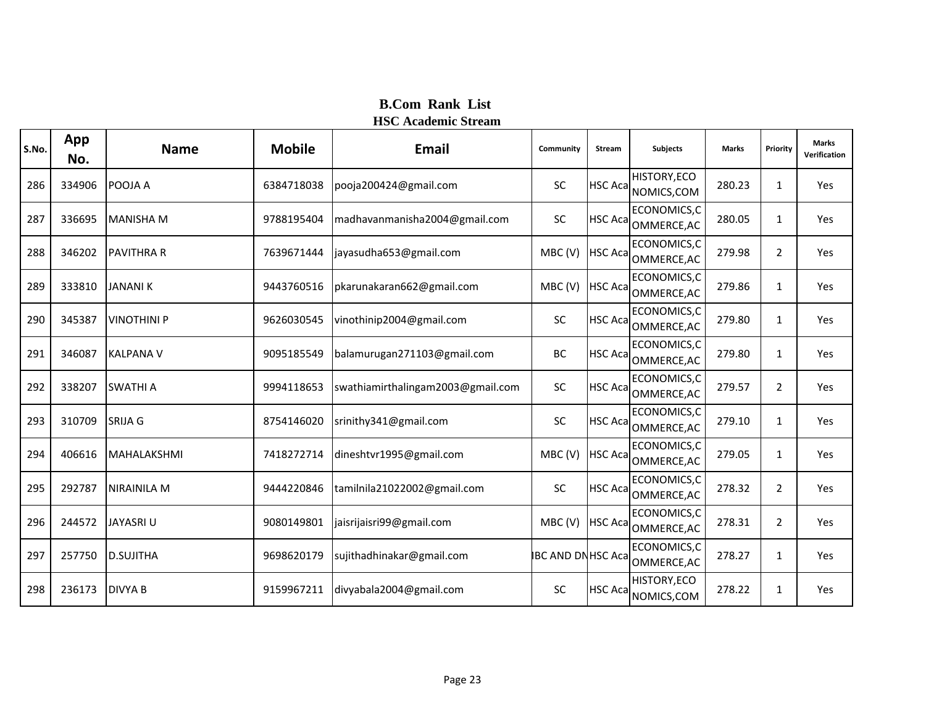| S.No. | App<br>No. | <b>Name</b>        | <b>Mobile</b> | Email                             | Community                | <b>Stream</b>   | <b>Subjects</b>             | <b>Marks</b> | Priority       | <b>Marks</b><br>Verification |
|-------|------------|--------------------|---------------|-----------------------------------|--------------------------|-----------------|-----------------------------|--------------|----------------|------------------------------|
| 286   | 334906     | POOJA A            | 6384718038    | pooja200424@gmail.com             | <b>SC</b>                | <b>HSC Aca</b>  | HISTORY, ECO<br>NOMICS, COM | 280.23       | $\mathbf{1}$   | Yes                          |
| 287   | 336695     | <b>MANISHA M</b>   | 9788195404    | madhavanmanisha2004@gmail.com     | <b>SC</b>                | <b>HSC Aca</b>  | ECONOMICS,C<br>OMMERCE, AC  | 280.05       | $\mathbf{1}$   | Yes                          |
| 288   | 346202     | <b>PAVITHRA R</b>  | 7639671444    | jayasudha653@gmail.com            | MBC(V)                   | <b>HSC Acal</b> | ECONOMICS,C<br>OMMERCE, AC  | 279.98       | $\overline{2}$ | Yes                          |
| 289   | 333810     | <b>JANANI K</b>    | 9443760516    | pkarunakaran662@gmail.com         | MBC(V)                   | <b>HSC Acal</b> | ECONOMICS, C<br>OMMERCE, AC | 279.86       | $\mathbf{1}$   | Yes                          |
| 290   | 345387     | <b>VINOTHINI P</b> | 9626030545    | vinothinip2004@gmail.com          | <b>SC</b>                | <b>HSC Aca</b>  | ECONOMICS, C<br>OMMERCE, AC | 279.80       | $\mathbf{1}$   | Yes                          |
| 291   | 346087     | <b>KALPANA V</b>   | 9095185549    | balamurugan271103@gmail.com       | BC                       | <b>HSC Aca</b>  | ECONOMICS,C<br>OMMERCE, AC  | 279.80       | $\mathbf{1}$   | Yes                          |
| 292   | 338207     | <b>SWATHI A</b>    | 9994118653    | swathiamirthalingam2003@gmail.com | SC                       | <b>HSC Aca</b>  | ECONOMICS, C<br>OMMERCE, AC | 279.57       | $\overline{2}$ | Yes                          |
| 293   | 310709     | <b>SRIJA G</b>     | 8754146020    | srinithy341@gmail.com             | <b>SC</b>                | <b>HSC Acal</b> | ECONOMICS,C<br>OMMERCE, AC  | 279.10       | $\mathbf{1}$   | Yes                          |
| 294   | 406616     | <b>MAHALAKSHMI</b> | 7418272714    | dineshtvr1995@gmail.com           | MBC(V)                   | <b>HSC Aca</b>  | ECONOMICS, C<br>OMMERCE, AC | 279.05       | $\mathbf{1}$   | Yes                          |
| 295   | 292787     | <b>NIRAINILA M</b> | 9444220846    | tamilnila21022002@gmail.com       | SC                       | <b>HSC Acal</b> | ECONOMICS,C<br>OMMERCE, AC  | 278.32       | $\overline{2}$ | Yes                          |
| 296   | 244572     | <b>JAYASRI U</b>   | 9080149801    | jaisrijaisri99@gmail.com          | MBC(V)                   | <b>HSC Aca</b>  | ECONOMICS,C<br>OMMERCE, AC  | 278.31       | 2              | Yes                          |
| 297   | 257750     | <b>D.SUJITHA</b>   | 9698620179    | sujithadhinakar@gmail.com         | <b>IBC AND DNHSC Aca</b> |                 | ECONOMICS,C<br>OMMERCE, AC  | 278.27       | $\mathbf{1}$   | Yes                          |
| 298   | 236173     | <b>DIVYA B</b>     | 9159967211    | divyabala2004@gmail.com           | <b>SC</b>                | <b>HSC Aca</b>  | HISTORY, ECO<br>NOMICS, COM | 278.22       | $\mathbf{1}$   | Yes                          |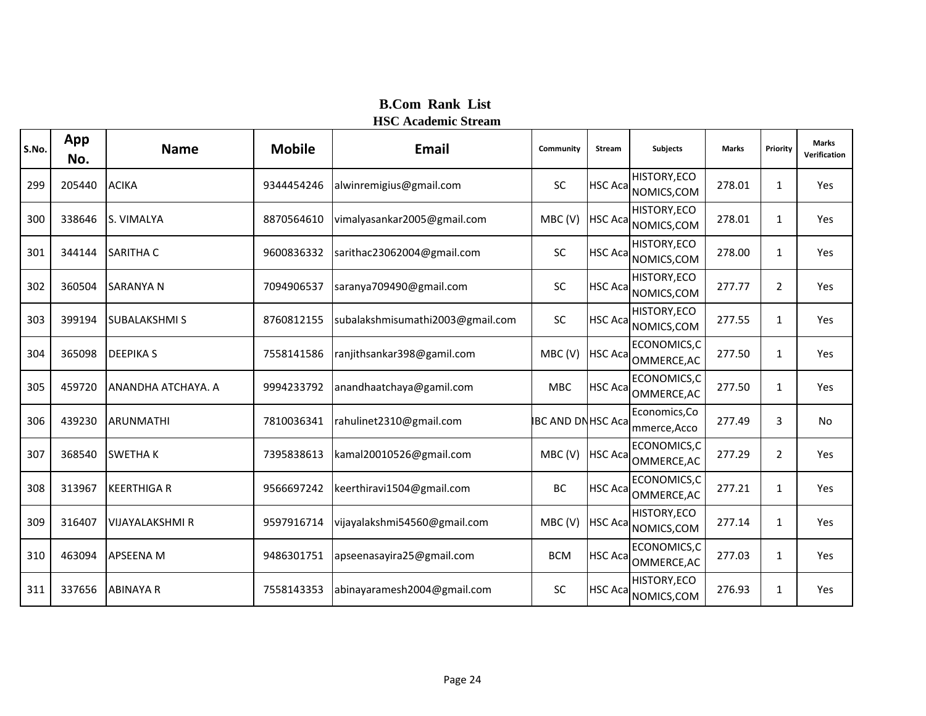| S.No. | App<br>No. | <b>Name</b>            | <b>Mobile</b> | <b>Email</b>                     | Community                | <b>Stream</b>   | <b>Subjects</b>                    | <b>Marks</b> | Priority       | <b>Marks</b><br>Verification |
|-------|------------|------------------------|---------------|----------------------------------|--------------------------|-----------------|------------------------------------|--------------|----------------|------------------------------|
| 299   | 205440     | <b>ACIKA</b>           | 9344454246    | alwinremigius@gmail.com          | <b>SC</b>                | <b>HSC Acal</b> | HISTORY, ECO<br>NOMICS, COM        | 278.01       | 1              | Yes                          |
| 300   | 338646     | S. VIMALYA             | 8870564610    | vimalyasankar2005@gmail.com      | MBC(V)                   | <b>HSC Aca</b>  | <b>HISTORY, ECO</b><br>NOMICS, COM | 278.01       | $\mathbf{1}$   | Yes                          |
| 301   | 344144     | <b>SARITHA C</b>       | 9600836332    | sarithac23062004@gmail.com       | SC                       | <b>HSC Acal</b> | HISTORY, ECO<br>NOMICS, COM        | 278.00       | $\mathbf{1}$   | Yes                          |
| 302   | 360504     | <b>SARANYA N</b>       | 7094906537    | saranya709490@gmail.com          | SC                       | <b>HSC Aca</b>  | HISTORY, ECO<br>NOMICS, COM        | 277.77       | 2              | <b>Yes</b>                   |
| 303   | 399194     | <b>SUBALAKSHMIS</b>    | 8760812155    | subalakshmisumathi2003@gmail.com | <b>SC</b>                | <b>HSC Acal</b> | HISTORY, ECO<br>NOMICS, COM        | 277.55       | 1              | Yes                          |
| 304   | 365098     | <b>DEEPIKAS</b>        | 7558141586    | ranjithsankar398@gamil.com       | MBC(V)                   | <b>HSC Aca</b>  | ECONOMICS,C<br>OMMERCE, AC         | 277.50       | 1              | Yes                          |
| 305   | 459720     | ANANDHA ATCHAYA. A     | 9994233792    | anandhaatchaya@gamil.com         | <b>MBC</b>               |                 | ECONOMICS,C<br>HSC Aca OMMERCE, AC | 277.50       | $\mathbf{1}$   | Yes                          |
| 306   | 439230     | ARUNMATHI              | 7810036341    | rahulinet2310@gmail.com          | <b>IBC AND DNHSC Aca</b> |                 | Economics, Co<br>mmerce, Acco      | 277.49       | 3              | <b>No</b>                    |
| 307   | 368540     | <b>SWETHAK</b>         | 7395838613    | kamal20010526@gmail.com          | MBC(V)                   | <b>HSC Aca</b>  | ECONOMICS,C<br>OMMERCE, AC         | 277.29       | $\overline{2}$ | Yes                          |
| 308   | 313967     | <b>KEERTHIGA R</b>     | 9566697242    | keerthiravi1504@gmail.com        | BC                       |                 | ECONOMICS,C<br>HSC Aca OMMERCE, AC | 277.21       | 1              | Yes                          |
| 309   | 316407     | <b>VIJAYALAKSHMI R</b> | 9597916714    | vijayalakshmi54560@gmail.com     | MBC(V)                   | <b>HSC Acal</b> | HISTORY, ECO<br>NOMICS, COM        | 277.14       | 1              | Yes                          |
| 310   | 463094     | <b>APSEENA M</b>       | 9486301751    | apseenasayira25@gmail.com        | <b>BCM</b>               | <b>HSC Aca</b>  | ECONOMICS,C<br>OMMERCE, AC         | 277.03       | 1              | Yes                          |
| 311   | 337656     | <b>ABINAYA R</b>       | 7558143353    | abinayaramesh2004@gmail.com      | SC                       | <b>HSC Acal</b> | HISTORY, ECO<br>NOMICS, COM        | 276.93       | $\mathbf{1}$   | Yes                          |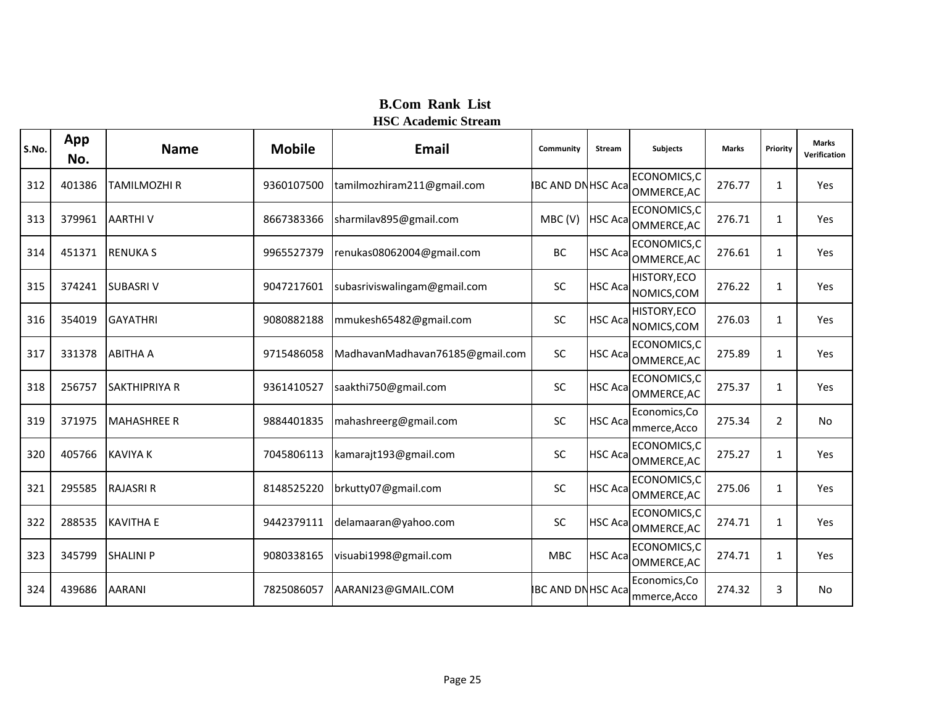| S.No. | App<br>No. | <b>Name</b>          | <b>Mobile</b> | <b>Email</b>                    | Community                | <b>Stream</b>   | <b>Subjects</b>                    | <b>Marks</b> | Priority       | <b>Marks</b><br>Verification |
|-------|------------|----------------------|---------------|---------------------------------|--------------------------|-----------------|------------------------------------|--------------|----------------|------------------------------|
| 312   | 401386     | <b>TAMILMOZHI R</b>  | 9360107500    | tamilmozhiram211@gmail.com      | <b>IBC AND DNHSC Aca</b> |                 | ECONOMICS, C<br>OMMERCE, AC        | 276.77       | $\mathbf{1}$   | Yes                          |
| 313   | 379961     | <b>AARTHIV</b>       | 8667383366    | sharmilav895@gmail.com          | MBC(V)                   | <b>HSC Aca</b>  | ECONOMICS, C<br>OMMERCE, AC        | 276.71       | 1              | Yes                          |
| 314   | 451371     | <b>RENUKA S</b>      | 9965527379    | renukas08062004@gmail.com       | BC                       | <b>HSC Acal</b> | ECONOMICS, C<br>OMMERCE, AC        | 276.61       | $\mathbf{1}$   | Yes                          |
| 315   | 374241     | <b>SUBASRIV</b>      | 9047217601    | subasriviswalingam@gmail.com    | SC                       | <b>HSC Aca</b>  | <b>HISTORY, ECO</b><br>NOMICS, COM | 276.22       | $\mathbf{1}$   | Yes                          |
| 316   | 354019     | <b>GAYATHRI</b>      | 9080882188    | mmukesh65482@gmail.com          | <b>SC</b>                | <b>HSC Aca</b>  | HISTORY, ECO<br>NOMICS, COM        | 276.03       | $\mathbf{1}$   | Yes                          |
| 317   | 331378     | <b>ABITHA A</b>      | 9715486058    | MadhavanMadhavan76185@gmail.com | SC                       | <b>HSC Acal</b> | ECONOMICS,C<br>OMMERCE, AC         | 275.89       | $\mathbf{1}$   | Yes                          |
| 318   | 256757     | <b>SAKTHIPRIYA R</b> | 9361410527    | saakthi750@gmail.com            | SC                       | <b>HSC Aca</b>  | ECONOMICS,C<br>OMMERCE, AC         | 275.37       | 1              | Yes                          |
| 319   | 371975     | <b>MAHASHREE R</b>   | 9884401835    | mahashreerg@gmail.com           | SC                       | <b>HSC Aca</b>  | Economics, Co<br>mmerce, Acco      | 275.34       | $\overline{2}$ | <b>No</b>                    |
| 320   | 405766     | <b>KAVIYA K</b>      | 7045806113    | kamarajt193@gmail.com           | SC                       | <b>HSC Aca</b>  | ECONOMICS, C<br>OMMERCE, AC        | 275.27       | $\mathbf{1}$   | Yes                          |
| 321   | 295585     | <b>RAJASRI R</b>     | 8148525220    | brkutty07@gmail.com             | SC                       | <b>HSC Aca</b>  | ECONOMICS,C<br>OMMERCE, AC         | 275.06       | $\mathbf{1}$   | Yes                          |
| 322   | 288535     | <b>KAVITHA E</b>     | 9442379111    | delamaaran@yahoo.com            | <b>SC</b>                | <b>HSC Acal</b> | ECONOMICS, C<br>OMMERCE, AC        | 274.71       | $\mathbf{1}$   | Yes                          |
| 323   | 345799     | <b>SHALINI P</b>     | 9080338165    | visuabi1998@gmail.com           | <b>MBC</b>               | <b>HSC Aca</b>  | ECONOMICS, C<br>OMMERCE, AC        | 274.71       | $\mathbf{1}$   | Yes                          |
| 324   | 439686     | <b>AARANI</b>        | 7825086057    | AARANI23@GMAIL.COM              | <b>IBC AND DNHSC Aca</b> |                 | Economics, Co<br>mmerce, Acco      | 274.32       | 3              | No                           |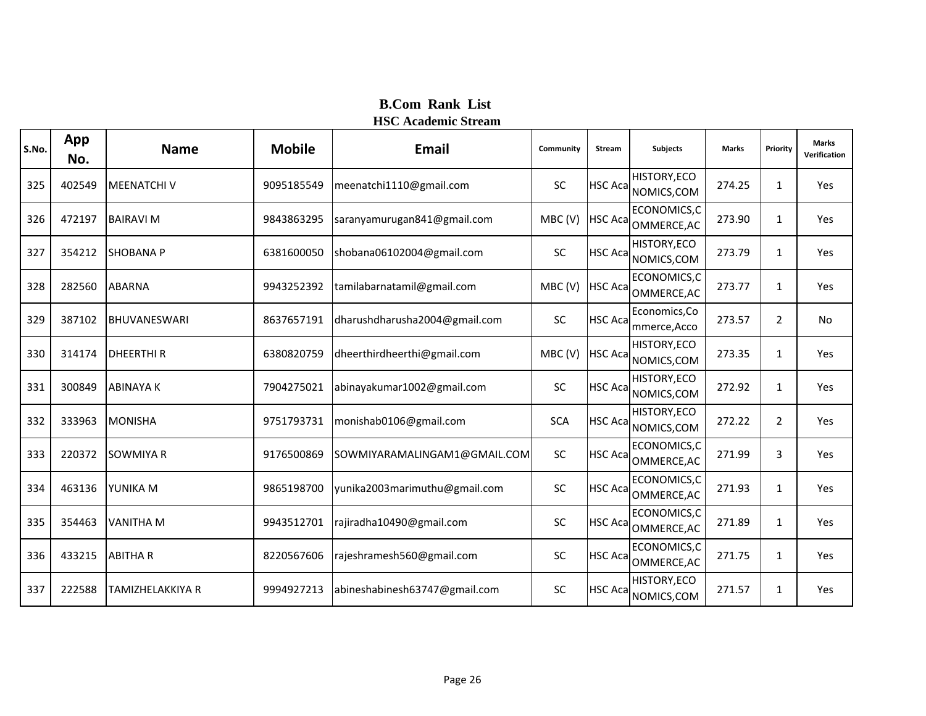| S.No. | App<br>No. | <b>Name</b>         | <b>Mobile</b> | <b>Email</b>                  | Community  | <b>Stream</b>   | <b>Subjects</b>               | <b>Marks</b> | Priority       | <b>Marks</b><br>Verification |
|-------|------------|---------------------|---------------|-------------------------------|------------|-----------------|-------------------------------|--------------|----------------|------------------------------|
| 325   | 402549     | <b>MEENATCHIV</b>   | 9095185549    | meenatchi1110@gmail.com       | <b>SC</b>  | <b>HSC Aca</b>  | HISTORY, ECO<br>NOMICS, COM   | 274.25       | $\mathbf{1}$   | Yes                          |
| 326   | 472197     | <b>BAIRAVI M</b>    | 9843863295    | saranyamurugan841@gmail.com   | MBC(V)     | <b>HSC Aca</b>  | ECONOMICS,C<br>OMMERCE, AC    | 273.90       | $\mathbf{1}$   | Yes                          |
| 327   | 354212     | <b>SHOBANA P</b>    | 6381600050    | shobana06102004@gmail.com     | <b>SC</b>  | <b>HSC Aca</b>  | HISTORY, ECO<br>NOMICS, COM   | 273.79       | $\mathbf{1}$   | Yes                          |
| 328   | 282560     | <b>ABARNA</b>       | 9943252392    | tamilabarnatamil@gmail.com    | MBC(V)     | <b>HSC Acal</b> | ECONOMICS, C<br>OMMERCE, AC   | 273.77       | $\mathbf{1}$   | Yes                          |
| 329   | 387102     | <b>BHUVANESWARI</b> | 8637657191    | dharushdharusha2004@gmail.com | <b>SC</b>  | <b>HSC Aca</b>  | Economics, Co<br>mmerce, Acco | 273.57       | $\overline{2}$ | No                           |
| 330   | 314174     | <b>DHEERTHIR</b>    | 6380820759    | dheerthirdheerthi@gmail.com   | MBC(V)     | <b>HSC Aca</b>  | HISTORY, ECO<br>NOMICS, COM   | 273.35       | $\mathbf{1}$   | Yes                          |
| 331   | 300849     | <b>ABINAYAK</b>     | 7904275021    | abinayakumar1002@gmail.com    | SC         | <b>HSC Aca</b>  | HISTORY, ECO<br>NOMICS, COM   | 272.92       | 1              | Yes                          |
| 332   | 333963     | <b>MONISHA</b>      | 9751793731    | monishab0106@gmail.com        | <b>SCA</b> | <b>HSC Acal</b> | HISTORY, ECO<br>NOMICS, COM   | 272.22       | $\overline{2}$ | Yes                          |
| 333   | 220372     | <b>SOWMIYA R</b>    | 9176500869    | SOWMIYARAMALINGAM1@GMAIL.COM  | <b>SC</b>  | <b>HSC Aca</b>  | ECONOMICS,C<br>OMMERCE, AC    | 271.99       | 3              | Yes                          |
| 334   | 463136     | YUNIKA M            | 9865198700    | yunika2003marimuthu@gmail.com | SC         | <b>HSC Acal</b> | ECONOMICS,C<br>OMMERCE, AC    | 271.93       | 1              | Yes                          |
| 335   | 354463     | <b>VANITHA M</b>    | 9943512701    | rajiradha10490@gmail.com      | <b>SC</b>  | <b>HSC Aca</b>  | ECONOMICS, C<br>OMMERCE, AC   | 271.89       | $\mathbf{1}$   | Yes                          |
| 336   | 433215     | <b>ABITHAR</b>      | 8220567606    | rajeshramesh560@gmail.com     | SC         | <b>HSC Aca</b>  | ECONOMICS, C<br>OMMERCE, AC   | 271.75       | $\mathbf{1}$   | Yes                          |
| 337   | 222588     | TAMIZHELAKKIYA R    | 9994927213    | abineshabinesh63747@gmail.com | <b>SC</b>  | HSC Aca         | HISTORY, ECO<br>NOMICS, COM   | 271.57       | $\mathbf{1}$   | Yes                          |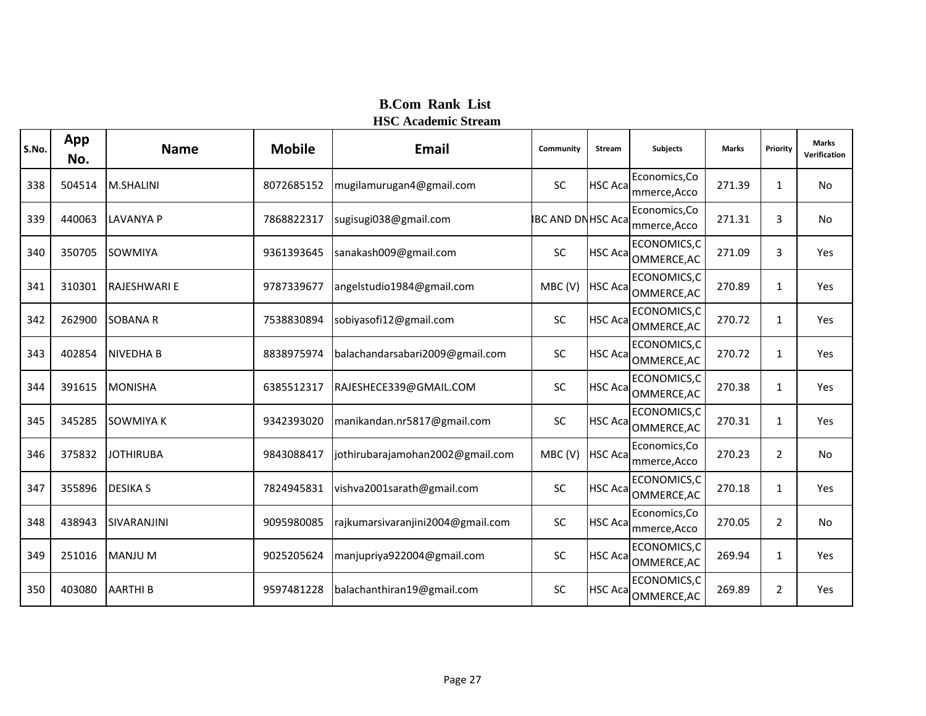| S.No. | App<br>No. | <b>Name</b>         | <b>Mobile</b> | <b>Email</b>                      | Community                | <b>Stream</b>   | <b>Subjects</b>               | <b>Marks</b> | Priority       | <b>Marks</b><br>Verification |
|-------|------------|---------------------|---------------|-----------------------------------|--------------------------|-----------------|-------------------------------|--------------|----------------|------------------------------|
| 338   | 504514     | <b>M.SHALINI</b>    | 8072685152    | mugilamurugan4@gmail.com          | <b>SC</b>                | <b>HSC Acal</b> | Economics, Co<br>mmerce, Acco | 271.39       | 1              | No                           |
| 339   | 440063     | <b>LAVANYA P</b>    | 7868822317    | sugisugi038@gmail.com             | <b>IBC AND DNHSC Aca</b> |                 | Economics, Co<br>mmerce, Acco | 271.31       | 3              | <b>No</b>                    |
| 340   | 350705     | <b>SOWMIYA</b>      | 9361393645    | sanakash009@gmail.com             | <b>SC</b>                | <b>HSC Acal</b> | ECONOMICS,C<br>OMMERCE, AC    | 271.09       | 3              | Yes                          |
| 341   | 310301     | <b>RAJESHWARI E</b> | 9787339677    | angelstudio1984@gmail.com         | MBC(V)                   | <b>HSC Aca</b>  | ECONOMICS, C<br>OMMERCE, AC   | 270.89       | 1              | Yes                          |
| 342   | 262900     | <b>SOBANA R</b>     | 7538830894    | sobiyasofi12@gmail.com            | SC                       | <b>HSC Aca</b>  | ECONOMICS,C<br>OMMERCE, AC    | 270.72       | 1              | Yes                          |
| 343   | 402854     | <b>NIVEDHAB</b>     | 8838975974    | balachandarsabari2009@gmail.com   | <b>SC</b>                | <b>HSC Acal</b> | ECONOMICS,C<br>OMMERCE, AC    | 270.72       | 1              | Yes                          |
| 344   | 391615     | <b>MONISHA</b>      | 6385512317    | RAJESHECE339@GMAIL.COM            | SC                       | <b>HSC Aca</b>  | ECONOMICS,C<br>OMMERCE, AC    | 270.38       | 1              | Yes                          |
| 345   | 345285     | <b>SOWMIYA K</b>    | 9342393020    | manikandan.nr5817@gmail.com       | <b>SC</b>                | <b>HSC Aca</b>  | ECONOMICS, C<br>OMMERCE, AC   | 270.31       | 1              | Yes                          |
| 346   | 375832     | <b>JOTHIRUBA</b>    | 9843088417    | jothirubarajamohan2002@gmail.com  | MBC(V)                   | <b>HSC Aca</b>  | Economics, Co<br>mmerce, Acco | 270.23       | $\overline{2}$ | No                           |
| 347   | 355896     | <b>DESIKA S</b>     | 7824945831    | vishva2001sarath@gmail.com        | SC                       | <b>HSC Aca</b>  | ECONOMICS,C<br>OMMERCE, AC    | 270.18       | 1              | Yes                          |
| 348   | 438943     | <b>SIVARANJINI</b>  | 9095980085    | rajkumarsivaranjini2004@gmail.com | <b>SC</b>                | <b>HSC Acal</b> | Economics,Co<br>mmerce, Acco  | 270.05       | $\overline{2}$ | No                           |
| 349   | 251016     | <b>MANJU M</b>      | 9025205624    | manjupriya922004@gmail.com        | SC                       | <b>HSC Acal</b> | ECONOMICS, C<br>OMMERCE, AC   | 269.94       | 1              | Yes                          |
| 350   | 403080     | <b>AARTHIB</b>      | 9597481228    | balachanthiran19@gmail.com        | <b>SC</b>                | <b>HSC Acal</b> | ECONOMICS,C<br>OMMERCE, AC    | 269.89       | $\overline{2}$ | Yes                          |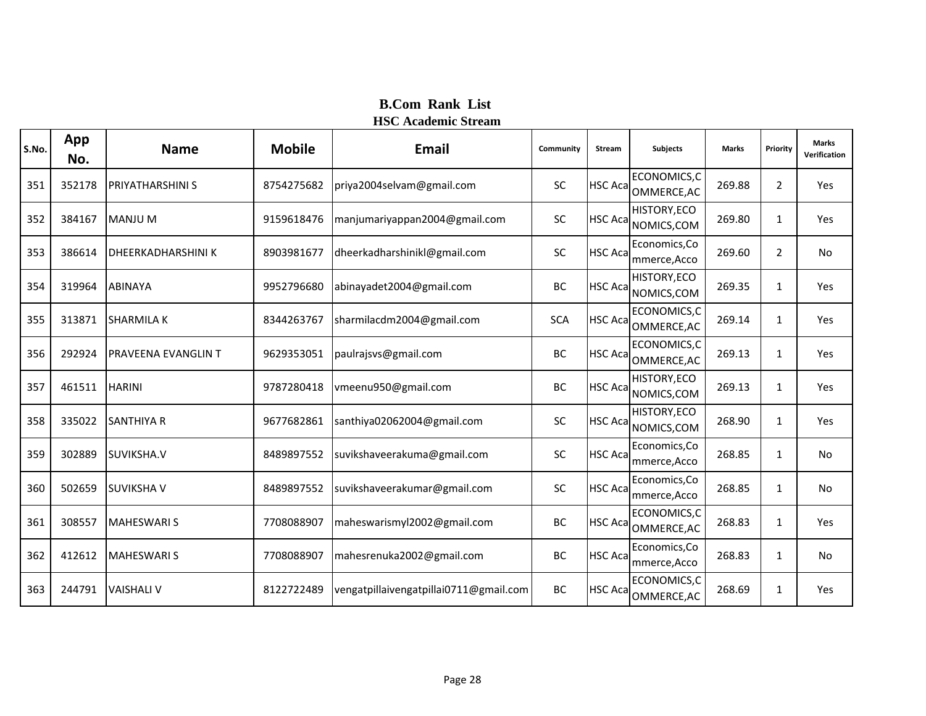| S.No. | App<br>No. | <b>Name</b>                | <b>Mobile</b> | <b>Email</b>                           | Community  | <b>Stream</b>   | <b>Subjects</b>                     | <b>Marks</b> | Priority       | <b>Marks</b><br>Verification |
|-------|------------|----------------------------|---------------|----------------------------------------|------------|-----------------|-------------------------------------|--------------|----------------|------------------------------|
| 351   | 352178     | <b>PRIYATHARSHINI S</b>    | 8754275682    | priya2004selvam@gmail.com              | <b>SC</b>  |                 | ECONOMICS,C<br>HSC Aca OMMERCE, AC  | 269.88       | $\overline{2}$ | Yes                          |
| 352   | 384167     | <b>MANJU M</b>             | 9159618476    | manjumariyappan2004@gmail.com          | SC         |                 | HISTORY, ECO<br>HSC Aca NOMICS, COM | 269.80       | $\mathbf{1}$   | Yes                          |
| 353   | 386614     | <b>DHEERKADHARSHINI K</b>  | 8903981677    | dheerkadharshinikl@gmail.com           | SC         | <b>HSC Acal</b> | Economics, Co<br>mmerce, Acco       | 269.60       | $\overline{2}$ | No.                          |
| 354   | 319964     | <b>ABINAYA</b>             | 9952796680    | abinayadet2004@gmail.com               | ВC         | <b>HSC Acal</b> | HISTORY, ECO<br>NOMICS, COM         | 269.35       | 1              | <b>Yes</b>                   |
| 355   | 313871     | <b>SHARMILA K</b>          | 8344263767    | sharmilacdm2004@gmail.com              | <b>SCA</b> |                 | ECONOMICS,C<br>HSC Aca OMMERCE, AC  | 269.14       | 1              | Yes                          |
| 356   | 292924     | <b>PRAVEENA EVANGLIN T</b> | 9629353051    | paulrajsvs@gmail.com                   | BC         | <b>HSC Acal</b> | ECONOMICS,C<br>OMMERCE, AC          | 269.13       | $\mathbf{1}$   | Yes                          |
| 357   | 461511     | <b>HARINI</b>              | 9787280418    | vmeenu950@gmail.com                    | BC         |                 | HISTORY, ECO<br>HSC Aca NOMICS, COM | 269.13       | $\mathbf{1}$   | Yes                          |
| 358   | 335022     | <b>SANTHIYA R</b>          | 9677682861    | santhiya02062004@gmail.com             | <b>SC</b>  | <b>HSC Aca</b>  | HISTORY, ECO<br>NOMICS, COM         | 268.90       | 1              | Yes                          |
| 359   | 302889     | SUVIKSHA.V                 | 8489897552    | suvikshaveerakuma@gmail.com            | SC         | <b>HSC Acal</b> | Economics, Co<br>mmerce, Acco       | 268.85       | $\mathbf{1}$   | <b>No</b>                    |
| 360   | 502659     | <b>SUVIKSHA V</b>          | 8489897552    | suvikshaveerakumar@gmail.com           | <b>SC</b>  | <b>HSC Aca</b>  | Economics, Co<br>mmerce, Acco       | 268.85       | 1              | <b>No</b>                    |
| 361   | 308557     | <b>MAHESWARI S</b>         | 7708088907    | maheswarismyl2002@gmail.com            | <b>BC</b>  | <b>HSC Acal</b> | ECONOMICS,C<br>OMMERCE, AC          | 268.83       | $\mathbf{1}$   | Yes                          |
| 362   | 412612     | <b>MAHESWARIS</b>          | 7708088907    | mahesrenuka2002@gmail.com              | BC         | <b>HSC Aca</b>  | Economics, Co<br>mmerce, Acco       | 268.83       | $\mathbf{1}$   | No.                          |
| 363   | 244791     | <b>VAISHALI V</b>          | 8122722489    | vengatpillaivengatpillai0711@gmail.com | BC         | <b>HSC Aca</b>  | ECONOMICS,C<br>OMMERCE, AC          | 268.69       | 1              | Yes                          |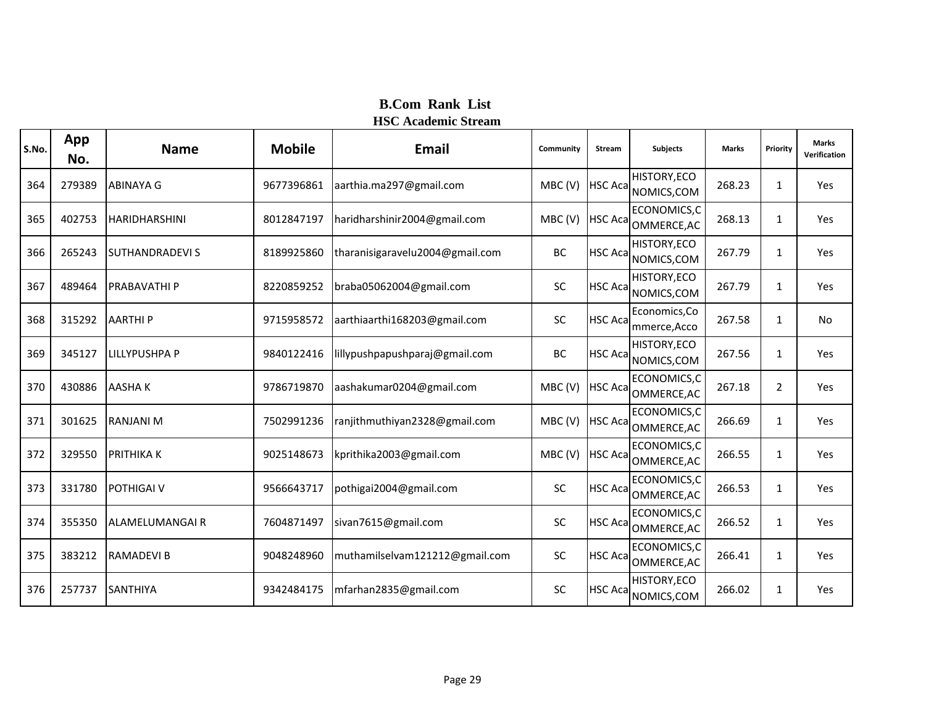| S.No. | App<br>No. | <b>Name</b>            | <b>Mobile</b> | <b>Email</b>                    | Community | <b>Stream</b>   | <b>Subjects</b>               | <b>Marks</b> | Priority       | <b>Marks</b><br>Verification |
|-------|------------|------------------------|---------------|---------------------------------|-----------|-----------------|-------------------------------|--------------|----------------|------------------------------|
| 364   | 279389     | <b>ABINAYA G</b>       | 9677396861    | aarthia.ma297@gmail.com         | MBC(V)    | <b>HSC Aca</b>  | HISTORY, ECO<br>NOMICS, COM   | 268.23       | $\mathbf{1}$   | Yes                          |
| 365   | 402753     | <b>HARIDHARSHINI</b>   | 8012847197    | haridharshinir2004@gmail.com    | MBC(V)    | <b>HSC Aca</b>  | ECONOMICS, C<br>OMMERCE, AC   | 268.13       | 1              | Yes                          |
| 366   | 265243     | <b>SUTHANDRADEVI S</b> | 8189925860    | tharanisigaravelu2004@gmail.com | BC        | <b>HSC Aca</b>  | HISTORY, ECO<br>NOMICS, COM   | 267.79       | $\mathbf{1}$   | Yes                          |
| 367   | 489464     | <b>PRABAVATHI P</b>    | 8220859252    | braba05062004@gmail.com         | SC        | <b>HSC Aca</b>  | HISTORY, ECO<br>NOMICS, COM   | 267.79       | $\mathbf{1}$   | Yes                          |
| 368   | 315292     | <b>AARTHIP</b>         | 9715958572    | aarthiaarthi168203@gmail.com    | <b>SC</b> | <b>HSC Aca</b>  | Economics, Co<br>mmerce, Acco | 267.58       | $\mathbf{1}$   | No                           |
| 369   | 345127     | <b>LILLYPUSHPA P</b>   | 9840122416    | lillypushpapushparaj@gmail.com  | BC        | <b>HSC Aca</b>  | HISTORY, ECO<br>NOMICS, COM   | 267.56       | $\mathbf{1}$   | Yes                          |
| 370   | 430886     | <b>AASHAK</b>          | 9786719870    | aashakumar0204@gmail.com        | MBC(V)    | <b>HSC Aca</b>  | ECONOMICS,C<br>OMMERCE, AC    | 267.18       | $\overline{2}$ | Yes                          |
| 371   | 301625     | <b>RANJANI M</b>       | 7502991236    | ranjithmuthiyan2328@gmail.com   | MBC(V)    | <b>HSC Acal</b> | ECONOMICS,C<br>OMMERCE, AC    | 266.69       | $\mathbf{1}$   | Yes                          |
| 372   | 329550     | <b>PRITHIKA K</b>      | 9025148673    | kprithika2003@gmail.com         | MBC(V)    | <b>HSC Aca</b>  | ECONOMICS,C<br>OMMERCE, AC    | 266.55       | $\mathbf{1}$   | Yes                          |
| 373   | 331780     | <b>POTHIGAI V</b>      | 9566643717    | pothigai2004@gmail.com          | SC        | <b>HSC Acal</b> | ECONOMICS,C<br>OMMERCE, AC    | 266.53       | 1              | Yes                          |
| 374   | 355350     | ALAMELUMANGAI R        | 7604871497    | sivan7615@gmail.com             | <b>SC</b> | <b>HSC Aca</b>  | ECONOMICS, C<br>OMMERCE, AC   | 266.52       | $\mathbf{1}$   | Yes                          |
| 375   | 383212     | <b>RAMADEVIB</b>       | 9048248960    | muthamilselvam121212@gmail.com  | <b>SC</b> | <b>HSC Acal</b> | ECONOMICS, C<br>OMMERCE, AC   | 266.41       | $\mathbf{1}$   | Yes                          |
| 376   | 257737     | <b>SANTHIYA</b>        | 9342484175    | mfarhan2835@gmail.com           | <b>SC</b> | HSC Aca         | HISTORY, ECO<br>NOMICS, COM   | 266.02       | $\mathbf{1}$   | Yes                          |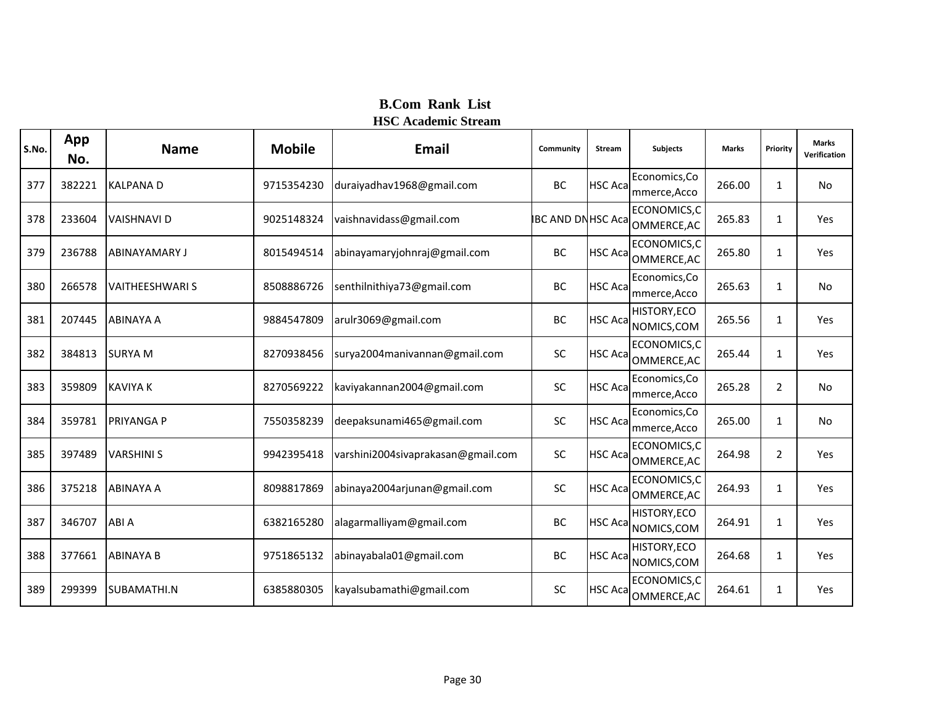| S.No. | App<br>No. | <b>Name</b>            | <b>Mobile</b> | <b>Email</b>                       | Community               | <b>Stream</b>   | <b>Subjects</b>               | <b>Marks</b> | Priority       | <b>Marks</b><br>Verification |
|-------|------------|------------------------|---------------|------------------------------------|-------------------------|-----------------|-------------------------------|--------------|----------------|------------------------------|
| 377   | 382221     | <b>KALPANA D</b>       | 9715354230    | duraiyadhav1968@gmail.com          | BC                      | <b>HSC Aca</b>  | Economics, Co<br>mmerce, Acco | 266.00       | 1              | No                           |
| 378   | 233604     | <b>VAISHNAVI D</b>     | 9025148324    | vaishnavidass@gmail.com            | <b>BC AND DNHSC Aca</b> |                 | ECONOMICS,C<br>OMMERCE, AC    | 265.83       | 1              | Yes                          |
| 379   | 236788     | <b>ABINAYAMARY J</b>   | 8015494514    | abinayamaryjohnraj@gmail.com       | BC                      | <b>HSC Aca</b>  | ECONOMICS,C<br>OMMERCE, AC    | 265.80       | 1              | Yes                          |
| 380   | 266578     | <b>VAITHEESHWARI S</b> | 8508886726    | senthilnithiya73@gmail.com         | BC                      | <b>HSC Aca</b>  | Economics, Co<br>mmerce, Acco | 265.63       | 1              | No                           |
| 381   | 207445     | <b>ABINAYA A</b>       | 9884547809    | arulr3069@gmail.com                | BC                      | <b>HSC Aca</b>  | HISTORY, ECO<br>NOMICS, COM   | 265.56       | 1              | Yes                          |
| 382   | 384813     | <b>SURYA M</b>         | 8270938456    | surya2004manivannan@gmail.com      | SC                      | <b>HSC Aca</b>  | ECONOMICS,C<br>OMMERCE, AC    | 265.44       | 1              | Yes                          |
| 383   | 359809     | <b>KAVIYA K</b>        | 8270569222    | kaviyakannan2004@gmail.com         | SC                      | <b>HSC Aca</b>  | Economics, Co<br>mmerce, Acco | 265.28       | $\overline{2}$ | No                           |
| 384   | 359781     | <b>PRIYANGA P</b>      | 7550358239    | deepaksunami465@gmail.com          | <b>SC</b>               | <b>HSC Aca</b>  | Economics, Co<br>mmerce, Acco | 265.00       | $\mathbf{1}$   | No                           |
| 385   | 397489     | <b>VARSHINI S</b>      | 9942395418    | varshini2004sivaprakasan@gmail.com | SC                      | <b>HSC Aca</b>  | ECONOMICS,C<br>OMMERCE, AC    | 264.98       | $\overline{2}$ | Yes                          |
| 386   | 375218     | <b>ABINAYA A</b>       | 8098817869    | abinaya2004arjunan@gmail.com       | SC                      | <b>HSC Aca</b>  | ECONOMICS,C<br>OMMERCE, AC    | 264.93       | 1              | Yes                          |
| 387   | 346707     | ABI A                  | 6382165280    | alagarmalliyam@gmail.com           | BC                      | <b>HSC Aca</b>  | HISTORY, ECO<br>NOMICS, COM   | 264.91       | 1              | Yes                          |
| 388   | 377661     | <b>ABINAYA B</b>       | 9751865132    | abinayabala01@gmail.com            | BC                      | <b>HSC Aca</b>  | HISTORY, ECO<br>NOMICS, COM   | 264.68       | 1              | Yes                          |
| 389   | 299399     | SUBAMATHI.N            | 6385880305    | kayalsubamathi@gmail.com           | <b>SC</b>               | <b>HSC Acal</b> | ECONOMICS,C<br>OMMERCE, AC    | 264.61       | 1              | Yes                          |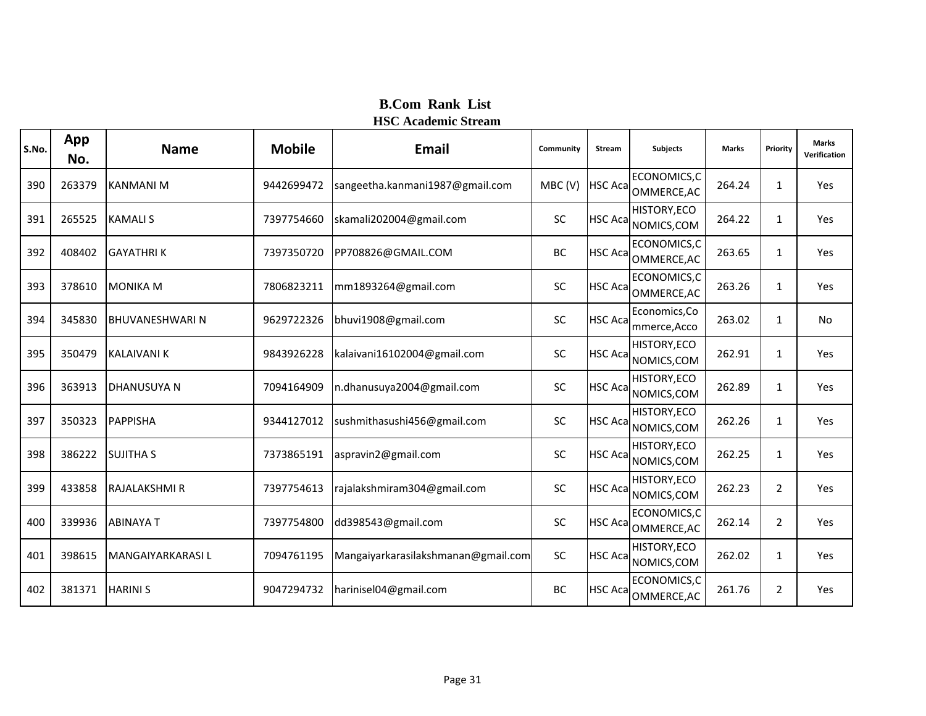| S.No. | App<br>No. | <b>Name</b>            | <b>Mobile</b> | Email                               | Community | <b>Stream</b>   | <b>Subjects</b>               | <b>Marks</b> | Priority       | <b>Marks</b><br>Verification |
|-------|------------|------------------------|---------------|-------------------------------------|-----------|-----------------|-------------------------------|--------------|----------------|------------------------------|
| 390   | 263379     | KANMANI M              | 9442699472    | sangeetha.kanmani1987@gmail.com     | MBC(V)    | <b>HSC Aca</b>  | ECONOMICS,C<br>OMMERCE, AC    | 264.24       | 1              | Yes                          |
| 391   | 265525     | <b>KAMALIS</b>         | 7397754660    | skamali202004@gmail.com             | <b>SC</b> | <b>HSC Aca</b>  | HISTORY, ECO<br>NOMICS, COM   | 264.22       | $\mathbf{1}$   | Yes                          |
| 392   | 408402     | <b>GAYATHRIK</b>       | 7397350720    | PP708826@GMAIL.COM                  | BC        | <b>HSC Acal</b> | ECONOMICS,C<br>OMMERCE, AC    | 263.65       | 1              | Yes                          |
| 393   | 378610     | <b>MONIKA M</b>        | 7806823211    | mm1893264@gmail.com                 | <b>SC</b> | <b>HSC Acal</b> | ECONOMICS,C<br>OMMERCE, AC    | 263.26       | 1              | Yes                          |
| 394   | 345830     | <b>BHUVANESHWARI N</b> | 9629722326    | bhuvi1908@gmail.com                 | <b>SC</b> | <b>HSC Acal</b> | Economics, Co<br>mmerce, Acco | 263.02       | $\mathbf{1}$   | No                           |
| 395   | 350479     | <b>KALAIVANI K</b>     | 9843926228    | kalaivani16102004@gmail.com         | SC        | <b>HSC Aca</b>  | HISTORY, ECO<br>NOMICS, COM   | 262.91       | $\mathbf{1}$   | Yes                          |
| 396   | 363913     | <b>DHANUSUYA N</b>     | 7094164909    | n.dhanusuya2004@gmail.com           | SC        | <b>HSC Aca</b>  | HISTORY, ECO<br>NOMICS, COM   | 262.89       | 1              | Yes                          |
| 397   | 350323     | <b>PAPPISHA</b>        | 9344127012    | sushmithasushi456@gmail.com         | <b>SC</b> | <b>HSC Aca</b>  | HISTORY, ECO<br>NOMICS, COM   | 262.26       | 1              | Yes                          |
| 398   | 386222     | <b>SUJITHA S</b>       | 7373865191    | aspravin2@gmail.com                 | SC        | <b>HSC Aca</b>  | HISTORY, ECO<br>NOMICS, COM   | 262.25       | 1              | Yes                          |
| 399   | 433858     | RAJALAKSHMI R          | 7397754613    | rajalakshmiram304@gmail.com         | SC        | <b>HSC Aca</b>  | HISTORY, ECO<br>NOMICS, COM   | 262.23       | $\overline{2}$ | Yes                          |
| 400   | 339936     | <b>ABINAYAT</b>        | 7397754800    | dd398543@gmail.com                  | <b>SC</b> | <b>HSC Aca</b>  | ECONOMICS, C<br>OMMERCE, AC   | 262.14       | $\overline{2}$ | Yes                          |
| 401   | 398615     | MANGAIYARKARASI L      | 7094761195    | Mangaiyarkarasilakshmanan@gmail.com | <b>SC</b> | <b>HSC Acal</b> | HISTORY, ECO<br>NOMICS, COM   | 262.02       | 1              | Yes                          |
| 402   | 381371     | <b>HARINIS</b>         | 9047294732    | harinisel04@gmail.com               | BC        | <b>HSC Aca</b>  | ECONOMICS,C<br>OMMERCE, AC    | 261.76       | $\overline{2}$ | Yes                          |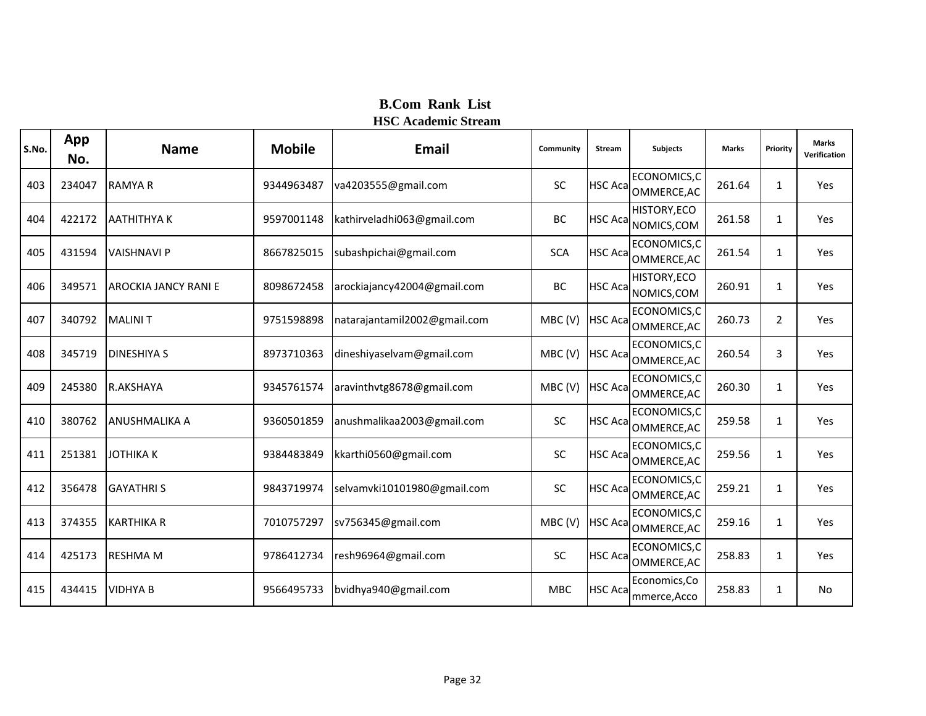| S.No. | App<br>No. | <b>Name</b>                 | <b>Mobile</b> | <b>Email</b>                 | Community  | <b>Stream</b>   | <b>Subjects</b>                    | <b>Marks</b> | Priority       | <b>Marks</b><br>Verification |
|-------|------------|-----------------------------|---------------|------------------------------|------------|-----------------|------------------------------------|--------------|----------------|------------------------------|
| 403   | 234047     | <b>RAMYAR</b>               | 9344963487    | va4203555@gmail.com          | <b>SC</b>  | <b>HSC Aca</b>  | ECONOMICS,C<br>OMMERCE, AC         | 261.64       | 1              | Yes                          |
| 404   | 422172     | <b>AATHITHYAK</b>           | 9597001148    | kathirveladhi063@gmail.com   | BC         | <b>HSC Aca</b>  | HISTORY, ECO<br>NOMICS, COM        | 261.58       | $\mathbf{1}$   | Yes                          |
| 405   | 431594     | <b>VAISHNAVI P</b>          | 8667825015    | subashpichai@gmail.com       | <b>SCA</b> | <b>HSC Acal</b> | ECONOMICS,C<br>OMMERCE, AC         | 261.54       | $\mathbf{1}$   | Yes                          |
| 406   | 349571     | <b>AROCKIA JANCY RANI E</b> | 8098672458    | arockiajancy42004@gmail.com  | BC         | <b>HSC Aca</b>  | HISTORY, ECO<br>NOMICS, COM        | 260.91       | 1              | Yes                          |
| 407   | 340792     | <b>MALINIT</b>              | 9751598898    | natarajantamil2002@gmail.com | MBC(V)     | <b>HSC Aca</b>  | ECONOMICS,C<br>OMMERCE, AC         | 260.73       | $\overline{2}$ | Yes                          |
| 408   | 345719     | <b>DINESHIYA S</b>          | 8973710363    | dineshiyaselvam@gmail.com    | MBC(V)     | <b>HSC Aca</b>  | ECONOMICS,C<br>OMMERCE, AC         | 260.54       | 3              | Yes                          |
| 409   | 245380     | R.AKSHAYA                   | 9345761574    | aravinthvtg8678@gmail.com    | MBC(V)     |                 | ECONOMICS,C<br>HSC Aca OMMERCE, AC | 260.30       | $\mathbf{1}$   | Yes                          |
| 410   | 380762     | <b>ANUSHMALIKA A</b>        | 9360501859    | anushmalikaa2003@gmail.com   | SC         | <b>HSC Aca</b>  | ECONOMICS,C<br>OMMERCE, AC         | 259.58       | 1              | Yes                          |
| 411   | 251381     | <b>JOTHIKAK</b>             | 9384483849    | kkarthi0560@gmail.com        | SC         | <b>HSC Aca</b>  | ECONOMICS, C<br>OMMERCE, AC        | 259.56       | 1              | Yes                          |
| 412   | 356478     | <b>GAYATHRIS</b>            | 9843719974    | selvamvki10101980@gmail.com  | SC         |                 | ECONOMICS,C<br>HSC Aca OMMERCE, AC | 259.21       | 1              | Yes                          |
| 413   | 374355     | <b>KARTHIKA R</b>           | 7010757297    | sv756345@gmail.com           | MBC(V)     | <b>HSC Aca</b>  | ECONOMICS,C<br>OMMERCE, AC         | 259.16       | 1              | Yes                          |
| 414   | 425173     | <b>RESHMA M</b>             | 9786412734    | resh96964@gmail.com          | SC         | <b>HSC Aca</b>  | ECONOMICS,C<br>OMMERCE, AC         | 258.83       | $\mathbf{1}$   | Yes                          |
| 415   | 434415     | <b>VIDHYA B</b>             | 9566495733    | bvidhya940@gmail.com         | <b>MBC</b> | <b>HSC Aca</b>  | Economics, Co<br>mmerce, Acco      | 258.83       | 1              | No                           |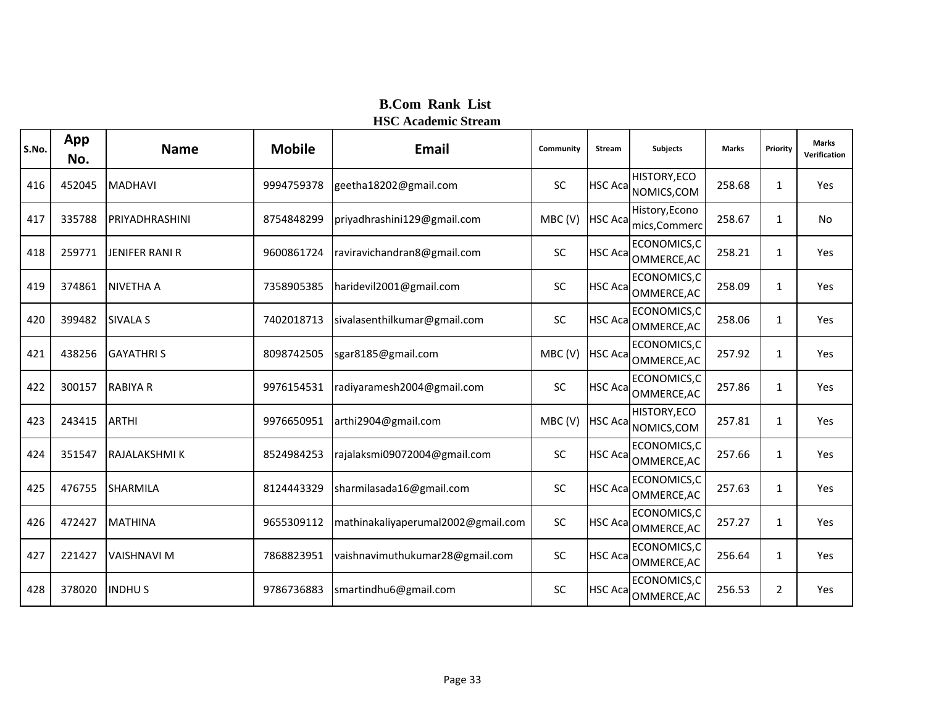| S.No. | App<br>No. | <b>Name</b>           | <b>Mobile</b> | Email                              | Community | <b>Stream</b>   | <b>Subjects</b>                    | <b>Marks</b> | Priority       | <b>Marks</b><br>Verification |
|-------|------------|-----------------------|---------------|------------------------------------|-----------|-----------------|------------------------------------|--------------|----------------|------------------------------|
| 416   | 452045     | <b>MADHAVI</b>        | 9994759378    | geetha18202@gmail.com              | <b>SC</b> | <b>HSC Acal</b> | HISTORY, ECO<br>NOMICS, COM        | 258.68       | $\mathbf{1}$   | Yes                          |
| 417   | 335788     | PRIYADHRASHINI        | 8754848299    | priyadhrashini129@gmail.com        | MBC(V)    | <b>HSC Aca</b>  | History, Econo<br>mics, Commerc    | 258.67       | $\mathbf{1}$   | <b>No</b>                    |
| 418   | 259771     | <b>JENIFER RANI R</b> | 9600861724    | raviravichandran8@gmail.com        | <b>SC</b> | <b>HSC Aca</b>  | ECONOMICS,C<br>OMMERCE, AC         | 258.21       | 1              | Yes                          |
| 419   | 374861     | <b>NIVETHA A</b>      | 7358905385    | haridevil2001@gmail.com            | SC        | <b>HSC Acal</b> | ECONOMICS,C<br>OMMERCE, AC         | 258.09       | 1              | Yes                          |
| 420   | 399482     | <b>SIVALA S</b>       | 7402018713    | sivalasenthilkumar@gmail.com       | SC        | <b>HSC Acal</b> | ECONOMICS,C<br>OMMERCE, AC         | 258.06       | $\mathbf{1}$   | Yes                          |
| 421   | 438256     | <b>GAYATHRIS</b>      | 8098742505    | sgar8185@gmail.com                 | MBC(V)    | <b>HSC Acal</b> | ECONOMICS,C<br>OMMERCE, AC         | 257.92       | 1              | Yes                          |
| 422   | 300157     | <b>RABIYA R</b>       | 9976154531    | radiyaramesh2004@gmail.com         | SC        | <b>HSC Aca</b>  | ECONOMICS,C<br>OMMERCE, AC         | 257.86       | $\mathbf{1}$   | Yes                          |
| 423   | 243415     | <b>ARTHI</b>          | 9976650951    | arthi2904@gmail.com                | MBC(V)    | <b>HSC Aca</b>  | HISTORY, ECO<br>NOMICS, COM        | 257.81       | 1              | Yes                          |
| 424   | 351547     | RAJALAKSHMI K         | 8524984253    | rajalaksmi09072004@gmail.com       | SC        | <b>HSC Aca</b>  | ECONOMICS,C<br>OMMERCE, AC         | 257.66       | 1              | Yes                          |
| 425   | 476755     | SHARMILA              | 8124443329    | sharmilasada16@gmail.com           | SC        |                 | ECONOMICS,C<br>HSC Aca OMMERCE, AC | 257.63       | 1              | Yes                          |
| 426   | 472427     | <b>MATHINA</b>        | 9655309112    | mathinakaliyaperumal2002@gmail.com | <b>SC</b> | <b>HSC Aca</b>  | ECONOMICS,C<br>OMMERCE, AC         | 257.27       | 1              | Yes                          |
| 427   | 221427     | <b>VAISHNAVI M</b>    | 7868823951    | vaishnavimuthukumar28@gmail.com    | SC        | <b>HSC Aca</b>  | ECONOMICS,C<br>OMMERCE, AC         | 256.64       | 1              | Yes                          |
| 428   | 378020     | <b>INDHUS</b>         | 9786736883    | smartindhu6@gmail.com              | <b>SC</b> | <b>HSC Acal</b> | ECONOMICS,C<br>OMMERCE, AC         | 256.53       | $\overline{2}$ | Yes                          |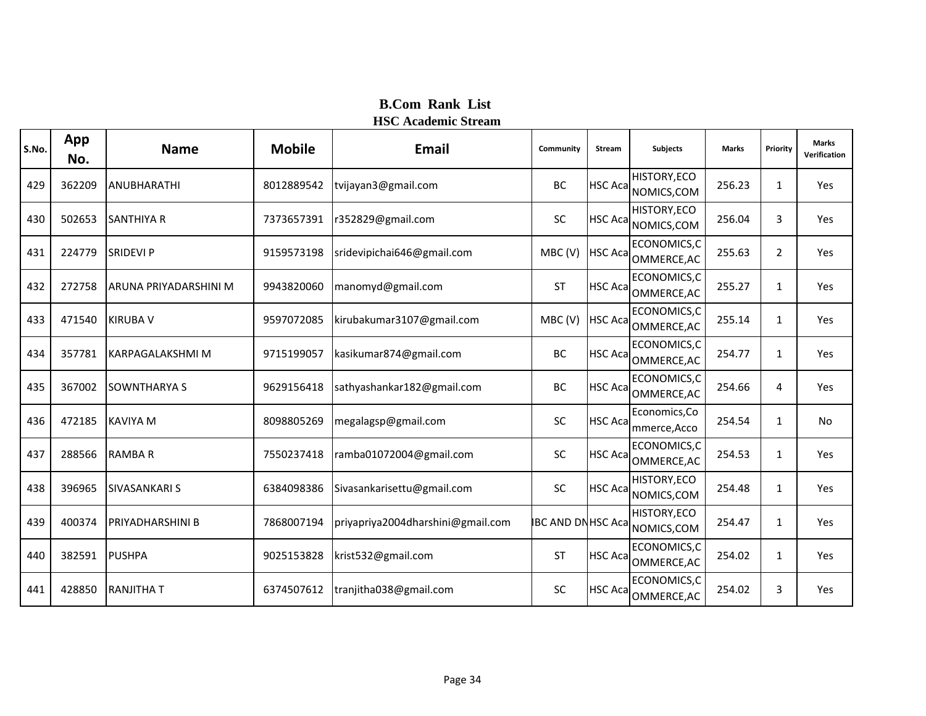| S.No. | App<br>No. | <b>Name</b>              | <b>Mobile</b> | <b>Email</b>                      | Community                | <b>Stream</b>   | <b>Subjects</b>               | <b>Marks</b> | Priority       | <b>Marks</b><br>Verification |
|-------|------------|--------------------------|---------------|-----------------------------------|--------------------------|-----------------|-------------------------------|--------------|----------------|------------------------------|
| 429   | 362209     | ANUBHARATHI              | 8012889542    | tvijayan3@gmail.com               | <b>BC</b>                | <b>HSC Acal</b> | HISTORY, ECO<br>NOMICS, COM   | 256.23       | 1              | Yes                          |
| 430   | 502653     | <b>SANTHIYA R</b>        | 7373657391    | r352829@gmail.com                 | <b>SC</b>                | <b>HSC Acal</b> | HISTORY, ECO<br>NOMICS, COM   | 256.04       | 3              | Yes                          |
| 431   | 224779     | <b>SRIDEVI P</b>         | 9159573198    | sridevipichai646@gmail.com        | MBC(V)                   | <b>HSC Aca</b>  | ECONOMICS,C<br>OMMERCE, AC    | 255.63       | $\overline{2}$ | Yes                          |
| 432   | 272758     | ARUNA PRIYADARSHINI M    | 9943820060    | manomyd@gmail.com                 | <b>ST</b>                | <b>HSC Acal</b> | ECONOMICS,C<br>OMMERCE, AC    | 255.27       | 1              | Yes                          |
| 433   | 471540     | <b>KIRUBA V</b>          | 9597072085    | kirubakumar3107@gmail.com         | MBC(V)                   | <b>HSC Acal</b> | ECONOMICS,C<br>OMMERCE, AC    | 255.14       | 1              | Yes                          |
| 434   | 357781     | <b>IKARPAGALAKSHMI M</b> | 9715199057    | kasikumar874@gmail.com            | <b>BC</b>                | <b>HSC Aca</b>  | ECONOMICS,C<br>OMMERCE, AC    | 254.77       | $\mathbf{1}$   | Yes                          |
| 435   | 367002     | <b>SOWNTHARYA S</b>      | 9629156418    | sathyashankar182@gmail.com        | <b>BC</b>                | <b>HSC Aca</b>  | ECONOMICS, C<br>OMMERCE, AC   | 254.66       | 4              | Yes                          |
| 436   | 472185     | <b>KAVIYA M</b>          | 8098805269    | megalagsp@gmail.com               | <b>SC</b>                | <b>HSC Aca</b>  | Economics, Co<br>mmerce, Acco | 254.54       | $\mathbf{1}$   | <b>No</b>                    |
| 437   | 288566     | <b>RAMBAR</b>            | 7550237418    | ramba01072004@gmail.com           | SC                       | <b>HSC Acal</b> | ECONOMICS,C<br>OMMERCE, AC    | 254.53       | $\mathbf{1}$   | Yes                          |
| 438   | 396965     | <b>SIVASANKARI S</b>     | 6384098386    | Sivasankarisettu@gmail.com        | SC                       | <b>HSC Aca</b>  | HISTORY, ECO<br>NOMICS, COM   | 254.48       | 1              | Yes                          |
| 439   | 400374     | <b>PRIYADHARSHINI B</b>  | 7868007194    | priyapriya2004dharshini@gmail.com | <b>IBC AND DNHSC Aca</b> |                 | HISTORY, ECO<br>NOMICS, COM   | 254.47       | $\mathbf{1}$   | Yes                          |
| 440   | 382591     | <b>PUSHPA</b>            | 9025153828    | krist532@gmail.com                | <b>ST</b>                | <b>HSC Aca</b>  | ECONOMICS, C<br>OMMERCE, AC   | 254.02       | $\mathbf{1}$   | Yes                          |
| 441   | 428850     | <b>RANJITHAT</b>         | 6374507612    | tranjitha038@gmail.com            | <b>SC</b>                | <b>HSC Acal</b> | ECONOMICS,C<br>OMMERCE, AC    | 254.02       | 3              | Yes                          |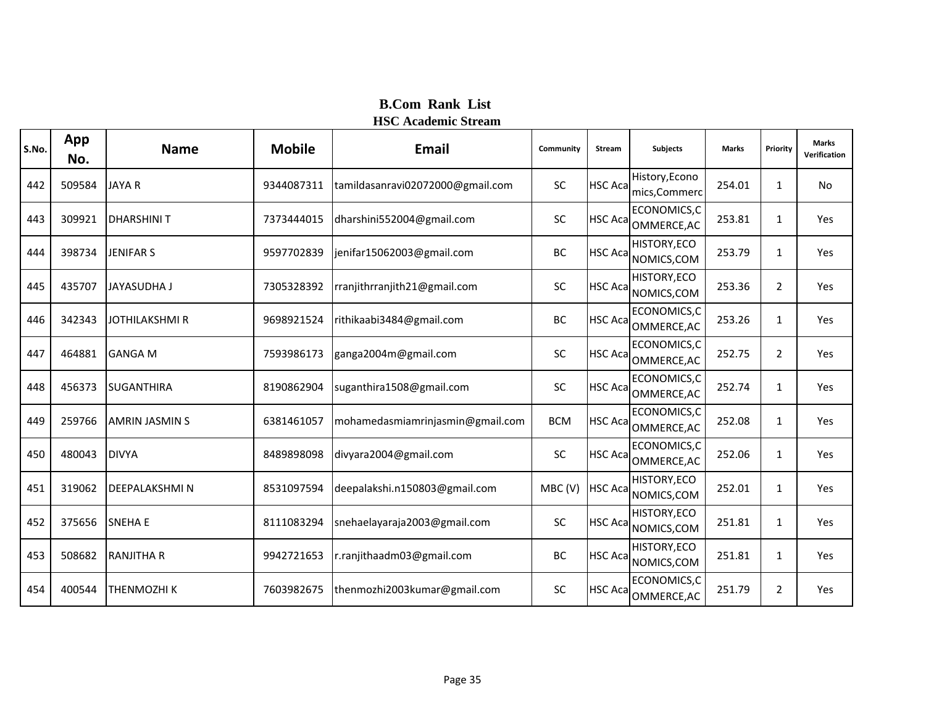| S.No. | App<br>No. | <b>Name</b>           | <b>Mobile</b> | <b>Email</b>                     | Community  | <b>Stream</b>   | <b>Subjects</b>                 | <b>Marks</b> | Priority       | <b>Marks</b><br>Verification |
|-------|------------|-----------------------|---------------|----------------------------------|------------|-----------------|---------------------------------|--------------|----------------|------------------------------|
| 442   | 509584     | <b>JAYA R</b>         | 9344087311    | tamildasanravi02072000@gmail.com | SC         | <b>HSC Acal</b> | History, Econo<br>mics, Commerc | 254.01       | $\mathbf{1}$   | <b>No</b>                    |
| 443   | 309921     | <b>DHARSHINIT</b>     | 7373444015    | dharshini552004@gmail.com        | <b>SC</b>  | <b>HSC Aca</b>  | ECONOMICS, C<br>OMMERCE, AC     | 253.81       | 1              | Yes                          |
| 444   | 398734     | <b>JENIFAR S</b>      | 9597702839    | jenifar15062003@gmail.com        | BC         | <b>HSC Aca</b>  | HISTORY, ECO<br>NOMICS, COM     | 253.79       | $\mathbf{1}$   | Yes                          |
| 445   | 435707     | <b>JAYASUDHA J</b>    | 7305328392    | rranjithrranjith21@gmail.com     | SC         | <b>HSC Aca</b>  | HISTORY, ECO<br>NOMICS, COM     | 253.36       | 2              | Yes                          |
| 446   | 342343     | <b>JOTHILAKSHMI R</b> | 9698921524    | rithikaabi3484@gmail.com         | BC         | <b>HSC Aca</b>  | ECONOMICS, C<br>OMMERCE, AC     | 253.26       | $\mathbf{1}$   | Yes                          |
| 447   | 464881     | <b>GANGA M</b>        | 7593986173    | ganga2004m@gmail.com             | SC         | <b>HSC Aca</b>  | ECONOMICS, C<br>OMMERCE, AC     | 252.75       | 2              | Yes                          |
| 448   | 456373     | <b>SUGANTHIRA</b>     | 8190862904    | suganthira1508@gmail.com         | SC         | <b>HSC Acal</b> | ECONOMICS,C<br>OMMERCE, AC      | 252.74       | 1              | Yes                          |
| 449   | 259766     | <b>AMRIN JASMIN S</b> | 6381461057    | mohamedasmiamrinjasmin@gmail.com | <b>BCM</b> | <b>HSC Acal</b> | ECONOMICS,C<br>OMMERCE, AC      | 252.08       | $\mathbf{1}$   | Yes                          |
| 450   | 480043     | <b>DIVYA</b>          | 8489898098    | divyara2004@gmail.com            | SC         | <b>HSC Acal</b> | ECONOMICS,C<br>OMMERCE, AC      | 252.06       | $\mathbf{1}$   | Yes                          |
| 451   | 319062     | <b>DEEPALAKSHMIN</b>  | 8531097594    | deepalakshi.n150803@gmail.com    | MBC(V)     | <b>HSC Aca</b>  | HISTORY, ECO<br>NOMICS, COM     | 252.01       | 1              | Yes                          |
| 452   | 375656     | <b>SNEHA E</b>        | 8111083294    | snehaelayaraja2003@gmail.com     | <b>SC</b>  | <b>HSC Aca</b>  | HISTORY, ECO<br>NOMICS, COM     | 251.81       | $\mathbf{1}$   | Yes                          |
| 453   | 508682     | <b>RANJITHA R</b>     | 9942721653    | r.ranjithaadm03@gmail.com        | BC         | <b>HSC Acal</b> | HISTORY, ECO<br>NOMICS, COM     | 251.81       | $\mathbf{1}$   | Yes                          |
| 454   | 400544     | THENMOZHI K           | 7603982675    | thenmozhi2003kumar@gmail.com     | <b>SC</b>  | <b>HSC Acal</b> | ECONOMICS,C<br>OMMERCE, AC      | 251.79       | $\overline{2}$ | Yes                          |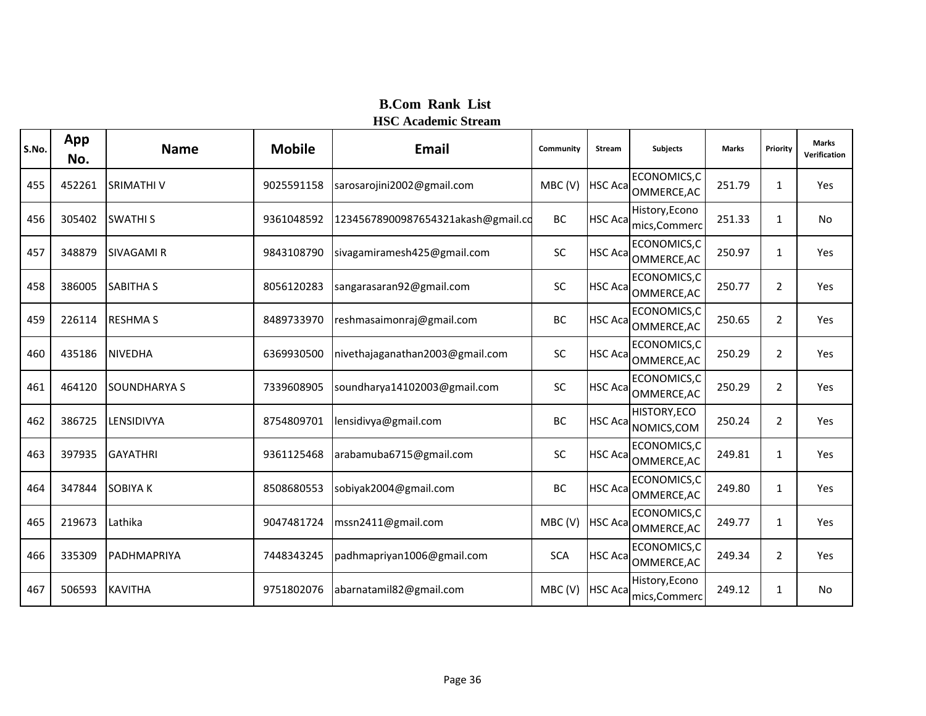| S.No. | App<br>No. | <b>Name</b>         | <b>Mobile</b> | <b>Email</b>                       | Community  | <b>Stream</b>   | <b>Subjects</b>                 | <b>Marks</b> | Priority       | <b>Marks</b><br>Verification |
|-------|------------|---------------------|---------------|------------------------------------|------------|-----------------|---------------------------------|--------------|----------------|------------------------------|
| 455   | 452261     | <b>SRIMATHIV</b>    | 9025591158    | sarosarojini2002@gmail.com         | MBC(V)     | <b>HSC Aca</b>  | ECONOMICS, C<br>OMMERCE, AC     | 251.79       | $\mathbf{1}$   | Yes                          |
| 456   | 305402     | <b>SWATHIS</b>      | 9361048592    | 12345678900987654321akash@gmail.co | <b>BC</b>  | <b>HSC Aca</b>  | History, Econo<br>mics, Commerc | 251.33       | $\mathbf{1}$   | <b>No</b>                    |
| 457   | 348879     | <b>SIVAGAMI R</b>   | 9843108790    | sivagamiramesh425@gmail.com        | <b>SC</b>  | <b>HSC Aca</b>  | ECONOMICS,C<br>OMMERCE, AC      | 250.97       | $\mathbf{1}$   | Yes                          |
| 458   | 386005     | <b>SABITHA S</b>    | 8056120283    | sangarasaran92@gmail.com           | SC         | <b>HSC Aca</b>  | ECONOMICS, C<br>OMMERCE, AC     | 250.77       | 2              | Yes                          |
| 459   | 226114     | <b>RESHMA S</b>     | 8489733970    | reshmasaimonraj@gmail.com          | BC         | <b>HSC Aca</b>  | ECONOMICS, C<br>OMMERCE, AC     | 250.65       | $\overline{2}$ | Yes                          |
| 460   | 435186     | <b>NIVEDHA</b>      | 6369930500    | nivethajaganathan2003@gmail.com    | <b>SC</b>  | <b>HSC Aca</b>  | ECONOMICS, C<br>OMMERCE, AC     | 250.29       | 2              | Yes                          |
| 461   | 464120     | <b>SOUNDHARYA S</b> | 7339608905    | soundharya14102003@gmail.com       | SC         | <b>HSC Acal</b> | ECONOMICS,C<br>OMMERCE, AC      | 250.29       | $\overline{2}$ | Yes                          |
| 462   | 386725     | LENSIDIVYA          | 8754809701    | lensidivya@gmail.com               | <b>BC</b>  | <b>HSC Acal</b> | HISTORY, ECO<br>NOMICS, COM     | 250.24       | $\overline{2}$ | Yes                          |
| 463   | 397935     | <b>GAYATHRI</b>     | 9361125468    | arabamuba6715@gmail.com            | SC         | <b>HSC Aca</b>  | ECONOMICS,C<br>OMMERCE, AC      | 249.81       | $\mathbf{1}$   | Yes                          |
| 464   | 347844     | <b>SOBIYAK</b>      | 8508680553    | sobiyak2004@gmail.com              | BC         | <b>HSC Acal</b> | ECONOMICS,C<br>OMMERCE, AC      | 249.80       | 1              | Yes                          |
| 465   | 219673     | Lathika             | 9047481724    | mssn2411@gmail.com                 | MBC(V)     | <b>HSC Aca</b>  | ECONOMICS, C<br>OMMERCE, AC     | 249.77       | $\mathbf{1}$   | Yes                          |
| 466   | 335309     | PADHMAPRIYA         | 7448343245    | padhmapriyan1006@gmail.com         | <b>SCA</b> | <b>HSC Aca</b>  | ECONOMICS, C<br>OMMERCE, AC     | 249.34       | $\overline{2}$ | Yes                          |
| 467   | 506593     | <b>KAVITHA</b>      | 9751802076    | abarnatamil82@gmail.com            | MBC(V)     | <b>HSC Aca</b>  | History, Econo<br>mics, Commerc | 249.12       | $\mathbf{1}$   | No                           |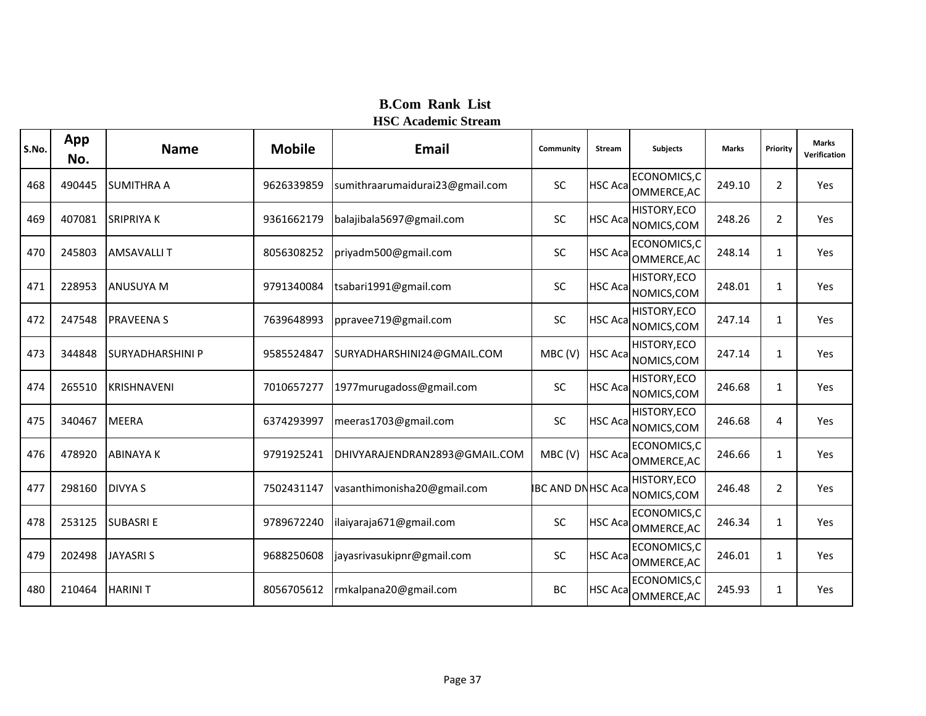| S.No. | App<br>No. | <b>Name</b>             | <b>Mobile</b> | Email                           | Community                | <b>Stream</b>   | <b>Subjects</b>             | <b>Marks</b> | Priority       | <b>Marks</b><br>Verification |
|-------|------------|-------------------------|---------------|---------------------------------|--------------------------|-----------------|-----------------------------|--------------|----------------|------------------------------|
| 468   | 490445     | <b>SUMITHRA A</b>       | 9626339859    | sumithraarumaidurai23@gmail.com | <b>SC</b>                | <b>HSC Aca</b>  | ECONOMICS, C<br>OMMERCE, AC | 249.10       | 2              | Yes                          |
| 469   | 407081     | <b>SRIPRIYAK</b>        | 9361662179    | balajibala5697@gmail.com        | <b>SC</b>                | <b>HSC Acal</b> | HISTORY, ECO<br>NOMICS, COM | 248.26       | $\overline{2}$ | Yes                          |
| 470   | 245803     | <b>AMSAVALLIT</b>       | 8056308252    | priyadm500@gmail.com            | <b>SC</b>                | <b>HSC Aca</b>  | ECONOMICS,C<br>OMMERCE, AC  | 248.14       | $\mathbf{1}$   | Yes                          |
| 471   | 228953     | <b>ANUSUYA M</b>        | 9791340084    | tsabari1991@gmail.com           | SC                       | <b>HSC Aca</b>  | HISTORY, ECO<br>NOMICS, COM | 248.01       | $\mathbf{1}$   | Yes                          |
| 472   | 247548     | <b>PRAVEENAS</b>        | 7639648993    | ppravee719@gmail.com            | <b>SC</b>                | <b>HSC Aca</b>  | HISTORY, ECO<br>NOMICS, COM | 247.14       | $\mathbf{1}$   | Yes                          |
| 473   | 344848     | <b>SURYADHARSHINI P</b> | 9585524847    | SURYADHARSHINI24@GMAIL.COM      | MBC(V)                   | <b>HSC Acal</b> | HISTORY, ECO<br>NOMICS, COM | 247.14       | $\mathbf{1}$   | Yes                          |
| 474   | 265510     | <b>KRISHNAVENI</b>      | 7010657277    | 1977 murugadoss@gmail.com       | SC                       | <b>HSC Aca</b>  | HISTORY, ECO<br>NOMICS, COM | 246.68       | 1              | Yes                          |
| 475   | 340467     | <b>MEERA</b>            | 6374293997    | meeras1703@gmail.com            | <b>SC</b>                | <b>HSC Acal</b> | HISTORY, ECO<br>NOMICS, COM | 246.68       | 4              | Yes                          |
| 476   | 478920     | <b>ABINAYAK</b>         | 9791925241    | DHIVYARAJENDRAN2893@GMAIL.COM   | MBC(V)                   | <b>HSC Aca</b>  | ECONOMICS,C<br>OMMERCE, AC  | 246.66       | $\mathbf{1}$   | Yes                          |
| 477   | 298160     | <b>DIVYA S</b>          | 7502431147    | vasanthimonisha20@gmail.com     | <b>IBC AND DNHSC Aca</b> |                 | HISTORY, ECO<br>NOMICS, COM | 246.48       | $\overline{2}$ | Yes                          |
| 478   | 253125     | <b>SUBASRIE</b>         | 9789672240    | ilaiyaraja671@gmail.com         | <b>SC</b>                | <b>HSC Aca</b>  | ECONOMICS, C<br>OMMERCE, AC | 246.34       | $\mathbf{1}$   | Yes                          |
| 479   | 202498     | <b>JAYASRIS</b>         | 9688250608    | jayasrivasukipnr@gmail.com      | SC                       | <b>HSC Aca</b>  | ECONOMICS, C<br>OMMERCE, AC | 246.01       | $\mathbf{1}$   | Yes                          |
| 480   | 210464     | <b>HARINIT</b>          | 8056705612    | rmkalpana20@gmail.com           | BC                       | <b>HSC Acal</b> | ECONOMICS,C<br>OMMERCE, AC  | 245.93       | $\mathbf{1}$   | Yes                          |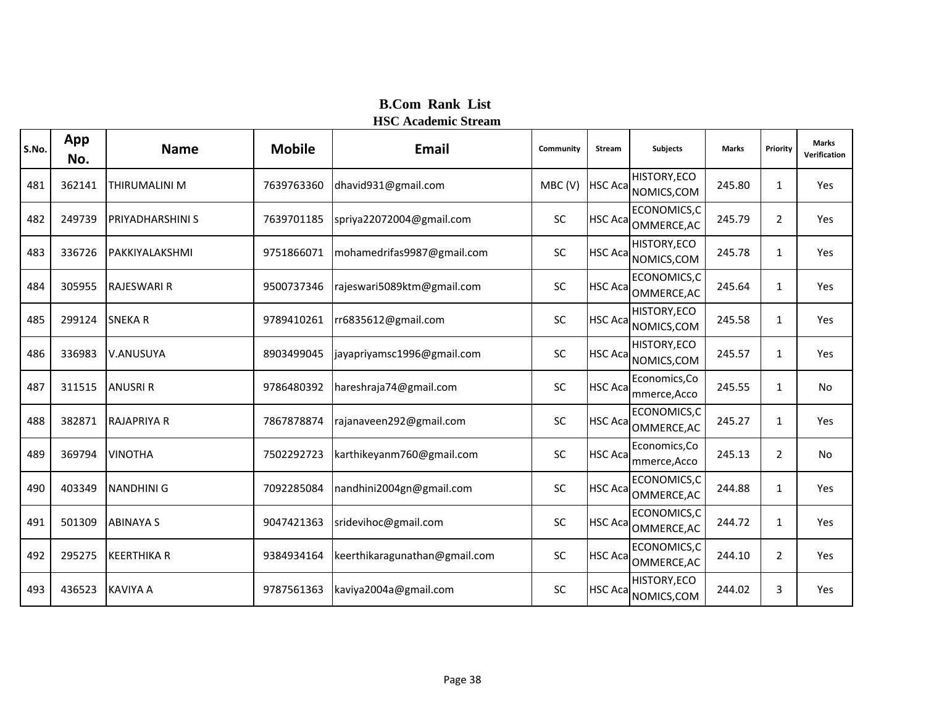| S.No. | App<br>No. | <b>Name</b>             | <b>Mobile</b> | Email                         | Community | <b>Stream</b>   | <b>Subjects</b>                    | <b>Marks</b> | Priority       | <b>Marks</b><br>Verification |
|-------|------------|-------------------------|---------------|-------------------------------|-----------|-----------------|------------------------------------|--------------|----------------|------------------------------|
| 481   | 362141     | <b>THIRUMALINI M</b>    | 7639763360    | dhavid931@gmail.com           | MBC(V)    | <b>HSC Aca</b>  | <b>HISTORY, ECO</b><br>NOMICS, COM | 245.80       | $\mathbf{1}$   | Yes                          |
| 482   | 249739     | <b>PRIYADHARSHINI S</b> | 7639701185    | spriya22072004@gmail.com      | SC        | <b>HSC Aca</b>  | ECONOMICS, C<br>OMMERCE, AC        | 245.79       | $\overline{2}$ | Yes                          |
| 483   | 336726     | PAKKIYALAKSHMI          | 9751866071    | mohamedrifas9987@gmail.com    | SC        | <b>HSC Acal</b> | HISTORY, ECO<br>NOMICS, COM        | 245.78       | $\mathbf{1}$   | Yes                          |
| 484   | 305955     | <b>RAJESWARI R</b>      | 9500737346    | rajeswari5089ktm@gmail.com    | SC        | <b>HSC Aca</b>  | ECONOMICS, C<br>OMMERCE, AC        | 245.64       | $\mathbf{1}$   | Yes                          |
| 485   | 299124     | <b>SNEKAR</b>           | 9789410261    | rr6835612@gmail.com           | SC        | <b>HSC Acal</b> | HISTORY, ECO<br>NOMICS, COM        | 245.58       | $\mathbf{1}$   | Yes                          |
| 486   | 336983     | V.ANUSUYA               | 8903499045    | jayapriyamsc1996@gmail.com    | SC        | <b>HSC Acal</b> | HISTORY, ECO<br>NOMICS, COM        | 245.57       | $\mathbf{1}$   | Yes                          |
| 487   | 311515     | <b>ANUSRI R</b>         | 9786480392    | hareshraja74@gmail.com        | SC        | <b>HSC Acal</b> | Economics, Co<br>mmerce, Acco      | 245.55       | 1              | No                           |
| 488   | 382871     | <b>RAJAPRIYA R</b>      | 7867878874    | rajanaveen292@gmail.com       | SC        | <b>HSC Acal</b> | ECONOMICS,C<br>OMMERCE, AC         | 245.27       | $\mathbf{1}$   | Yes                          |
| 489   | 369794     | <b>VINOTHA</b>          | 7502292723    | karthikeyanm760@gmail.com     | SC        | <b>HSC Aca</b>  | Economics, Co<br>mmerce, Acco      | 245.13       | $\overline{2}$ | <b>No</b>                    |
| 490   | 403349     | <b>NANDHINI G</b>       | 7092285084    | nandhini2004gn@gmail.com      | SC        |                 | ECONOMICS,C<br>HSC Aca OMMERCE, AC | 244.88       | 1              | Yes                          |
| 491   | 501309     | <b>ABINAYA S</b>        | 9047421363    | sridevihoc@gmail.com          | SC        | <b>HSC Aca</b>  | ECONOMICS, C<br>OMMERCE, AC        | 244.72       | $\mathbf{1}$   | Yes                          |
| 492   | 295275     | <b>KEERTHIKA R</b>      | 9384934164    | keerthikaragunathan@gmail.com | SC        | <b>HSC Acal</b> | ECONOMICS, C<br>OMMERCE, AC        | 244.10       | $\overline{2}$ | Yes                          |
| 493   | 436523     | <b>KAVIYA A</b>         | 9787561363    | kaviya2004a@gmail.com         | SC        | <b>HSC Aca</b>  | HISTORY, ECO<br>NOMICS, COM        | 244.02       | 3              | Yes                          |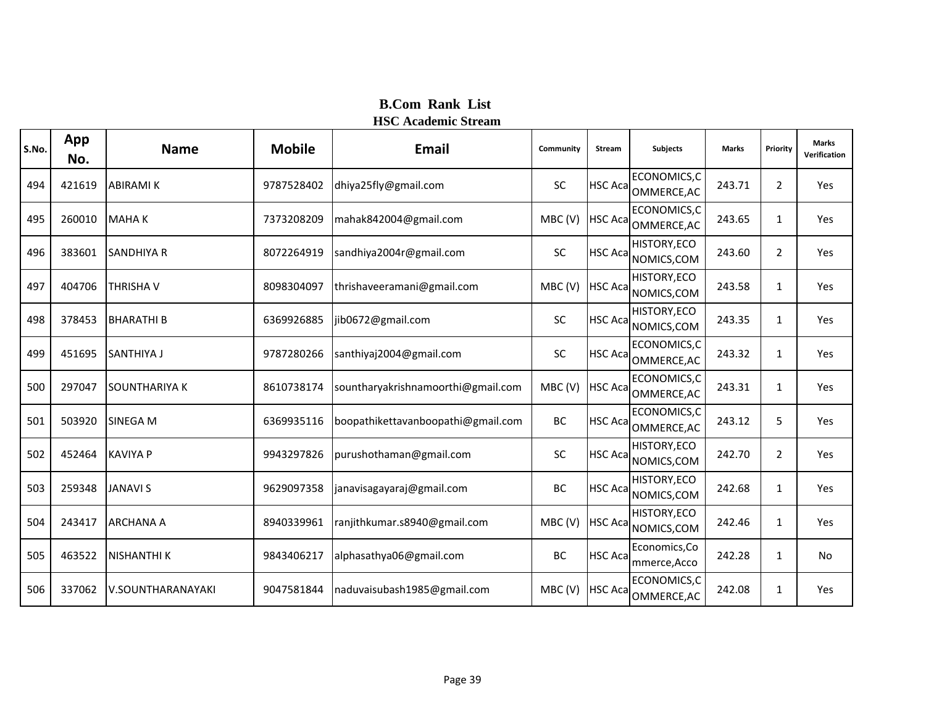| S.No. | App<br>No. | <b>Name</b>          | <b>Mobile</b> | <b>Email</b>                       | Community | <b>Stream</b>   | <b>Subjects</b>               | <b>Marks</b> | Priority       | <b>Marks</b><br>Verification |
|-------|------------|----------------------|---------------|------------------------------------|-----------|-----------------|-------------------------------|--------------|----------------|------------------------------|
| 494   | 421619     | <b>ABIRAMI K</b>     | 9787528402    | dhiya25fly@gmail.com               | <b>SC</b> | <b>HSC Acal</b> | ECONOMICS,C<br>OMMERCE, AC    | 243.71       | $\overline{2}$ | Yes                          |
| 495   | 260010     | <b>MAHAK</b>         | 7373208209    | mahak842004@gmail.com              | MBC(V)    | <b>HSC Aca</b>  | ECONOMICS, C<br>OMMERCE, AC   | 243.65       | $\mathbf{1}$   | Yes                          |
| 496   | 383601     | <b>SANDHIYA R</b>    | 8072264919    | sandhiya2004r@gmail.com            | SC        | <b>HSC Aca</b>  | HISTORY, ECO<br>NOMICS, COM   | 243.60       | $\overline{2}$ | Yes                          |
| 497   | 404706     | THRISHA V            | 8098304097    | thrishaveeramani@gmail.com         | MBC(V)    | <b>HSC Aca</b>  | HISTORY, ECO<br>NOMICS, COM   | 243.58       | 1              | Yes                          |
| 498   | 378453     | <b>BHARATHIB</b>     | 6369926885    | jib0672@gmail.com                  | SC        | <b>HSC Acal</b> | HISTORY, ECO<br>NOMICS, COM   | 243.35       | 1              | Yes                          |
| 499   | 451695     | SANTHIYA J           | 9787280266    | santhiyaj2004@gmail.com            | SC        | <b>HSC Acal</b> | ECONOMICS,C<br>OMMERCE, AC    | 243.32       | $\mathbf{1}$   | Yes                          |
| 500   | 297047     | <b>SOUNTHARIYA K</b> | 8610738174    | sountharyakrishnamoorthi@gmail.com | MBC(V)    | <b>HSC Aca</b>  | ECONOMICS,C<br>OMMERCE, AC    | 243.31       | 1              | Yes                          |
| 501   | 503920     | <b>SINEGA M</b>      | 6369935116    | boopathikettavanboopathi@gmail.com | BC        | <b>HSC Acal</b> | ECONOMICS,C<br>OMMERCE, AC    | 243.12       | 5              | Yes                          |
| 502   | 452464     | <b>KAVIYA P</b>      | 9943297826    | purushothaman@gmail.com            | SC        | <b>HSC Acal</b> | HISTORY, ECO<br>NOMICS, COM   | 242.70       | $\overline{2}$ | Yes                          |
| 503   | 259348     | <b>JANAVI S</b>      | 9629097358    | janavisagayaraj@gmail.com          | BC        | <b>HSC Aca</b>  | HISTORY, ECO<br>NOMICS, COM   | 242.68       | 1              | Yes                          |
| 504   | 243417     | <b>ARCHANA A</b>     | 8940339961    | ranjithkumar.s8940@gmail.com       | MBC(V)    | <b>HSC Aca</b>  | HISTORY, ECO<br>NOMICS, COM   | 242.46       | 1              | Yes                          |
| 505   | 463522     | <b>NISHANTHI K</b>   | 9843406217    | alphasathya06@gmail.com            | BC        | <b>HSC Aca</b>  | Economics, Co<br>mmerce, Acco | 242.28       | $\mathbf{1}$   | No                           |
| 506   | 337062     | V.SOUNTHARANAYAKI    | 9047581844    | naduvaisubash1985@gmail.com        | MBC(V)    | <b>HSC Aca</b>  | ECONOMICS,C<br>OMMERCE, AC    | 242.08       | $\mathbf{1}$   | Yes                          |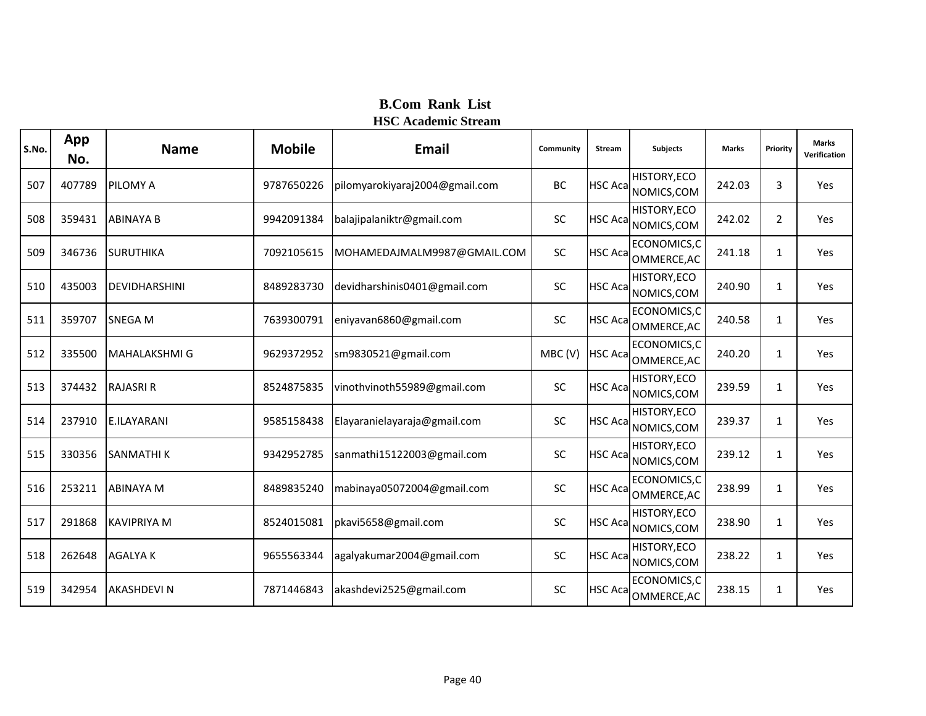| S.No. | App<br>No. | <b>Name</b>          | <b>Mobile</b> | <b>Email</b>                   | Community | Stream          | <b>Subjects</b>                     | <b>Marks</b> | Priority       | <b>Marks</b><br>Verification |
|-------|------------|----------------------|---------------|--------------------------------|-----------|-----------------|-------------------------------------|--------------|----------------|------------------------------|
| 507   | 407789     | <b>PILOMY A</b>      | 9787650226    | pilomyarokiyaraj2004@gmail.com | <b>BC</b> | <b>HSC Acal</b> | HISTORY, ECO<br>NOMICS, COM         | 242.03       | 3              | Yes                          |
| 508   | 359431     | <b>ABINAYA B</b>     | 9942091384    | balajipalaniktr@gmail.com      | SC        | <b>HSC Aca</b>  | HISTORY, ECO<br>NOMICS, COM         | 242.02       | $\overline{2}$ | Yes                          |
| 509   | 346736     | <b>SURUTHIKA</b>     | 7092105615    | MOHAMEDAJMALM9987@GMAIL.COM    | <b>SC</b> | <b>HSC Acal</b> | ECONOMICS,C<br>OMMERCE, AC          | 241.18       | $\mathbf{1}$   | Yes                          |
| 510   | 435003     | DEVIDHARSHINI        | 8489283730    | devidharshinis0401@gmail.com   | <b>SC</b> | <b>HSC Acal</b> | HISTORY, ECO<br>NOMICS, COM         | 240.90       | 1              | Yes                          |
| 511   | 359707     | <b>SNEGA M</b>       | 7639300791    | eniyavan6860@gmail.com         | <b>SC</b> | <b>HSC Aca</b>  | ECONOMICS, C<br>OMMERCE, AC         | 240.58       | $\mathbf{1}$   | Yes                          |
| 512   | 335500     | <b>MAHALAKSHMI G</b> | 9629372952    | sm9830521@gmail.com            | MBC(V)    | <b>HSC Acal</b> | ECONOMICS,C<br>OMMERCE, AC          | 240.20       | $\mathbf{1}$   | Yes                          |
| 513   | 374432     | <b>RAJASRI R</b>     | 8524875835    | vinothvinoth55989@gmail.com    | SC        | <b>HSC Acal</b> | HISTORY, ECO<br>NOMICS, COM         | 239.59       | 1              | Yes                          |
| 514   | 237910     | <b>E.ILAYARANI</b>   | 9585158438    | Elayaranielayaraja@gmail.com   | <b>SC</b> | <b>HSC Aca</b>  | HISTORY, ECO<br>NOMICS, COM         | 239.37       | 1              | Yes                          |
| 515   | 330356     | <b>SANMATHIK</b>     | 9342952785    | sanmathi15122003@gmail.com     | SC        | <b>HSC Aca</b>  | <b>HISTORY, ECO</b><br>NOMICS, COM  | 239.12       | $\mathbf{1}$   | Yes                          |
| 516   | 253211     | <b>ABINAYA M</b>     | 8489835240    | mabinaya05072004@gmail.com     | SC        |                 | ECONOMICS,C<br>HSC Aca OMMERCE, AC  | 238.99       | $\mathbf{1}$   | Yes                          |
| 517   | 291868     | <b>KAVIPRIYA M</b>   | 8524015081    | pkavi5658@gmail.com            | <b>SC</b> | <b>HSC Aca</b>  | HISTORY, ECO<br>NOMICS, COM         | 238.90       | 1              | Yes                          |
| 518   | 262648     | <b>AGALYAK</b>       | 9655563344    | agalyakumar2004@gmail.com      | SC        |                 | HISTORY, ECO<br>HSC Aca NOMICS, COM | 238.22       | $\mathbf{1}$   | Yes                          |
| 519   | 342954     | <b>AKASHDEVIN</b>    | 7871446843    | akashdevi2525@gmail.com        | <b>SC</b> | <b>HSC Aca</b>  | ECONOMICS,C<br>OMMERCE, AC          | 238.15       | $\mathbf{1}$   | Yes                          |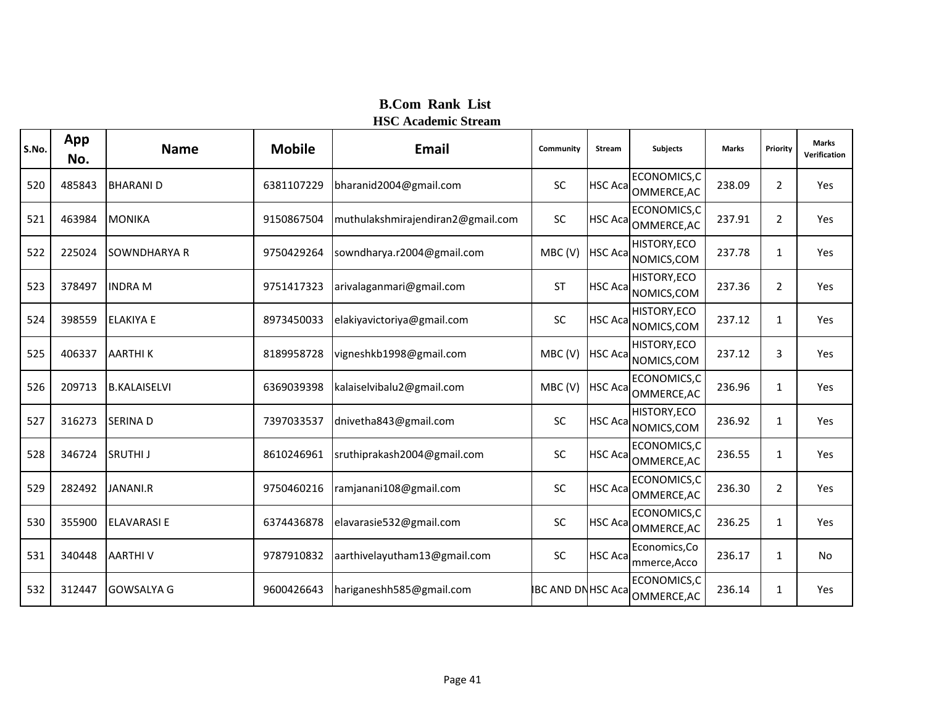| S.No. | App<br>No. | <b>Name</b>         | <b>Mobile</b> | <b>Email</b>                      | Community                | <b>Stream</b>   | <b>Subjects</b>               | <b>Marks</b> | Priority       | <b>Marks</b><br>Verification |
|-------|------------|---------------------|---------------|-----------------------------------|--------------------------|-----------------|-------------------------------|--------------|----------------|------------------------------|
| 520   | 485843     | <b>BHARANID</b>     | 6381107229    | bharanid2004@gmail.com            | <b>SC</b>                | <b>HSC Aca</b>  | ECONOMICS,C<br>OMMERCE, AC    | 238.09       | $\overline{2}$ | Yes                          |
| 521   | 463984     | <b>MONIKA</b>       | 9150867504    | muthulakshmirajendiran2@gmail.com | <b>SC</b>                | <b>HSC Aca</b>  | ECONOMICS,C<br>OMMERCE, AC    | 237.91       | $\overline{2}$ | Yes                          |
| 522   | 225024     | <b>SOWNDHARYA R</b> | 9750429264    | sowndharya.r2004@gmail.com        | MBC(V)                   | <b>HSC Aca</b>  | HISTORY, ECO<br>NOMICS, COM   | 237.78       | $\mathbf{1}$   | Yes                          |
| 523   | 378497     | <b>INDRA M</b>      | 9751417323    | arivalaganmari@gmail.com          | <b>ST</b>                | <b>HSC Aca</b>  | HISTORY, ECO<br>NOMICS, COM   | 237.36       | 2              | Yes                          |
| 524   | 398559     | <b>ELAKIYA E</b>    | 8973450033    | elakiyavictoriya@gmail.com        | <b>SC</b>                | <b>HSC Aca</b>  | HISTORY, ECO<br>NOMICS, COM   | 237.12       | $\mathbf{1}$   | Yes                          |
| 525   | 406337     | <b>AARTHIK</b>      | 8189958728    | vigneshkb1998@gmail.com           | MBC(V)                   | <b>HSC Aca</b>  | HISTORY, ECO<br>NOMICS, COM   | 237.12       | 3              | Yes                          |
| 526   | 209713     | <b>B.KALAISELVI</b> | 6369039398    | kalaiselvibalu2@gmail.com         | MBC(V)                   | <b>HSC Aca</b>  | ECONOMICS,C<br>OMMERCE, AC    | 236.96       | 1              | Yes                          |
| 527   | 316273     | <b>SERINAD</b>      | 7397033537    | dnivetha843@gmail.com             | <b>SC</b>                | <b>HSC Acal</b> | HISTORY, ECO<br>NOMICS, COM   | 236.92       | $\mathbf{1}$   | Yes                          |
| 528   | 346724     | <b>SRUTHIJ</b>      | 8610246961    | sruthiprakash2004@gmail.com       | SC                       | <b>HSC Acal</b> | ECONOMICS,C<br>OMMERCE, AC    | 236.55       | $\mathbf{1}$   | Yes                          |
| 529   | 282492     | JANANI.R            | 9750460216    | ramjanani108@gmail.com            | SC                       | <b>HSC Acal</b> | ECONOMICS,C<br>OMMERCE, AC    | 236.30       | $\overline{2}$ | Yes                          |
| 530   | 355900     | <b>ELAVARASI E</b>  | 6374436878    | elavarasie532@gmail.com           | <b>SC</b>                | <b>HSC Aca</b>  | ECONOMICS,C<br>OMMERCE, AC    | 236.25       | $\mathbf{1}$   | Yes                          |
| 531   | 340448     | <b>AARTHIV</b>      | 9787910832    | aarthivelayutham13@gmail.com      | <b>SC</b>                | <b>HSC Aca</b>  | Economics, Co<br>mmerce, Acco | 236.17       | $\mathbf{1}$   | <b>No</b>                    |
| 532   | 312447     | <b>GOWSALYA G</b>   | 9600426643    | hariganeshh585@gmail.com          | <b>IBC AND DNHSC Aca</b> |                 | ECONOMICS,C<br>OMMERCE, AC    | 236.14       | $\mathbf{1}$   | Yes                          |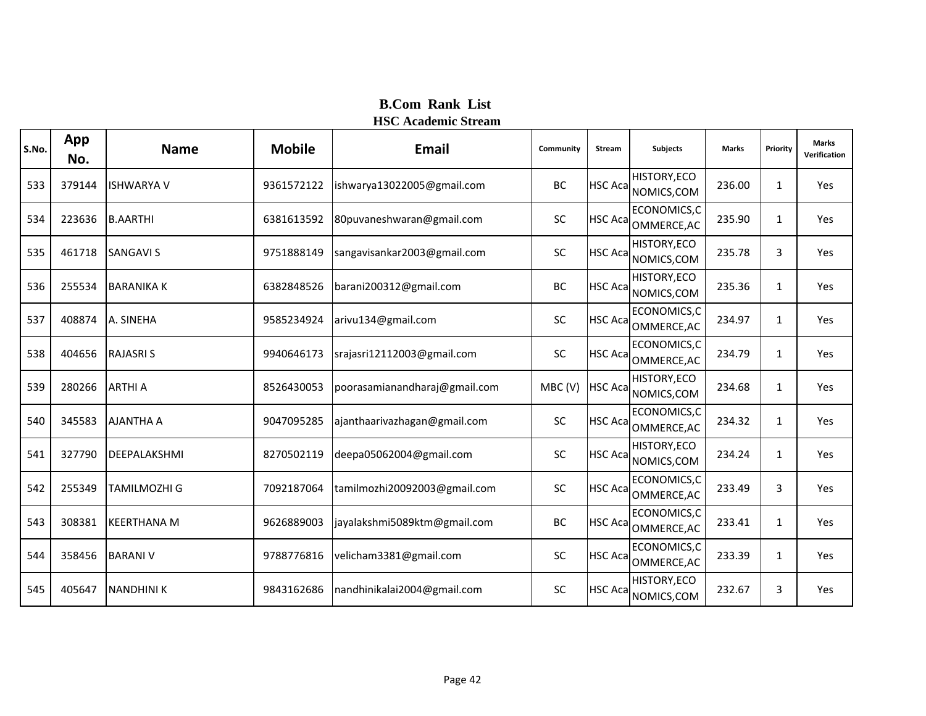| S.No. | App<br>No. | <b>Name</b>        | <b>Mobile</b> | <b>Email</b>                  | Community | <b>Stream</b>   | <b>Subjects</b>             | <b>Marks</b> | Priority     | <b>Marks</b><br>Verification |
|-------|------------|--------------------|---------------|-------------------------------|-----------|-----------------|-----------------------------|--------------|--------------|------------------------------|
| 533   | 379144     | <b>ISHWARYA V</b>  | 9361572122    | ishwarya13022005@gmail.com    | BC        | <b>HSC Aca</b>  | HISTORY, ECO<br>NOMICS, COM | 236.00       | $\mathbf{1}$ | Yes                          |
| 534   | 223636     | <b>B.AARTHI</b>    | 6381613592    | 80puvaneshwaran@gmail.com     | <b>SC</b> | <b>HSC Aca</b>  | ECONOMICS,C<br>OMMERCE, AC  | 235.90       | $\mathbf{1}$ | Yes                          |
| 535   | 461718     | <b>SANGAVI S</b>   | 9751888149    | sangavisankar2003@gmail.com   | <b>SC</b> | <b>HSC Aca</b>  | HISTORY, ECO<br>NOMICS, COM | 235.78       | 3            | Yes                          |
| 536   | 255534     | <b>BARANIKA K</b>  | 6382848526    | barani200312@gmail.com        | BC        | <b>HSC Aca</b>  | HISTORY, ECO<br>NOMICS, COM | 235.36       | $\mathbf{1}$ | Yes                          |
| 537   | 408874     | A. SINEHA          | 9585234924    | arivu134@gmail.com            | <b>SC</b> | <b>HSC Aca</b>  | ECONOMICS, C<br>OMMERCE, AC | 234.97       | $\mathbf{1}$ | Yes                          |
| 538   | 404656     | <b>RAJASRIS</b>    | 9940646173    | srajasri12112003@gmail.com    | SC        | <b>HSC Aca</b>  | ECONOMICS, C<br>OMMERCE, AC | 234.79       | $\mathbf{1}$ | Yes                          |
| 539   | 280266     | <b>ARTHI A</b>     | 8526430053    | poorasamianandharaj@gmail.com | MBC(V)    | <b>HSC Aca</b>  | HISTORY, ECO<br>NOMICS, COM | 234.68       | 1            | Yes                          |
| 540   | 345583     | <b>AJANTHA A</b>   | 9047095285    | ajanthaarivazhagan@gmail.com  | <b>SC</b> | <b>HSC Acal</b> | ECONOMICS,C<br>OMMERCE, AC  | 234.32       | $\mathbf{1}$ | Yes                          |
| 541   | 327790     | DEEPALAKSHMI       | 8270502119    | deepa05062004@gmail.com       | SC        | <b>HSC Acal</b> | HISTORY, ECO<br>NOMICS, COM | 234.24       | $\mathbf{1}$ | Yes                          |
| 542   | 255349     | TAMILMOZHI G       | 7092187064    | tamilmozhi20092003@gmail.com  | SC        | <b>HSC Acal</b> | ECONOMICS,C<br>OMMERCE, AC  | 233.49       | 3            | Yes                          |
| 543   | 308381     | <b>KEERTHANA M</b> | 9626889003    | jayalakshmi5089ktm@gmail.com  | BC        | <b>HSC Aca</b>  | ECONOMICS,C<br>OMMERCE, AC  | 233.41       | $\mathbf{1}$ | Yes                          |
| 544   | 358456     | <b>BARANI V</b>    | 9788776816    | velicham3381@gmail.com        | SC        | <b>HSC Aca</b>  | ECONOMICS, C<br>OMMERCE, AC | 233.39       | $\mathbf{1}$ | Yes                          |
| 545   | 405647     | <b>NANDHINI K</b>  | 9843162686    | nandhinikalai2004@gmail.com   | <b>SC</b> | HSC Aca         | HISTORY, ECO<br>NOMICS, COM | 232.67       | 3            | Yes                          |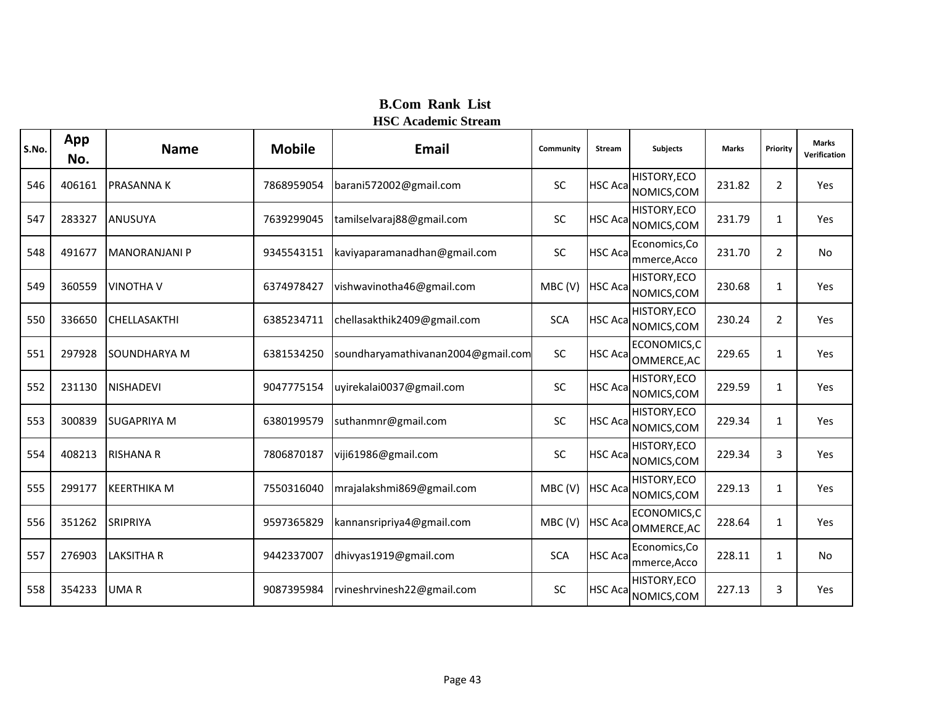| S.No. | App<br>No. | <b>Name</b>          | <b>Mobile</b> | Email                              | Community  | <b>Stream</b>   | <b>Subjects</b>                    | <b>Marks</b> | Priority       | <b>Marks</b><br>Verification |
|-------|------------|----------------------|---------------|------------------------------------|------------|-----------------|------------------------------------|--------------|----------------|------------------------------|
| 546   | 406161     | <b>PRASANNAK</b>     | 7868959054    | barani572002@gmail.com             | <b>SC</b>  | <b>HSC Aca</b>  | HISTORY, ECO<br>NOMICS, COM        | 231.82       | $\overline{2}$ | Yes                          |
| 547   | 283327     | <b>ANUSUYA</b>       | 7639299045    | tamilselvaraj88@gmail.com          | SC         | <b>HSC Acal</b> | HISTORY, ECO<br>NOMICS, COM        | 231.79       | $\mathbf{1}$   | Yes                          |
| 548   | 491677     | <b>MANORANJANI P</b> | 9345543151    | kaviyaparamanadhan@gmail.com       | SC         | <b>HSC Acal</b> | Economics, Co<br>mmerce, Acco      | 231.70       | $\overline{2}$ | No                           |
| 549   | 360559     | <b>VINOTHA V</b>     | 6374978427    | vishwavinotha46@gmail.com          | MBC(V)     | <b>HSC Aca</b>  | <b>HISTORY, ECO</b><br>NOMICS, COM | 230.68       | 1              | Yes                          |
| 550   | 336650     | CHELLASAKTHI         | 6385234711    | chellasakthik2409@gmail.com        | <b>SCA</b> | <b>HSC Aca</b>  | HISTORY, ECO<br>NOMICS, COM        | 230.24       | $\overline{2}$ | Yes                          |
| 551   | 297928     | SOUNDHARYA M         | 6381534250    | soundharyamathivanan2004@gmail.com | <b>SC</b>  | <b>HSC Aca</b>  | ECONOMICS,C<br>OMMERCE, AC         | 229.65       | 1              | Yes                          |
| 552   | 231130     | <b>NISHADEVI</b>     | 9047775154    | uyirekalai0037@gmail.com           | SC         | <b>HSC Acal</b> | HISTORY, ECO<br>NOMICS, COM        | 229.59       | 1              | Yes                          |
| 553   | 300839     | <b>SUGAPRIYA M</b>   | 6380199579    | suthanmnr@gmail.com                | <b>SC</b>  | <b>HSC Aca</b>  | HISTORY, ECO<br>NOMICS, COM        | 229.34       | 1              | Yes                          |
| 554   | 408213     | <b>RISHANA R</b>     | 7806870187    | viji61986@gmail.com                | SC         | <b>HSC Aca</b>  | HISTORY, ECO<br>NOMICS, COM        | 229.34       | 3              | Yes                          |
| 555   | 299177     | <b>KEERTHIKA M</b>   | 7550316040    | mrajalakshmi869@gmail.com          | MBC(V)     | <b>HSC Aca</b>  | HISTORY, ECO<br>NOMICS, COM        | 229.13       | 1              | Yes                          |
| 556   | 351262     | SRIPRIYA             | 9597365829    | kannansripriya4@gmail.com          | MBC(V)     | <b>HSC Aca</b>  | ECONOMICS, C<br>OMMERCE, AC        | 228.64       | 1              | Yes                          |
| 557   | 276903     | <b>LAKSITHA R</b>    | 9442337007    | dhivyas1919@gmail.com              | <b>SCA</b> | <b>HSC Aca</b>  | Economics, Co<br>mmerce, Acco      | 228.11       | 1              | No                           |
| 558   | 354233     | <b>UMAR</b>          | 9087395984    | rvineshrvinesh22@gmail.com         | <b>SC</b>  | <b>HSC Aca</b>  | HISTORY, ECO<br>NOMICS, COM        | 227.13       | 3              | Yes                          |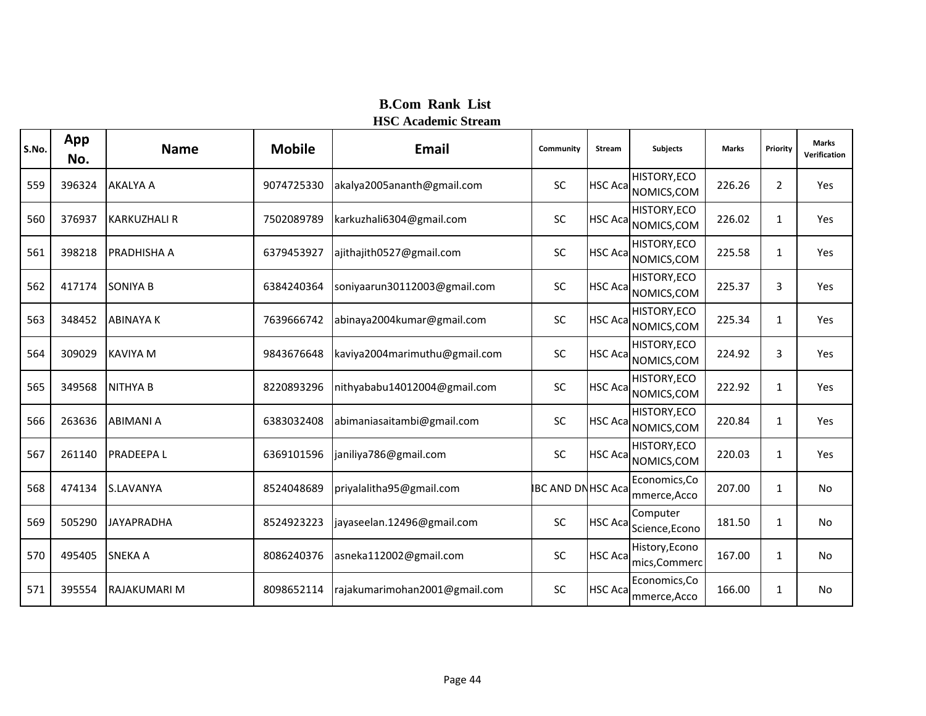| S.No. | App<br>No. | <b>Name</b>         | <b>Mobile</b> | Email                         | Community                | <b>Stream</b>   | <b>Subjects</b>                    | <b>Marks</b> | Priority     | <b>Marks</b><br>Verification |
|-------|------------|---------------------|---------------|-------------------------------|--------------------------|-----------------|------------------------------------|--------------|--------------|------------------------------|
| 559   | 396324     | <b>AKALYA A</b>     | 9074725330    | akalya2005ananth@gmail.com    | <b>SC</b>                | <b>HSC Acal</b> | <b>HISTORY, ECO</b><br>NOMICS, COM | 226.26       | 2            | Yes                          |
| 560   | 376937     | <b>KARKUZHALI R</b> | 7502089789    | karkuzhali6304@gmail.com      | SC                       | <b>HSC Aca</b>  | <b>HISTORY, ECO</b><br>NOMICS, COM | 226.02       | 1            | Yes                          |
| 561   | 398218     | <b>PRADHISHA A</b>  | 6379453927    | ajithajith0527@gmail.com      | SC                       | <b>HSC Acal</b> | HISTORY, ECO<br>NOMICS, COM        | 225.58       | $\mathbf{1}$ | Yes                          |
| 562   | 417174     | <b>SONIYA B</b>     | 6384240364    | soniyaarun30112003@gmail.com  | SC                       | <b>HSC Aca</b>  | <b>HISTORY, ECO</b><br>NOMICS, COM | 225.37       | 3            | Yes                          |
| 563   | 348452     | <b>ABINAYA K</b>    | 7639666742    | abinaya2004kumar@gmail.com    | <b>SC</b>                | <b>HSC Aca</b>  | HISTORY, ECO<br>NOMICS, COM        | 225.34       | $\mathbf{1}$ | Yes                          |
| 564   | 309029     | <b>KAVIYA M</b>     | 9843676648    | kaviya2004marimuthu@gmail.com | SC                       | <b>HSC Acal</b> | <b>HISTORY, ECO</b><br>NOMICS, COM | 224.92       | 3            | Yes                          |
| 565   | 349568     | <b>NITHYA B</b>     | 8220893296    | nithyababu14012004@gmail.com  | SC                       | <b>HSC Aca</b>  | <b>HISTORY, ECO</b><br>NOMICS, COM | 222.92       | 1            | Yes                          |
| 566   | 263636     | <b>ABIMANI A</b>    | 6383032408    | abimaniasaitambi@gmail.com    | <b>SC</b>                | <b>HSC Acal</b> | <b>HISTORY, ECO</b><br>NOMICS, COM | 220.84       | $\mathbf{1}$ | Yes                          |
| 567   | 261140     | <b>PRADEEPAL</b>    | 6369101596    | janiliya786@gmail.com         | SC                       | <b>HSC Aca</b>  | HISTORY, ECO<br>NOMICS, COM        | 220.03       | $\mathbf{1}$ | Yes                          |
| 568   | 474134     | <b>S.LAVANYA</b>    | 8524048689    | priyalalitha95@gmail.com      | <b>IBC AND DNHSC Aca</b> |                 | Economics, Co<br>mmerce, Acco      | 207.00       | $\mathbf{1}$ | <b>No</b>                    |
| 569   | 505290     | <b>JAYAPRADHA</b>   | 8524923223    | jayaseelan.12496@gmail.com    | <b>SC</b>                | <b>HSC Aca</b>  | Computer<br>Science, Econo         | 181.50       | $\mathbf{1}$ | <b>No</b>                    |
| 570   | 495405     | <b>SNEKA A</b>      | 8086240376    | asneka112002@gmail.com        | SC                       | <b>HSC Aca</b>  | History, Econo<br>mics, Commerc    | 167.00       | $\mathbf{1}$ | <b>No</b>                    |
| 571   | 395554     | RAJAKUMARI M        | 8098652114    | rajakumarimohan2001@gmail.com | SC                       | <b>HSC Aca</b>  | Economics, Co<br>mmerce, Acco      | 166.00       | 1            | No                           |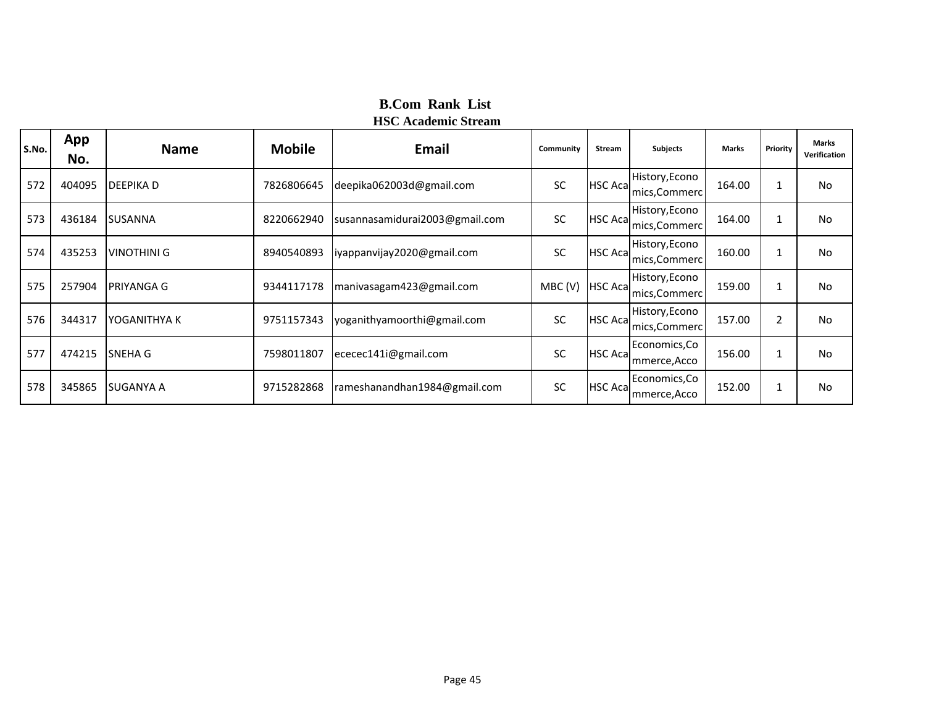| S.No. | App<br>No. | <b>Name</b>       | <b>Mobile</b> | Email                          | Community | <b>Stream</b>   | <b>Subjects</b>                 | <b>Marks</b> | Priority | <b>Marks</b><br>Verification |
|-------|------------|-------------------|---------------|--------------------------------|-----------|-----------------|---------------------------------|--------------|----------|------------------------------|
| 572   | 404095     | <b>DEEPIKAD</b>   | 7826806645    | deepika062003d@gmail.com       | SC        | <b>HSC Acal</b> | History, Econo<br>mics, Commerc | 164.00       | 1        | No                           |
| 573   | 436184     | <b>SUSANNA</b>    | 8220662940    | susannasamidurai2003@gmail.com | <b>SC</b> | <b>HSC Aca</b>  | History, Econo<br>mics, Commerc | 164.00       |          | No                           |
| 574   | 435253     | VINOTHINI G       | 8940540893    | liyappanvijay2020@gmail.com    | <b>SC</b> | HSC Acal        | History, Econo<br>mics, Commerc | 160.00       |          | No                           |
| 575   | 257904     | <b>PRIYANGA G</b> | 9344117178    | manivasagam423@gmail.com       | MBC(V)    | <b>HSC Aca</b>  | History, Econo<br>mics, Commerc | 159.00       |          | No                           |
| 576   | 344317     | IYOGANITHYA K     | 9751157343    | yoganithyamoorthi@gmail.com    | <b>SC</b> | <b>HSC Aca</b>  | History, Econo<br>mics, Commerc | 157.00       | 2        | No                           |
| 577   | 474215     | <b>SNEHA G</b>    | 7598011807    | ececec141i@gmail.com           | SC        | <b>HSC Acal</b> | Economics, Co<br>mmerce, Acco   | 156.00       |          | No                           |
| 578   | 345865     | <b>SUGANYA A</b>  | 9715282868    | rameshanandhan1984@gmail.com   | <b>SC</b> | <b>HSC Acal</b> | Economics, Co<br>mmerce, Acco   | 152.00       | 1        | No                           |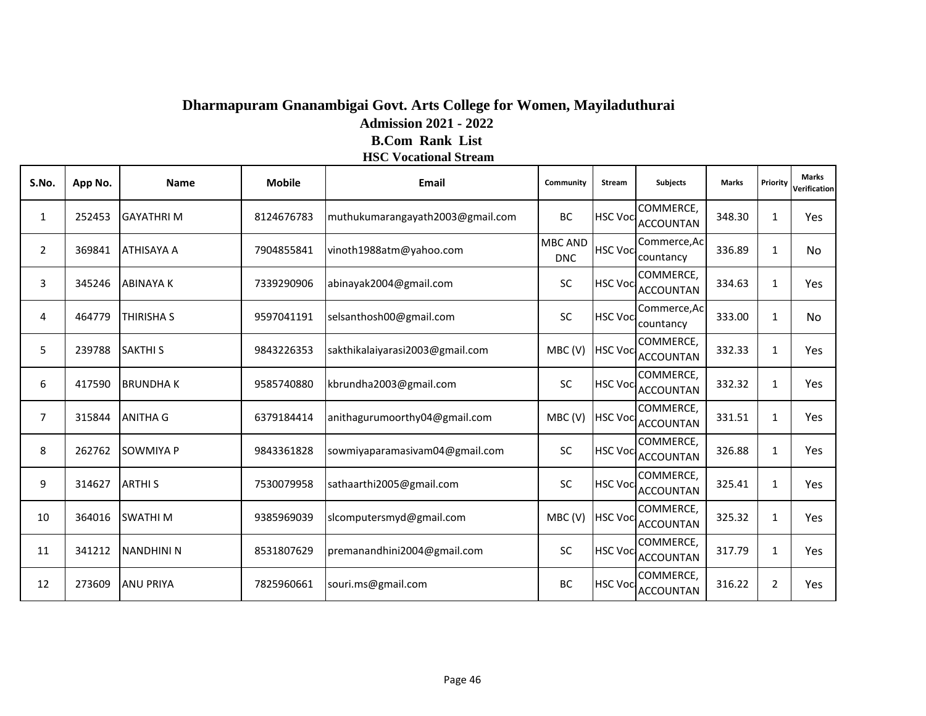### **Dharmapuram Gnanambigai Govt. Arts College for Women, Mayiladuthurai Admission 2021 - 2022 B.Com Rank List HSC Vocational Stream**

| S.No.          | App No. | <b>Name</b>       | <b>Mobile</b> | <b>Email</b>                     | Community                    | <b>Stream</b>   | <b>Subjects</b>               | <b>Marks</b> | Priority       | <b>Marks</b><br>Verification |
|----------------|---------|-------------------|---------------|----------------------------------|------------------------------|-----------------|-------------------------------|--------------|----------------|------------------------------|
| 1              | 252453  | <b>GAYATHRI M</b> | 8124676783    | muthukumarangayath2003@gmail.com | BC                           | <b>HSC Voci</b> | COMMERCE,<br><b>ACCOUNTAN</b> | 348.30       | 1              | <b>Yes</b>                   |
| $\overline{2}$ | 369841  | ATHISAYA A        | 7904855841    | vinoth1988atm@yahoo.com          | <b>MBC AND</b><br><b>DNC</b> | <b>HSC Voci</b> | Commerce, Ac<br>countancy     | 336.89       | 1              | No                           |
| 3              | 345246  | <b>ABINAYAK</b>   | 7339290906    | abinayak2004@gmail.com           | <b>SC</b>                    | <b>HSC Voci</b> | COMMERCE,<br><b>ACCOUNTAN</b> | 334.63       | 1              | <b>Yes</b>                   |
| 4              | 464779  | THIRISHA S        | 9597041191    | selsanthosh00@gmail.com          | SC                           | <b>HSC Voc</b>  | Commerce, Ac<br>countancy     | 333.00       | $\mathbf{1}$   | No                           |
| 5              | 239788  | <b>SAKTHI S</b>   | 9843226353    | sakthikalaiyarasi2003@gmail.com  | MBC(V)                       | <b>HSC Voci</b> | COMMERCE,<br><b>ACCOUNTAN</b> | 332.33       | $\mathbf{1}$   | Yes                          |
| 6              | 417590  | <b>BRUNDHAK</b>   | 9585740880    | kbrundha2003@gmail.com           | <b>SC</b>                    | <b>HSC Voci</b> | COMMERCE,<br><b>ACCOUNTAN</b> | 332.32       | 1              | Yes                          |
| $\overline{7}$ | 315844  | <b>ANITHA G</b>   | 6379184414    | anithagurumoorthy04@gmail.com    | MBC(V)                       | <b>HSC Voci</b> | COMMERCE,<br><b>ACCOUNTAN</b> | 331.51       | $\mathbf{1}$   | Yes                          |
| 8              | 262762  | <b>SOWMIYA P</b>  | 9843361828    | sowmiyaparamasivam04@gmail.com   | <b>SC</b>                    | <b>HSC Voci</b> | COMMERCE,<br><b>ACCOUNTAN</b> | 326.88       | 1              | Yes                          |
| 9              | 314627  | <b>ARTHIS</b>     | 7530079958    | sathaarthi2005@gmail.com         | <b>SC</b>                    | <b>HSC Voc</b>  | COMMERCE,<br><b>ACCOUNTAN</b> | 325.41       | 1              | Yes                          |
| 10             | 364016  | <b>SWATHIM</b>    | 9385969039    | slcomputersmyd@gmail.com         | MBC(V)                       | <b>HSC Voci</b> | COMMERCE,<br><b>ACCOUNTAN</b> | 325.32       | 1              | <b>Yes</b>                   |
| 11             | 341212  | <b>NANDHINI N</b> | 8531807629    | premanandhini2004@gmail.com      | SC                           | <b>HSC Voci</b> | COMMERCE,<br><b>ACCOUNTAN</b> | 317.79       | $\mathbf{1}$   | Yes                          |
| 12             | 273609  | <b>ANU PRIYA</b>  | 7825960661    | souri.ms@gmail.com               | BC                           | <b>HSC Voci</b> | COMMERCE,<br><b>ACCOUNTAN</b> | 316.22       | $\overline{2}$ | <b>Yes</b>                   |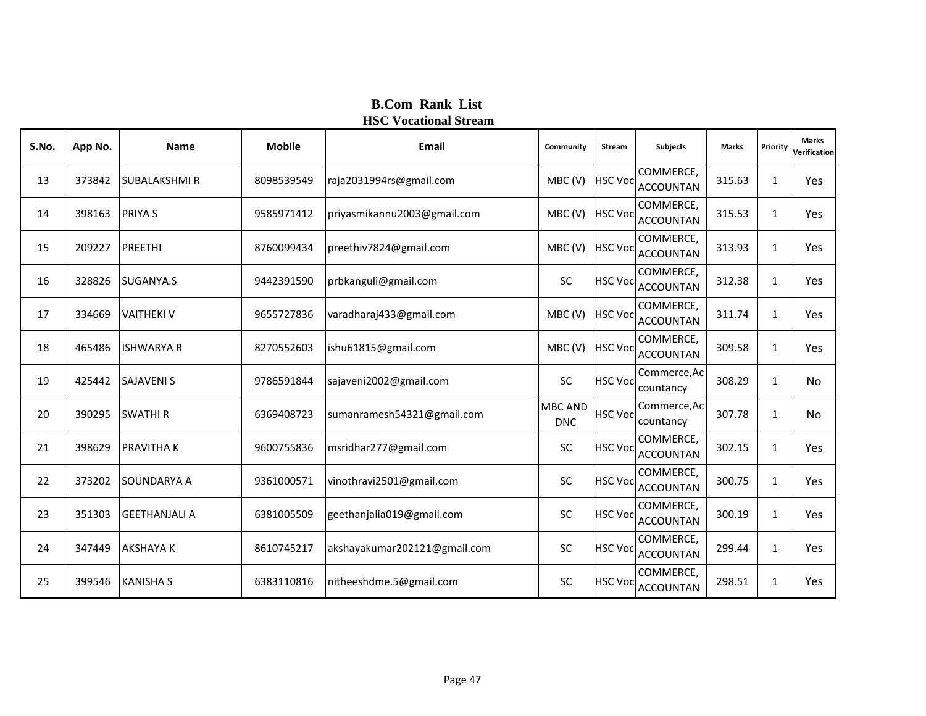| S.No. | App No. | <b>Name</b>          | <b>Mobile</b> | Email                        | Community                    | Stream          | <b>Subjects</b>               | <b>Marks</b> | Priority     | <b>Marks</b><br>Verification |
|-------|---------|----------------------|---------------|------------------------------|------------------------------|-----------------|-------------------------------|--------------|--------------|------------------------------|
| 13    | 373842  | <b>SUBALAKSHMI R</b> | 8098539549    | raja2031994rs@gmail.com      | MBC(V)                       | <b>HSC Voci</b> | COMMERCE,<br><b>ACCOUNTAN</b> | 315.63       | 1            | Yes                          |
| 14    | 398163  | <b>PRIYAS</b>        | 9585971412    | priyasmikannu2003@gmail.com  | MBC(V)                       | <b>HSC Voci</b> | COMMERCE,<br><b>ACCOUNTAN</b> | 315.53       | 1            | Yes                          |
| 15    | 209227  | <b>PREETHI</b>       | 8760099434    | preethiv7824@gmail.com       | MBC(V)                       | <b>HSC Voca</b> | COMMERCE,<br><b>ACCOUNTAN</b> | 313.93       | 1            | Yes                          |
| 16    | 328826  | SUGANYA.S            | 9442391590    | prbkanguli@gmail.com         | SC                           | <b>HSC Voci</b> | COMMERCE,<br><b>ACCOUNTAN</b> | 312.38       | $\mathbf{1}$ | Yes                          |
| 17    | 334669  | <b>VAITHEKI V</b>    | 9655727836    | varadharaj433@gmail.com      | MBC(V)                       | <b>HSC Voci</b> | COMMERCE,<br><b>ACCOUNTAN</b> | 311.74       | 1            | Yes                          |
| 18    | 465486  | <b>ISHWARYA R</b>    | 8270552603    | ishu61815@gmail.com          | MBC(V)                       | <b>HSC Voci</b> | COMMERCE,<br><b>ACCOUNTAN</b> | 309.58       | 1            | Yes                          |
| 19    | 425442  | <b>SAJAVENI S</b>    | 9786591844    | sajaveni2002@gmail.com       | SC                           | <b>HSC Voci</b> | Commerce, Ac<br>countancy     | 308.29       | $\mathbf{1}$ | No                           |
| 20    | 390295  | <b>SWATHIR</b>       | 6369408723    | sumanramesh54321@gmail.com   | <b>MBC AND</b><br><b>DNC</b> | <b>HSC Voca</b> | Commerce, Ac<br>countancy     | 307.78       | 1            | No                           |
| 21    | 398629  | <b>PRAVITHAK</b>     | 9600755836    | msridhar277@gmail.com        | SC                           | <b>HSC Voc</b>  | COMMERCE,<br><b>ACCOUNTAN</b> | 302.15       | $\mathbf{1}$ | Yes                          |
| 22    | 373202  | SOUNDARYA A          | 9361000571    | vinothravi2501@gmail.com     | <b>SC</b>                    | <b>HSC Voci</b> | COMMERCE,<br><b>ACCOUNTAN</b> | 300.75       | $\mathbf{1}$ | Yes                          |
| 23    | 351303  | <b>GEETHANJALI A</b> | 6381005509    | geethanjalia019@gmail.com    | SC                           | <b>HSC Voci</b> | COMMERCE,<br><b>ACCOUNTAN</b> | 300.19       | $\mathbf{1}$ | Yes                          |
| 24    | 347449  | <b>AKSHAYA K</b>     | 8610745217    | akshayakumar202121@gmail.com | SC                           | <b>HSC Voci</b> | COMMERCE,<br><b>ACCOUNTAN</b> | 299.44       | 1            | Yes                          |
| 25    | 399546  | <b>KANISHA S</b>     | 6383110816    | nitheeshdme.5@gmail.com      | SC                           | <b>HSC Voci</b> | COMMERCE,<br><b>ACCOUNTAN</b> | 298.51       | 1            | Yes                          |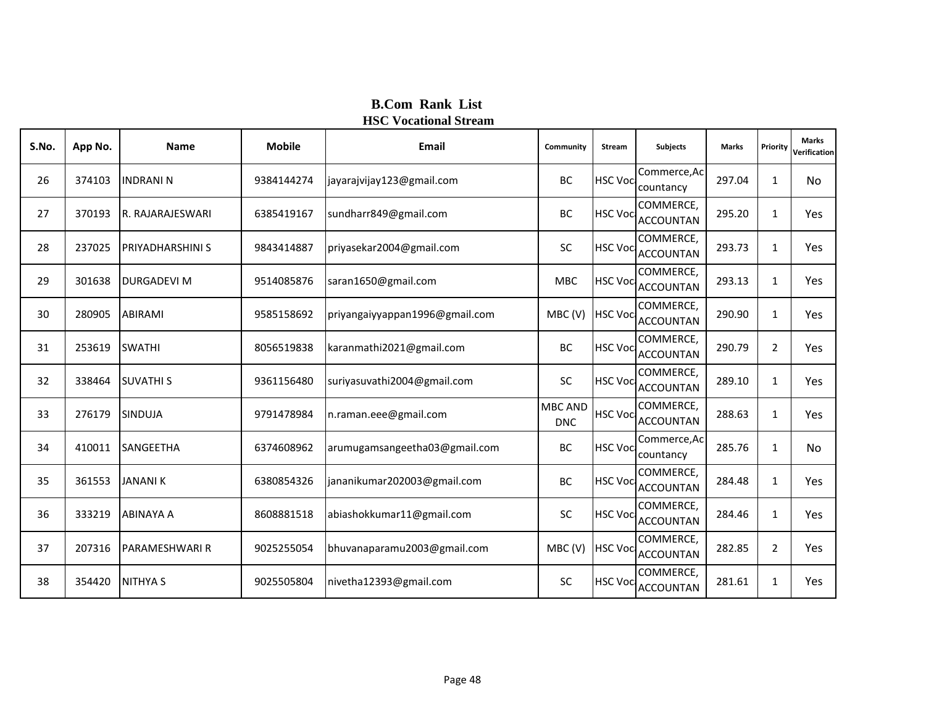| S.No. | App No. | <b>Name</b>             | <b>Mobile</b> | <b>Email</b>                   | Community             | Stream          | <b>Subjects</b>               | <b>Marks</b> | Priority       | <b>Marks</b><br>Verification |
|-------|---------|-------------------------|---------------|--------------------------------|-----------------------|-----------------|-------------------------------|--------------|----------------|------------------------------|
| 26    | 374103  | <b>INDRANI N</b>        | 9384144274    | jayarajvijay123@gmail.com      | BC                    | <b>HSC Voci</b> | Commerce, Ac<br>countancy     | 297.04       | 1              | No                           |
| 27    | 370193  | R. RAJARAJESWARI        | 6385419167    | sundharr849@gmail.com          | BC                    | <b>HSC Voci</b> | COMMERCE,<br><b>ACCOUNTAN</b> | 295.20       | 1              | <b>Yes</b>                   |
| 28    | 237025  | <b>PRIYADHARSHINI S</b> | 9843414887    | priyasekar2004@gmail.com       | <b>SC</b>             | <b>HSC Voci</b> | COMMERCE,<br><b>ACCOUNTAN</b> | 293.73       | 1              | <b>Yes</b>                   |
| 29    | 301638  | <b>DURGADEVI M</b>      | 9514085876    | saran1650@gmail.com            | <b>MBC</b>            | <b>HSC Voca</b> | COMMERCE,<br><b>ACCOUNTAN</b> | 293.13       | $\mathbf{1}$   | Yes                          |
| 30    | 280905  | <b>ABIRAMI</b>          | 9585158692    | priyangaiyyappan1996@gmail.com | MBC(V)                | <b>HSC Voc</b>  | COMMERCE,<br><b>ACCOUNTAN</b> | 290.90       | $\mathbf{1}$   | Yes                          |
| 31    | 253619  | <b>SWATHI</b>           | 8056519838    | karanmathi2021@gmail.com       | BC                    | <b>HSC Voca</b> | COMMERCE,<br><b>ACCOUNTAN</b> | 290.79       | $\overline{2}$ | Yes                          |
| 32    | 338464  | <b>SUVATHIS</b>         | 9361156480    | suriyasuvathi2004@gmail.com    | SC                    | <b>HSC Voci</b> | COMMERCE,<br><b>ACCOUNTAN</b> | 289.10       | $\mathbf{1}$   | Yes                          |
| 33    | 276179  | SINDUJA                 | 9791478984    | n.raman.eee@gmail.com          | MBC AND<br><b>DNC</b> | <b>HSC Voca</b> | COMMERCE,<br><b>ACCOUNTAN</b> | 288.63       | 1              | Yes                          |
| 34    | 410011  | <b>SANGEETHA</b>        | 6374608962    | arumugamsangeetha03@gmail.com  | BC                    | <b>HSC Voca</b> | Commerce, Ac<br>countancy     | 285.76       | $\mathbf{1}$   | No                           |
| 35    | 361553  | <b>JANANIK</b>          | 6380854326    | jananikumar202003@gmail.com    | BC                    | <b>HSC Voci</b> | COMMERCE,<br><b>ACCOUNTAN</b> | 284.48       | $\mathbf{1}$   | Yes                          |
| 36    | 333219  | <b>ABINAYA A</b>        | 8608881518    | abiashokkumar11@gmail.com      | <b>SC</b>             | <b>HSC Voci</b> | COMMERCE,<br><b>ACCOUNTAN</b> | 284.46       | $\mathbf{1}$   | Yes                          |
| 37    | 207316  | PARAMESHWARI R          | 9025255054    | bhuvanaparamu2003@gmail.com    | MBC(V)                | <b>HSC Voci</b> | COMMERCE,<br><b>ACCOUNTAN</b> | 282.85       | $\overline{2}$ | <b>Yes</b>                   |
| 38    | 354420  | <b>NITHYA S</b>         | 9025505804    | nivetha12393@gmail.com         | SC                    | <b>HSC Voci</b> | COMMERCE.<br><b>ACCOUNTAN</b> | 281.61       | 1              | Yes                          |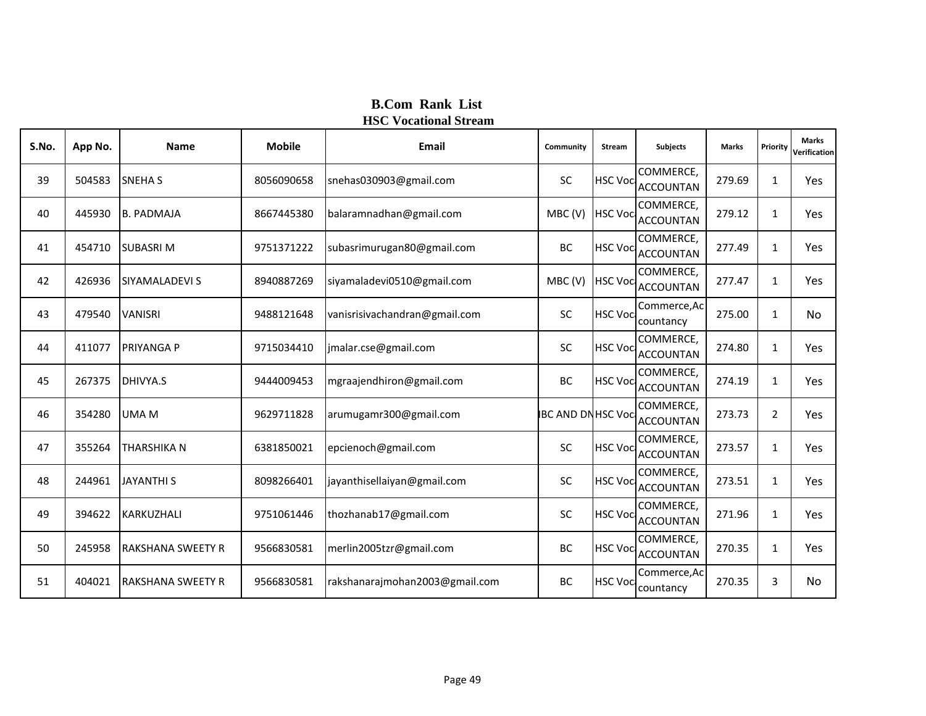| S.No. | App No. | <b>Name</b>              | <b>Mobile</b> | Email                          | Community                 | Stream          | <b>Subjects</b>               | <b>Marks</b> | Priority     | <b>Marks</b><br>Verification |
|-------|---------|--------------------------|---------------|--------------------------------|---------------------------|-----------------|-------------------------------|--------------|--------------|------------------------------|
| 39    | 504583  | <b>SNEHAS</b>            | 8056090658    | snehas030903@gmail.com         | <b>SC</b>                 | <b>HSC Voc</b>  | COMMERCE,<br><b>ACCOUNTAN</b> | 279.69       | $\mathbf{1}$ | Yes                          |
| 40    | 445930  | <b>B. PADMAJA</b>        | 8667445380    | balaramnadhan@gmail.com        | MBC(V)                    | <b>HSC Voc</b>  | COMMERCE,<br><b>ACCOUNTAN</b> | 279.12       | $\mathbf{1}$ | Yes                          |
| 41    | 454710  | <b>SUBASRIM</b>          | 9751371222    | subasrimurugan80@gmail.com     | <b>BC</b>                 | <b>HSC Voca</b> | COMMERCE,<br><b>ACCOUNTAN</b> | 277.49       | $\mathbf{1}$ | Yes                          |
| 42    | 426936  | SIYAMALADEVI S           | 8940887269    | siyamaladevi0510@gmail.com     | MBC(V)                    | <b>HSC Voc</b>  | COMMERCE,<br><b>ACCOUNTAN</b> | 277.47       | $\mathbf{1}$ | Yes                          |
| 43    | 479540  | <b>VANISRI</b>           | 9488121648    | vanisrisivachandran@gmail.com  | SC                        | <b>HSC Voc</b>  | Commerce, Ac<br>countancy     | 275.00       | $\mathbf{1}$ | No                           |
| 44    | 411077  | <b>PRIYANGA P</b>        | 9715034410    | jmalar.cse@gmail.com           | <b>SC</b>                 | <b>HSC Voc</b>  | COMMERCE,<br><b>ACCOUNTAN</b> | 274.80       | $\mathbf{1}$ | Yes                          |
| 45    | 267375  | DHIVYA.S                 | 9444009453    | mgraajendhiron@gmail.com       | BC                        | <b>HSC Voca</b> | COMMERCE,<br><b>ACCOUNTAN</b> | 274.19       | $\mathbf{1}$ | Yes                          |
| 46    | 354280  | <b>UMAM</b>              | 9629711828    | arumugamr300@gmail.com         | <b>IBC AND DNHSC Voca</b> |                 | COMMERCE,<br><b>ACCOUNTAN</b> | 273.73       | 2            | Yes                          |
| 47    | 355264  | THARSHIKA N              | 6381850021    | epcienoch@gmail.com            | <b>SC</b>                 | <b>HSC Voc</b>  | COMMERCE,<br><b>ACCOUNTAN</b> | 273.57       | $\mathbf{1}$ | Yes                          |
| 48    | 244961  | <b>JAYANTHI S</b>        | 8098266401    | jayanthisellaiyan@gmail.com    | SC                        | <b>HSC Voci</b> | COMMERCE,<br><b>ACCOUNTAN</b> | 273.51       | $\mathbf{1}$ | Yes                          |
| 49    | 394622  | KARKUZHALI               | 9751061446    | thozhanab17@gmail.com          | SC                        | <b>HSC Voc</b>  | COMMERCE,<br><b>ACCOUNTAN</b> | 271.96       | $\mathbf{1}$ | Yes                          |
| 50    | 245958  | <b>RAKSHANA SWEETY R</b> | 9566830581    | merlin2005tzr@gmail.com        | BC                        | <b>HSC Voca</b> | COMMERCE,<br><b>ACCOUNTAN</b> | 270.35       | $\mathbf{1}$ | Yes                          |
| 51    | 404021  | <b>RAKSHANA SWEETY R</b> | 9566830581    | rakshanarajmohan2003@gmail.com | BC                        | <b>HSC Voca</b> | Commerce, Ac<br>countancy     | 270.35       | 3            | No                           |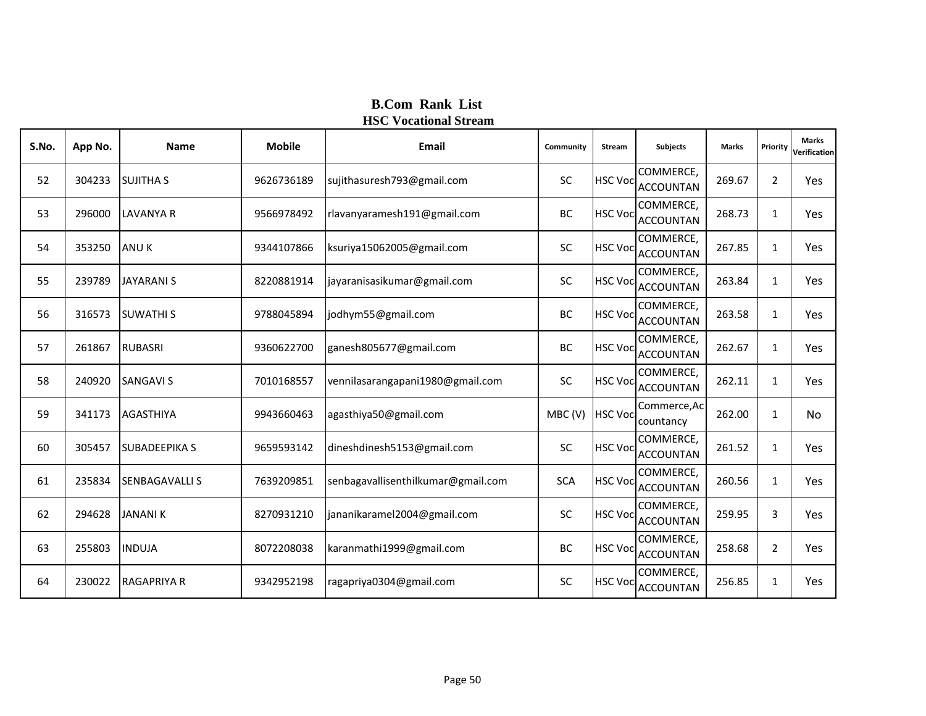| S.No. | App No. | <b>Name</b>           | <b>Mobile</b> | Email                              | Community  | Stream          | <b>Subjects</b>               | <b>Marks</b> | Priority       | <b>Marks</b><br>Verification |
|-------|---------|-----------------------|---------------|------------------------------------|------------|-----------------|-------------------------------|--------------|----------------|------------------------------|
| 52    | 304233  | <b>SUJITHA S</b>      | 9626736189    | sujithasuresh793@gmail.com         | SC         | <b>HSC Voc</b>  | COMMERCE,<br><b>ACCOUNTAN</b> | 269.67       | $\overline{2}$ | Yes                          |
| 53    | 296000  | <b>LAVANYA R</b>      | 9566978492    | rlavanyaramesh191@gmail.com        | BC         | <b>HSC Voci</b> | COMMERCE,<br><b>ACCOUNTAN</b> | 268.73       | 1              | Yes                          |
| 54    | 353250  | <b>ANUK</b>           | 9344107866    | ksuriya15062005@gmail.com          | SC         | <b>HSC Voci</b> | COMMERCE,<br><b>ACCOUNTAN</b> | 267.85       | $\mathbf{1}$   | Yes                          |
| 55    | 239789  | <b>JAYARANI S</b>     | 8220881914    | jayaranisasikumar@gmail.com        | SC         | <b>HSC Voci</b> | COMMERCE,<br><b>ACCOUNTAN</b> | 263.84       | $\mathbf{1}$   | Yes                          |
| 56    | 316573  | <b>SUWATHI S</b>      | 9788045894    | jodhym55@gmail.com                 | <b>BC</b>  | <b>HSC Voci</b> | COMMERCE,<br><b>ACCOUNTAN</b> | 263.58       | 1              | Yes                          |
| 57    | 261867  | <b>RUBASRI</b>        | 9360622700    | ganesh805677@gmail.com             | BC         | <b>HSC Voc</b>  | COMMERCE,<br><b>ACCOUNTAN</b> | 262.67       | 1              | Yes                          |
| 58    | 240920  | <b>SANGAVI S</b>      | 7010168557    | vennilasarangapani1980@gmail.com   | SC         | <b>HSC Voci</b> | COMMERCE,<br><b>ACCOUNTAN</b> | 262.11       | $\mathbf{1}$   | Yes                          |
| 59    | 341173  | <b>AGASTHIYA</b>      | 9943660463    | agasthiya50@gmail.com              | MBC (V)    | <b>HSC Voc</b>  | Commerce, Ac<br>countancy     | 262.00       | $\mathbf{1}$   | No                           |
| 60    | 305457  | <b>SUBADEEPIKA S</b>  | 9659593142    | dineshdinesh5153@gmail.com         | SC         | <b>HSC Voc</b>  | COMMERCE,<br><b>ACCOUNTAN</b> | 261.52       | $\mathbf{1}$   | Yes                          |
| 61    | 235834  | <b>SENBAGAVALLI S</b> | 7639209851    | senbagavallisenthilkumar@gmail.com | <b>SCA</b> | <b>HSC Voci</b> | COMMERCE,<br><b>ACCOUNTAN</b> | 260.56       | $\mathbf{1}$   | Yes                          |
| 62    | 294628  | <b>JANANIK</b>        | 8270931210    | jananikaramel2004@gmail.com        | SC         | <b>HSC Voc</b>  | COMMERCE,<br><b>ACCOUNTAN</b> | 259.95       | 3              | Yes                          |
| 63    | 255803  | <b>INDUJA</b>         | 8072208038    | karanmathi1999@gmail.com           | BC         | <b>HSC Voca</b> | COMMERCE,<br><b>ACCOUNTAN</b> | 258.68       | $\overline{2}$ | Yes                          |
| 64    | 230022  | <b>RAGAPRIYA R</b>    | 9342952198    | ragapriya0304@gmail.com            | SC         | <b>HSC Voci</b> | COMMERCE,<br><b>ACCOUNTAN</b> | 256.85       | 1              | Yes                          |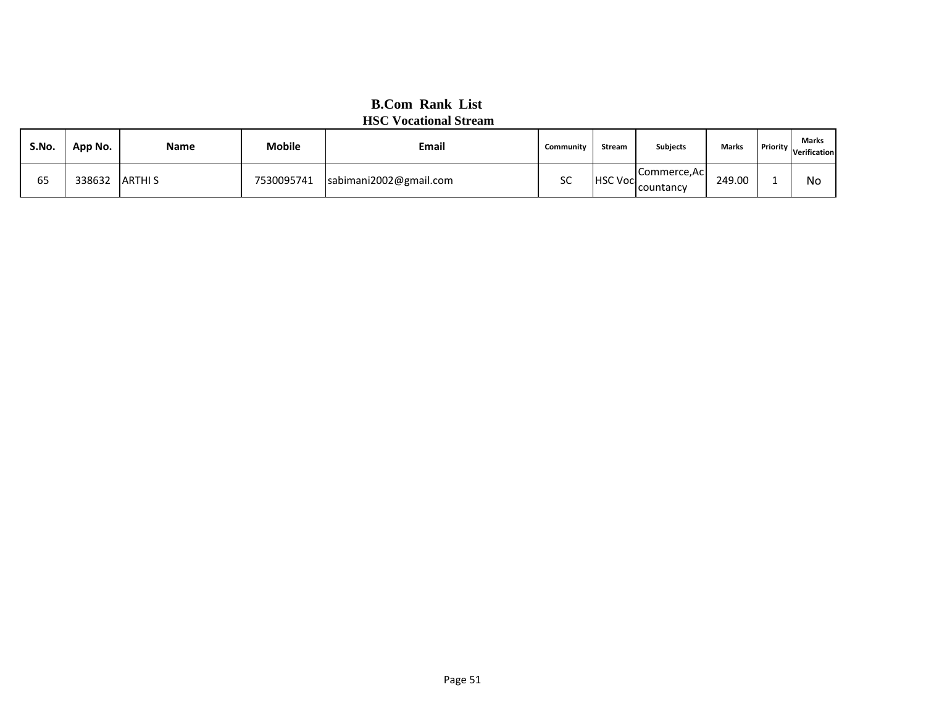| S.No.               | App No. | Name          | <b>Mobile</b> | <b>Email</b>           | Community | <b>Stream</b>   | <b>Subjects</b>           | Marks  | <b>Marks</b><br><b>I</b> Priority Verification |
|---------------------|---------|---------------|---------------|------------------------|-----------|-----------------|---------------------------|--------|------------------------------------------------|
| $\sim$ $\sim$<br>65 | 338632  | <b>ARTHIS</b> | 7530095741    | sabimani2002@gmail.com | cc<br>эc  | <b>HSC Voci</b> | Commerce, Ac<br>countancy | 249.00 | No                                             |